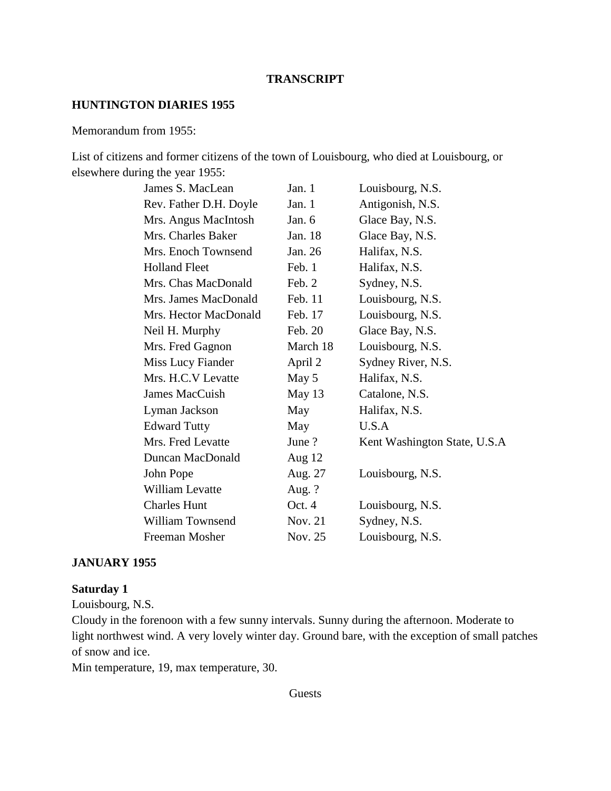#### **TRANSCRIPT**

#### **HUNTINGTON DIARIES 1955**

#### Memorandum from 1955:

List of citizens and former citizens of the town of Louisbourg, who died at Louisbourg, or elsewhere during the year 1955:

| James S. MacLean        | Jan. 1   | Louisbourg, N.S.             |
|-------------------------|----------|------------------------------|
| Rev. Father D.H. Doyle  | Jan. 1   | Antigonish, N.S.             |
| Mrs. Angus MacIntosh    | Jan. 6   | Glace Bay, N.S.              |
| Mrs. Charles Baker      | Jan. 18  | Glace Bay, N.S.              |
| Mrs. Enoch Townsend     | Jan. 26  | Halifax, N.S.                |
| <b>Holland Fleet</b>    | Feb. 1   | Halifax, N.S.                |
| Mrs. Chas MacDonald     | Feb. 2   | Sydney, N.S.                 |
| Mrs. James MacDonald    | Feb. 11  | Louisbourg, N.S.             |
| Mrs. Hector MacDonald   | Feb. 17  | Louisbourg, N.S.             |
| Neil H. Murphy          | Feb. 20  | Glace Bay, N.S.              |
| Mrs. Fred Gagnon        | March 18 | Louisbourg, N.S.             |
| Miss Lucy Fiander       | April 2  | Sydney River, N.S.           |
| Mrs. H.C.V Levatte      | May 5    | Halifax, N.S.                |
| James MacCuish          | May 13   | Catalone, N.S.               |
| Lyman Jackson           | May      | Halifax, N.S.                |
| <b>Edward Tutty</b>     | May      | U.S.A                        |
| Mrs. Fred Levatte       | June ?   | Kent Washington State, U.S.A |
| Duncan MacDonald        | Aug $12$ |                              |
| John Pope               | Aug. 27  | Louisbourg, N.S.             |
| <b>William Levatte</b>  | Aug. $?$ |                              |
| <b>Charles Hunt</b>     | Oct. 4   | Louisbourg, N.S.             |
| <b>William Townsend</b> | Nov. 21  | Sydney, N.S.                 |
| Freeman Mosher          | Nov. 25  | Louisbourg, N.S.             |

#### **JANUARY 1955**

## **Saturday 1**

Louisbourg, N.S.

Cloudy in the forenoon with a few sunny intervals. Sunny during the afternoon. Moderate to light northwest wind. A very lovely winter day. Ground bare, with the exception of small patches of snow and ice.

Min temperature, 19, max temperature, 30.

#### Guests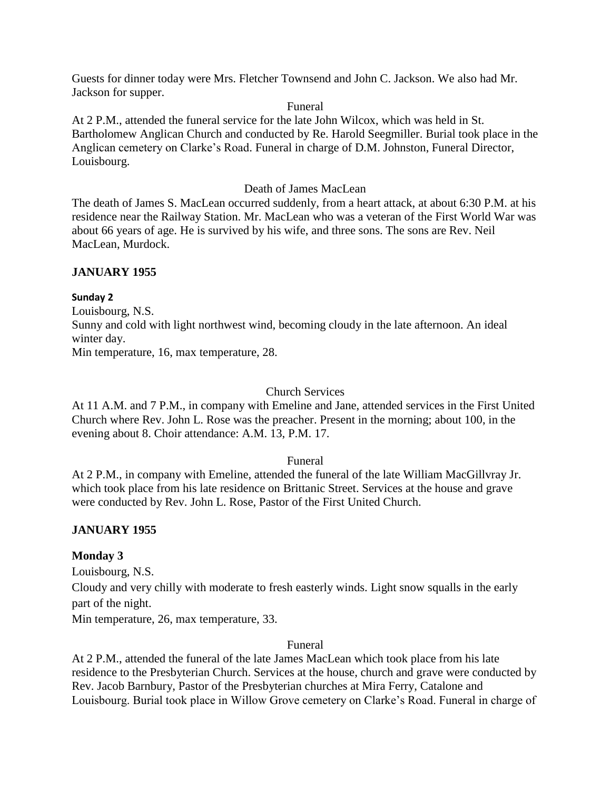Guests for dinner today were Mrs. Fletcher Townsend and John C. Jackson. We also had Mr. Jackson for supper.

#### Funeral

At 2 P.M., attended the funeral service for the late John Wilcox, which was held in St. Bartholomew Anglican Church and conducted by Re. Harold Seegmiller. Burial took place in the Anglican cemetery on Clarke's Road. Funeral in charge of D.M. Johnston, Funeral Director, Louisbourg.

#### Death of James MacLean

The death of James S. MacLean occurred suddenly, from a heart attack, at about 6:30 P.M. at his residence near the Railway Station. Mr. MacLean who was a veteran of the First World War was about 66 years of age. He is survived by his wife, and three sons. The sons are Rev. Neil MacLean, Murdock.

## **JANUARY 1955**

#### **Sunday 2**

Louisbourg, N.S. Sunny and cold with light northwest wind, becoming cloudy in the late afternoon. An ideal winter day.

Min temperature, 16, max temperature, 28.

#### Church Services

At 11 A.M. and 7 P.M., in company with Emeline and Jane, attended services in the First United Church where Rev. John L. Rose was the preacher. Present in the morning; about 100, in the evening about 8. Choir attendance: A.M. 13, P.M. 17.

## Funeral

At 2 P.M., in company with Emeline, attended the funeral of the late William MacGillvray Jr. which took place from his late residence on Brittanic Street. Services at the house and grave were conducted by Rev. John L. Rose, Pastor of the First United Church.

## **JANUARY 1955**

## **Monday 3**

Louisbourg, N.S.

Cloudy and very chilly with moderate to fresh easterly winds. Light snow squalls in the early part of the night.

Min temperature, 26, max temperature, 33.

#### Funeral

At 2 P.M., attended the funeral of the late James MacLean which took place from his late residence to the Presbyterian Church. Services at the house, church and grave were conducted by Rev. Jacob Barnbury, Pastor of the Presbyterian churches at Mira Ferry, Catalone and Louisbourg. Burial took place in Willow Grove cemetery on Clarke's Road. Funeral in charge of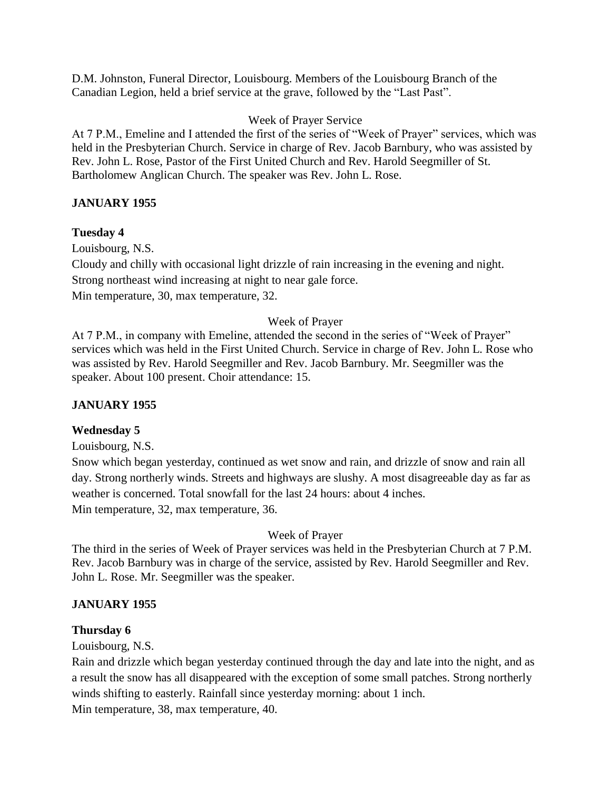D.M. Johnston, Funeral Director, Louisbourg. Members of the Louisbourg Branch of the Canadian Legion, held a brief service at the grave, followed by the "Last Past".

# Week of Prayer Service

At 7 P.M., Emeline and I attended the first of the series of "Week of Prayer" services, which was held in the Presbyterian Church. Service in charge of Rev. Jacob Barnbury, who was assisted by Rev. John L. Rose, Pastor of the First United Church and Rev. Harold Seegmiller of St. Bartholomew Anglican Church. The speaker was Rev. John L. Rose.

# **JANUARY 1955**

# **Tuesday 4**

Louisbourg, N.S. Cloudy and chilly with occasional light drizzle of rain increasing in the evening and night. Strong northeast wind increasing at night to near gale force. Min temperature, 30, max temperature, 32.

# Week of Prayer

At 7 P.M., in company with Emeline, attended the second in the series of "Week of Prayer" services which was held in the First United Church. Service in charge of Rev. John L. Rose who was assisted by Rev. Harold Seegmiller and Rev. Jacob Barnbury. Mr. Seegmiller was the speaker. About 100 present. Choir attendance: 15.

# **JANUARY 1955**

# **Wednesday 5**

Louisbourg, N.S.

Snow which began yesterday, continued as wet snow and rain, and drizzle of snow and rain all day. Strong northerly winds. Streets and highways are slushy. A most disagreeable day as far as weather is concerned. Total snowfall for the last 24 hours: about 4 inches. Min temperature, 32, max temperature, 36.

# Week of Prayer

The third in the series of Week of Prayer services was held in the Presbyterian Church at 7 P.M. Rev. Jacob Barnbury was in charge of the service, assisted by Rev. Harold Seegmiller and Rev. John L. Rose. Mr. Seegmiller was the speaker.

# **JANUARY 1955**

## **Thursday 6**

Louisbourg, N.S.

Rain and drizzle which began yesterday continued through the day and late into the night, and as a result the snow has all disappeared with the exception of some small patches. Strong northerly winds shifting to easterly. Rainfall since yesterday morning: about 1 inch.

Min temperature, 38, max temperature, 40.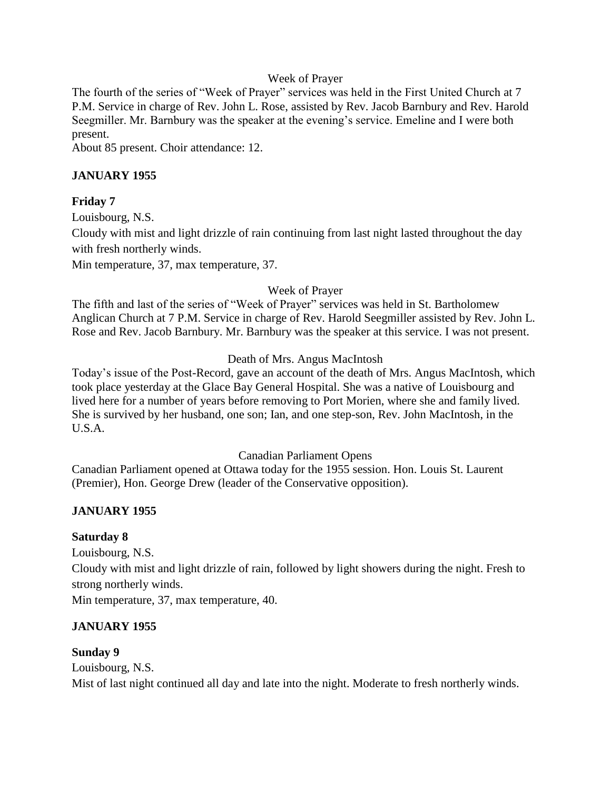#### Week of Prayer

The fourth of the series of "Week of Prayer" services was held in the First United Church at 7 P.M. Service in charge of Rev. John L. Rose, assisted by Rev. Jacob Barnbury and Rev. Harold Seegmiller. Mr. Barnbury was the speaker at the evening's service. Emeline and I were both present.

About 85 present. Choir attendance: 12.

# **JANUARY 1955**

## **Friday 7**

Louisbourg, N.S.

Cloudy with mist and light drizzle of rain continuing from last night lasted throughout the day with fresh northerly winds.

Min temperature, 37, max temperature, 37.

## Week of Prayer

The fifth and last of the series of "Week of Prayer" services was held in St. Bartholomew Anglican Church at 7 P.M. Service in charge of Rev. Harold Seegmiller assisted by Rev. John L. Rose and Rev. Jacob Barnbury. Mr. Barnbury was the speaker at this service. I was not present.

## Death of Mrs. Angus MacIntosh

Today's issue of the Post-Record, gave an account of the death of Mrs. Angus MacIntosh, which took place yesterday at the Glace Bay General Hospital. She was a native of Louisbourg and lived here for a number of years before removing to Port Morien, where she and family lived. She is survived by her husband, one son; Ian, and one step-son, Rev. John MacIntosh, in the U.S.A.

#### Canadian Parliament Opens

Canadian Parliament opened at Ottawa today for the 1955 session. Hon. Louis St. Laurent (Premier), Hon. George Drew (leader of the Conservative opposition).

## **JANUARY 1955**

## **Saturday 8**

Louisbourg, N.S.

Cloudy with mist and light drizzle of rain, followed by light showers during the night. Fresh to strong northerly winds.

Min temperature, 37, max temperature, 40.

## **JANUARY 1955**

## **Sunday 9**

Louisbourg, N.S. Mist of last night continued all day and late into the night. Moderate to fresh northerly winds.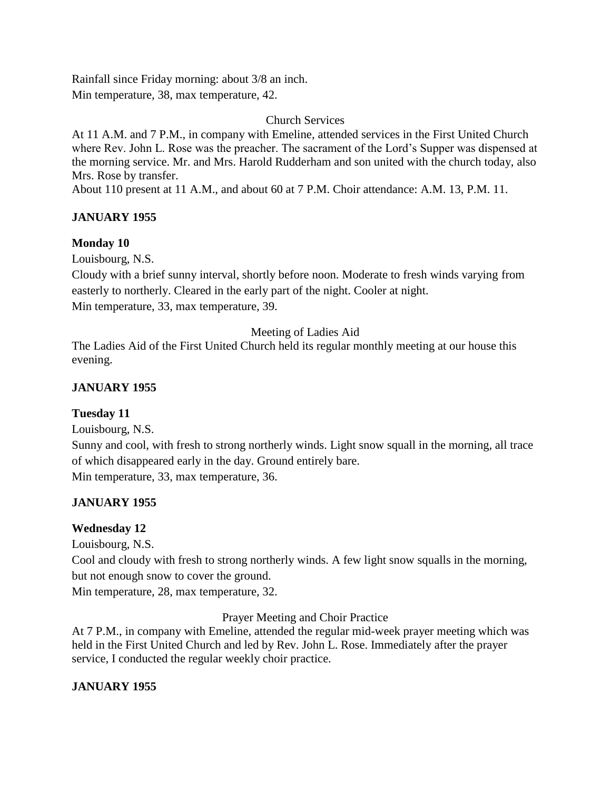Rainfall since Friday morning: about 3/8 an inch. Min temperature, 38, max temperature, 42.

Church Services

At 11 A.M. and 7 P.M., in company with Emeline, attended services in the First United Church where Rev. John L. Rose was the preacher. The sacrament of the Lord's Supper was dispensed at the morning service. Mr. and Mrs. Harold Rudderham and son united with the church today, also Mrs. Rose by transfer.

About 110 present at 11 A.M., and about 60 at 7 P.M. Choir attendance: A.M. 13, P.M. 11.

# **JANUARY 1955**

# **Monday 10**

Louisbourg, N.S.

Cloudy with a brief sunny interval, shortly before noon. Moderate to fresh winds varying from easterly to northerly. Cleared in the early part of the night. Cooler at night. Min temperature, 33, max temperature, 39.

# Meeting of Ladies Aid

The Ladies Aid of the First United Church held its regular monthly meeting at our house this evening.

# **JANUARY 1955**

# **Tuesday 11**

Louisbourg, N.S.

Sunny and cool, with fresh to strong northerly winds. Light snow squall in the morning, all trace of which disappeared early in the day. Ground entirely bare. Min temperature, 33, max temperature, 36.

# **JANUARY 1955**

# **Wednesday 12**

Louisbourg, N.S.

Cool and cloudy with fresh to strong northerly winds. A few light snow squalls in the morning, but not enough snow to cover the ground.

Min temperature, 28, max temperature, 32.

Prayer Meeting and Choir Practice

At 7 P.M., in company with Emeline, attended the regular mid-week prayer meeting which was held in the First United Church and led by Rev. John L. Rose. Immediately after the prayer service, I conducted the regular weekly choir practice.

# **JANUARY 1955**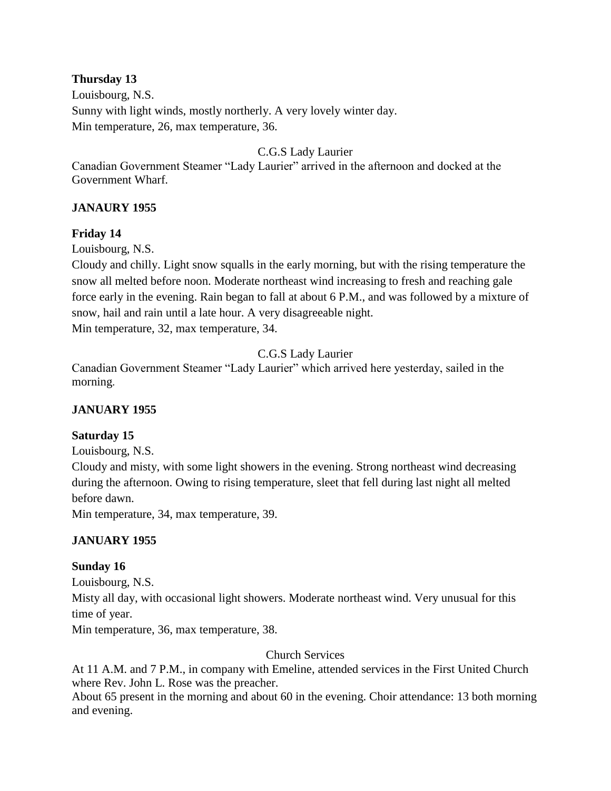# **Thursday 13**

Louisbourg, N.S. Sunny with light winds, mostly northerly. A very lovely winter day. Min temperature, 26, max temperature, 36.

# C.G.S Lady Laurier

Canadian Government Steamer "Lady Laurier" arrived in the afternoon and docked at the Government Wharf.

# **JANAURY 1955**

## **Friday 14**

Louisbourg, N.S.

Cloudy and chilly. Light snow squalls in the early morning, but with the rising temperature the snow all melted before noon. Moderate northeast wind increasing to fresh and reaching gale force early in the evening. Rain began to fall at about 6 P.M., and was followed by a mixture of snow, hail and rain until a late hour. A very disagreeable night.

Min temperature, 32, max temperature, 34.

C.G.S Lady Laurier

Canadian Government Steamer "Lady Laurier" which arrived here yesterday, sailed in the morning.

## **JANUARY 1955**

## **Saturday 15**

Louisbourg, N.S.

Cloudy and misty, with some light showers in the evening. Strong northeast wind decreasing during the afternoon. Owing to rising temperature, sleet that fell during last night all melted before dawn.

Min temperature, 34, max temperature, 39.

## **JANUARY 1955**

## **Sunday 16**

Louisbourg, N.S.

Misty all day, with occasional light showers. Moderate northeast wind. Very unusual for this time of year.

Min temperature, 36, max temperature, 38.

Church Services

At 11 A.M. and 7 P.M., in company with Emeline, attended services in the First United Church where Rev. John L. Rose was the preacher.

About 65 present in the morning and about 60 in the evening. Choir attendance: 13 both morning and evening.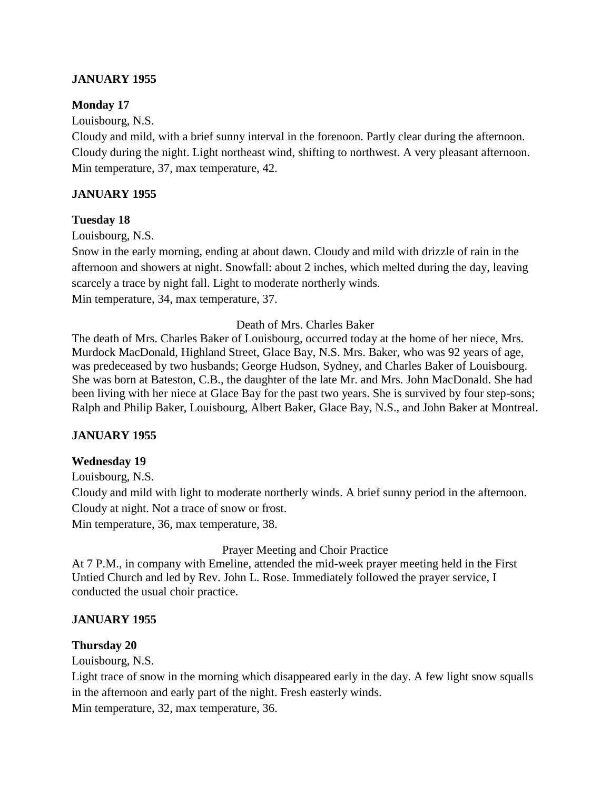## **JANUARY 1955**

#### **Monday 17**

Louisbourg, N.S.

Cloudy and mild, with a brief sunny interval in the forenoon. Partly clear during the afternoon. Cloudy during the night. Light northeast wind, shifting to northwest. A very pleasant afternoon. Min temperature, 37, max temperature, 42.

#### **JANUARY 1955**

#### **Tuesday 18**

Louisbourg, N.S.

Snow in the early morning, ending at about dawn. Cloudy and mild with drizzle of rain in the afternoon and showers at night. Snowfall: about 2 inches, which melted during the day, leaving scarcely a trace by night fall. Light to moderate northerly winds. Min temperature, 34, max temperature, 37.

#### Death of Mrs. Charles Baker

The death of Mrs. Charles Baker of Louisbourg, occurred today at the home of her niece, Mrs. Murdock MacDonald, Highland Street, Glace Bay, N.S. Mrs. Baker, who was 92 years of age, was predeceased by two husbands; George Hudson, Sydney, and Charles Baker of Louisbourg. She was born at Bateston, C.B., the daughter of the late Mr. and Mrs. John MacDonald. She had been living with her niece at Glace Bay for the past two years. She is survived by four step-sons; Ralph and Philip Baker, Louisbourg, Albert Baker, Glace Bay, N.S., and John Baker at Montreal.

#### **JANUARY 1955**

#### **Wednesday 19**

Louisbourg, N.S. Cloudy and mild with light to moderate northerly winds. A brief sunny period in the afternoon. Cloudy at night. Not a trace of snow or frost. Min temperature, 36, max temperature, 38.

Prayer Meeting and Choir Practice

At 7 P.M., in company with Emeline, attended the mid-week prayer meeting held in the First Untied Church and led by Rev. John L. Rose. Immediately followed the prayer service, I conducted the usual choir practice.

#### **JANUARY 1955**

#### **Thursday 20**

Louisbourg, N.S.

Light trace of snow in the morning which disappeared early in the day. A few light snow squalls in the afternoon and early part of the night. Fresh easterly winds.

Min temperature, 32, max temperature, 36.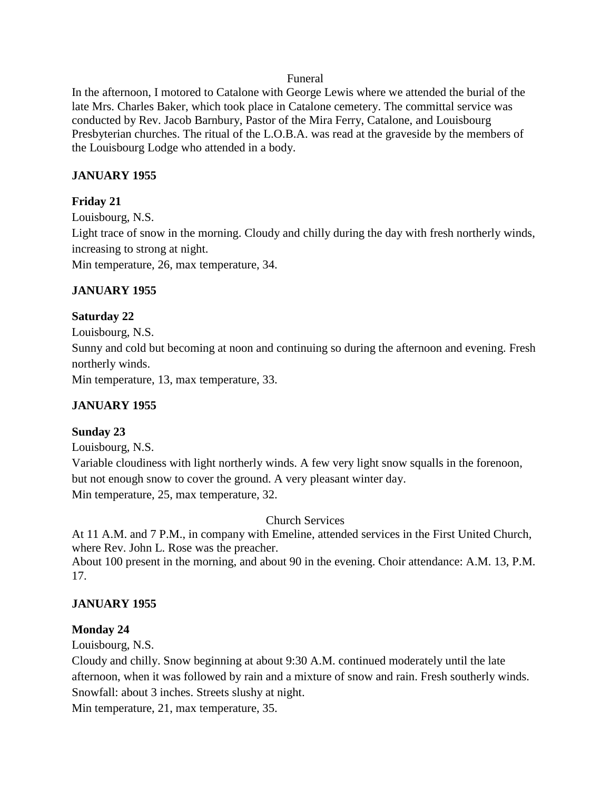#### Funeral

In the afternoon, I motored to Catalone with George Lewis where we attended the burial of the late Mrs. Charles Baker, which took place in Catalone cemetery. The committal service was conducted by Rev. Jacob Barnbury, Pastor of the Mira Ferry, Catalone, and Louisbourg Presbyterian churches. The ritual of the L.O.B.A. was read at the graveside by the members of the Louisbourg Lodge who attended in a body.

#### **JANUARY 1955**

#### **Friday 21**

Louisbourg, N.S.

Light trace of snow in the morning. Cloudy and chilly during the day with fresh northerly winds, increasing to strong at night.

Min temperature, 26, max temperature, 34.

## **JANUARY 1955**

#### **Saturday 22**

Louisbourg, N.S. Sunny and cold but becoming at noon and continuing so during the afternoon and evening. Fresh northerly winds. Min temperature, 13, max temperature, 33.

## **JANUARY 1955**

## **Sunday 23**

Louisbourg, N.S.

Variable cloudiness with light northerly winds. A few very light snow squalls in the forenoon, but not enough snow to cover the ground. A very pleasant winter day. Min temperature, 25, max temperature, 32.

Church Services

At 11 A.M. and 7 P.M., in company with Emeline, attended services in the First United Church, where Rev. John L. Rose was the preacher.

About 100 present in the morning, and about 90 in the evening. Choir attendance: A.M. 13, P.M. 17.

## **JANUARY 1955**

#### **Monday 24**

Louisbourg, N.S.

Cloudy and chilly. Snow beginning at about 9:30 A.M. continued moderately until the late afternoon, when it was followed by rain and a mixture of snow and rain. Fresh southerly winds. Snowfall: about 3 inches. Streets slushy at night.

Min temperature, 21, max temperature, 35.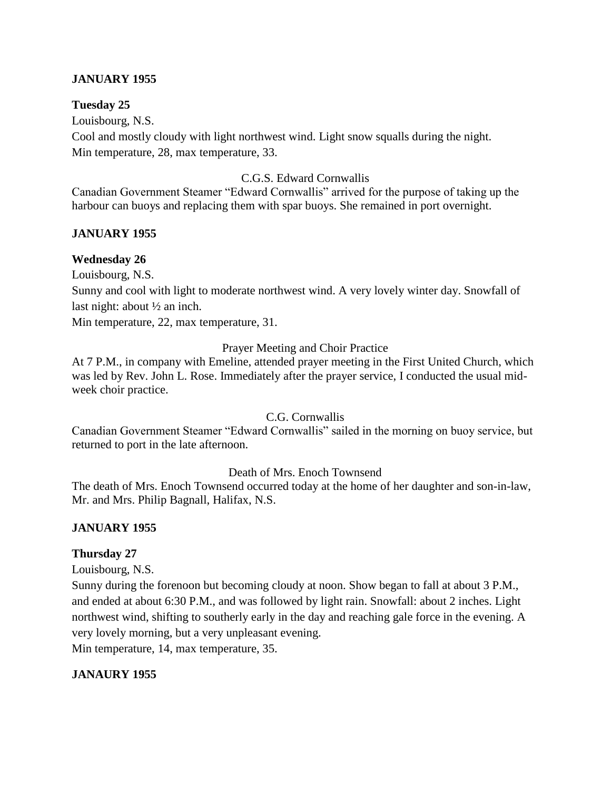#### **JANUARY 1955**

#### **Tuesday 25**

Louisbourg, N.S.

Cool and mostly cloudy with light northwest wind. Light snow squalls during the night. Min temperature, 28, max temperature, 33.

#### C.G.S. Edward Cornwallis

Canadian Government Steamer "Edward Cornwallis" arrived for the purpose of taking up the harbour can buoys and replacing them with spar buoys. She remained in port overnight.

#### **JANUARY 1955**

#### **Wednesday 26**

Louisbourg, N.S.

Sunny and cool with light to moderate northwest wind. A very lovely winter day. Snowfall of last night: about  $\frac{1}{2}$  an inch.

Min temperature, 22, max temperature, 31.

#### Prayer Meeting and Choir Practice

At 7 P.M., in company with Emeline, attended prayer meeting in the First United Church, which was led by Rev. John L. Rose. Immediately after the prayer service, I conducted the usual midweek choir practice.

#### C.G. Cornwallis

Canadian Government Steamer "Edward Cornwallis" sailed in the morning on buoy service, but returned to port in the late afternoon.

#### Death of Mrs. Enoch Townsend

The death of Mrs. Enoch Townsend occurred today at the home of her daughter and son-in-law, Mr. and Mrs. Philip Bagnall, Halifax, N.S.

#### **JANUARY 1955**

#### **Thursday 27**

Louisbourg, N.S.

Sunny during the forenoon but becoming cloudy at noon. Show began to fall at about 3 P.M., and ended at about 6:30 P.M., and was followed by light rain. Snowfall: about 2 inches. Light northwest wind, shifting to southerly early in the day and reaching gale force in the evening. A very lovely morning, but a very unpleasant evening.

Min temperature, 14, max temperature, 35.

#### **JANAURY 1955**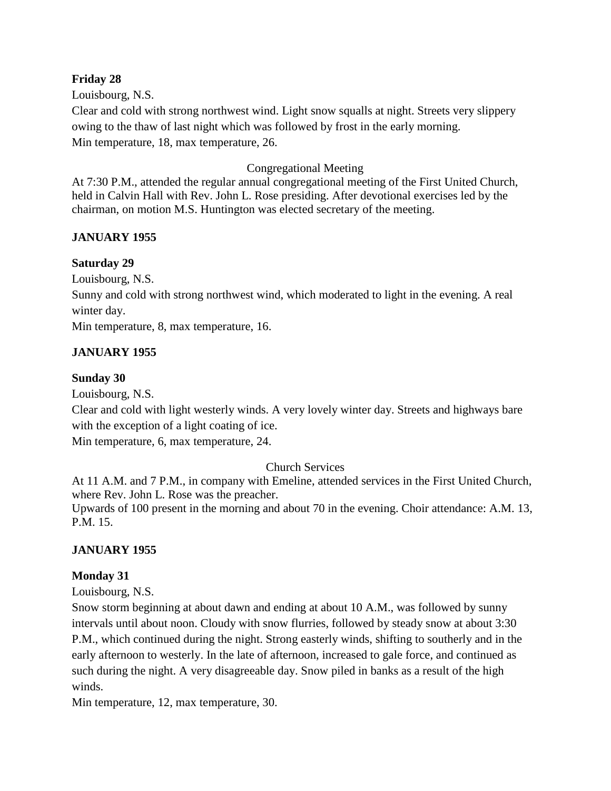#### **Friday 28**

Louisbourg, N.S.

Clear and cold with strong northwest wind. Light snow squalls at night. Streets very slippery owing to the thaw of last night which was followed by frost in the early morning. Min temperature, 18, max temperature, 26.

## Congregational Meeting

At 7:30 P.M., attended the regular annual congregational meeting of the First United Church, held in Calvin Hall with Rev. John L. Rose presiding. After devotional exercises led by the chairman, on motion M.S. Huntington was elected secretary of the meeting.

# **JANUARY 1955**

## **Saturday 29**

Louisbourg, N.S.

Sunny and cold with strong northwest wind, which moderated to light in the evening. A real winter day.

Min temperature, 8, max temperature, 16.

# **JANUARY 1955**

## **Sunday 30**

Louisbourg, N.S.

Clear and cold with light westerly winds. A very lovely winter day. Streets and highways bare with the exception of a light coating of ice.

Min temperature, 6, max temperature, 24.

## Church Services

At 11 A.M. and 7 P.M., in company with Emeline, attended services in the First United Church, where Rev. John L. Rose was the preacher.

Upwards of 100 present in the morning and about 70 in the evening. Choir attendance: A.M. 13, P.M. 15.

## **JANUARY 1955**

## **Monday 31**

Louisbourg, N.S.

Snow storm beginning at about dawn and ending at about 10 A.M., was followed by sunny intervals until about noon. Cloudy with snow flurries, followed by steady snow at about 3:30 P.M., which continued during the night. Strong easterly winds, shifting to southerly and in the early afternoon to westerly. In the late of afternoon, increased to gale force, and continued as such during the night. A very disagreeable day. Snow piled in banks as a result of the high winds.

Min temperature, 12, max temperature, 30.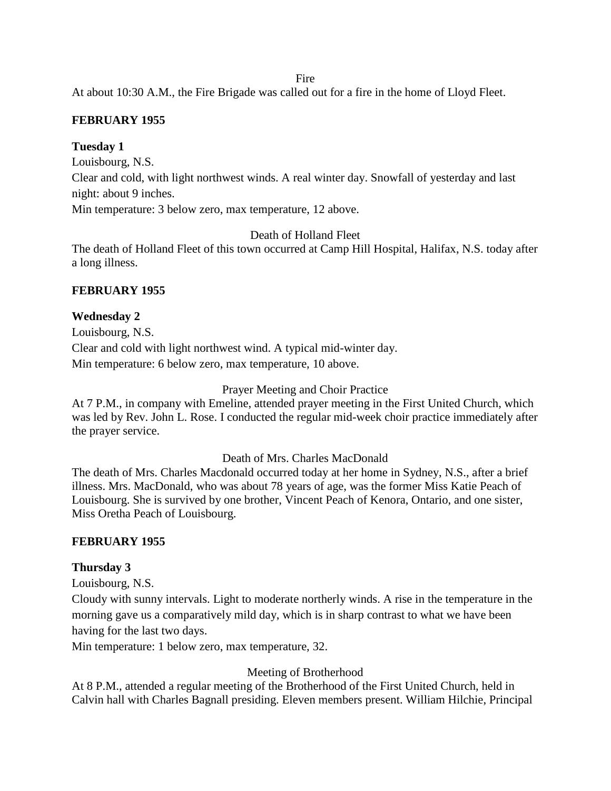Fire

At about 10:30 A.M., the Fire Brigade was called out for a fire in the home of Lloyd Fleet.

## **FEBRUARY 1955**

#### **Tuesday 1**

Louisbourg, N.S.

Clear and cold, with light northwest winds. A real winter day. Snowfall of yesterday and last night: about 9 inches.

Min temperature: 3 below zero, max temperature, 12 above.

Death of Holland Fleet

The death of Holland Fleet of this town occurred at Camp Hill Hospital, Halifax, N.S. today after a long illness.

## **FEBRUARY 1955**

#### **Wednesday 2**

Louisbourg, N.S. Clear and cold with light northwest wind. A typical mid-winter day. Min temperature: 6 below zero, max temperature, 10 above.

#### Prayer Meeting and Choir Practice

At 7 P.M., in company with Emeline, attended prayer meeting in the First United Church, which was led by Rev. John L. Rose. I conducted the regular mid-week choir practice immediately after the prayer service.

#### Death of Mrs. Charles MacDonald

The death of Mrs. Charles Macdonald occurred today at her home in Sydney, N.S., after a brief illness. Mrs. MacDonald, who was about 78 years of age, was the former Miss Katie Peach of Louisbourg. She is survived by one brother, Vincent Peach of Kenora, Ontario, and one sister, Miss Oretha Peach of Louisbourg.

#### **FEBRUARY 1955**

#### **Thursday 3**

Louisbourg, N.S.

Cloudy with sunny intervals. Light to moderate northerly winds. A rise in the temperature in the morning gave us a comparatively mild day, which is in sharp contrast to what we have been having for the last two days.

Min temperature: 1 below zero, max temperature, 32.

#### Meeting of Brotherhood

At 8 P.M., attended a regular meeting of the Brotherhood of the First United Church, held in Calvin hall with Charles Bagnall presiding. Eleven members present. William Hilchie, Principal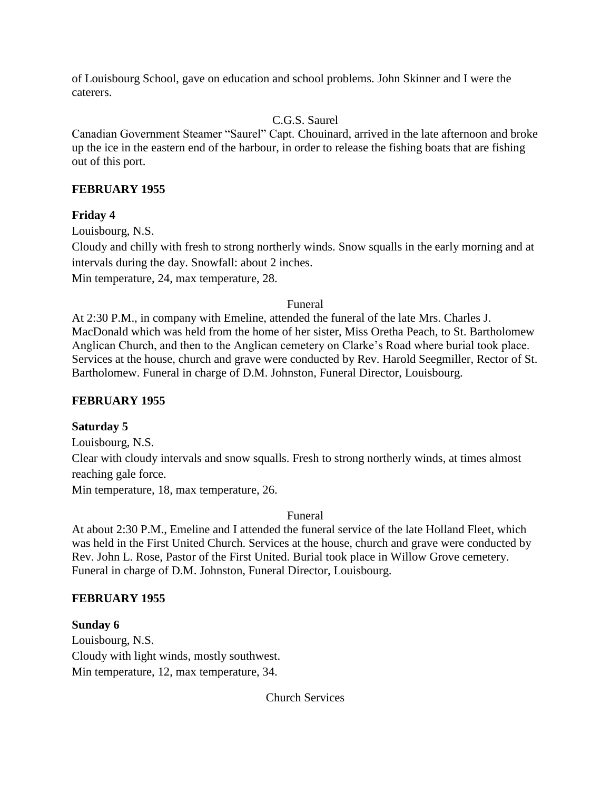of Louisbourg School, gave on education and school problems. John Skinner and I were the caterers.

# C.G.S. Saurel

Canadian Government Steamer "Saurel" Capt. Chouinard, arrived in the late afternoon and broke up the ice in the eastern end of the harbour, in order to release the fishing boats that are fishing out of this port.

## **FEBRUARY 1955**

# **Friday 4**

Louisbourg, N.S.

Cloudy and chilly with fresh to strong northerly winds. Snow squalls in the early morning and at intervals during the day. Snowfall: about 2 inches.

Min temperature, 24, max temperature, 28.

#### Funeral

At 2:30 P.M., in company with Emeline, attended the funeral of the late Mrs. Charles J. MacDonald which was held from the home of her sister, Miss Oretha Peach, to St. Bartholomew Anglican Church, and then to the Anglican cemetery on Clarke's Road where burial took place. Services at the house, church and grave were conducted by Rev. Harold Seegmiller, Rector of St. Bartholomew. Funeral in charge of D.M. Johnston, Funeral Director, Louisbourg.

# **FEBRUARY 1955**

# **Saturday 5**

Louisbourg, N.S.

Clear with cloudy intervals and snow squalls. Fresh to strong northerly winds, at times almost reaching gale force.

Min temperature, 18, max temperature, 26.

Funeral

At about 2:30 P.M., Emeline and I attended the funeral service of the late Holland Fleet, which was held in the First United Church. Services at the house, church and grave were conducted by Rev. John L. Rose, Pastor of the First United. Burial took place in Willow Grove cemetery. Funeral in charge of D.M. Johnston, Funeral Director, Louisbourg.

# **FEBRUARY 1955**

**Sunday 6** Louisbourg, N.S. Cloudy with light winds, mostly southwest. Min temperature, 12, max temperature, 34.

Church Services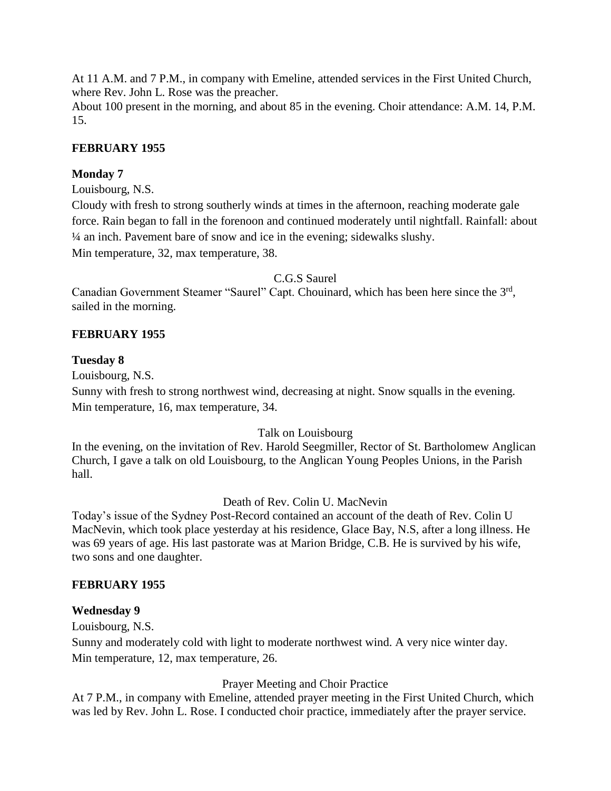At 11 A.M. and 7 P.M., in company with Emeline, attended services in the First United Church, where Rev. John L. Rose was the preacher.

About 100 present in the morning, and about 85 in the evening. Choir attendance: A.M. 14, P.M. 15.

## **FEBRUARY 1955**

#### **Monday 7**

Louisbourg, N.S.

Cloudy with fresh to strong southerly winds at times in the afternoon, reaching moderate gale force. Rain began to fall in the forenoon and continued moderately until nightfall. Rainfall: about ¼ an inch. Pavement bare of snow and ice in the evening; sidewalks slushy. Min temperature, 32, max temperature, 38.

#### C.G.S Saurel

Canadian Government Steamer "Saurel" Capt. Chouinard, which has been here since the 3<sup>rd</sup>, sailed in the morning.

## **FEBRUARY 1955**

#### **Tuesday 8**

Louisbourg, N.S.

Sunny with fresh to strong northwest wind, decreasing at night. Snow squalls in the evening. Min temperature, 16, max temperature, 34.

## Talk on Louisbourg

In the evening, on the invitation of Rev. Harold Seegmiller, Rector of St. Bartholomew Anglican Church, I gave a talk on old Louisbourg, to the Anglican Young Peoples Unions, in the Parish hall.

## Death of Rev. Colin U. MacNevin

Today's issue of the Sydney Post-Record contained an account of the death of Rev. Colin U MacNevin, which took place yesterday at his residence, Glace Bay, N.S, after a long illness. He was 69 years of age. His last pastorate was at Marion Bridge, C.B. He is survived by his wife, two sons and one daughter.

#### **FEBRUARY 1955**

#### **Wednesday 9**

Louisbourg, N.S.

Sunny and moderately cold with light to moderate northwest wind. A very nice winter day. Min temperature, 12, max temperature, 26.

## Prayer Meeting and Choir Practice

At 7 P.M., in company with Emeline, attended prayer meeting in the First United Church, which was led by Rev. John L. Rose. I conducted choir practice, immediately after the prayer service.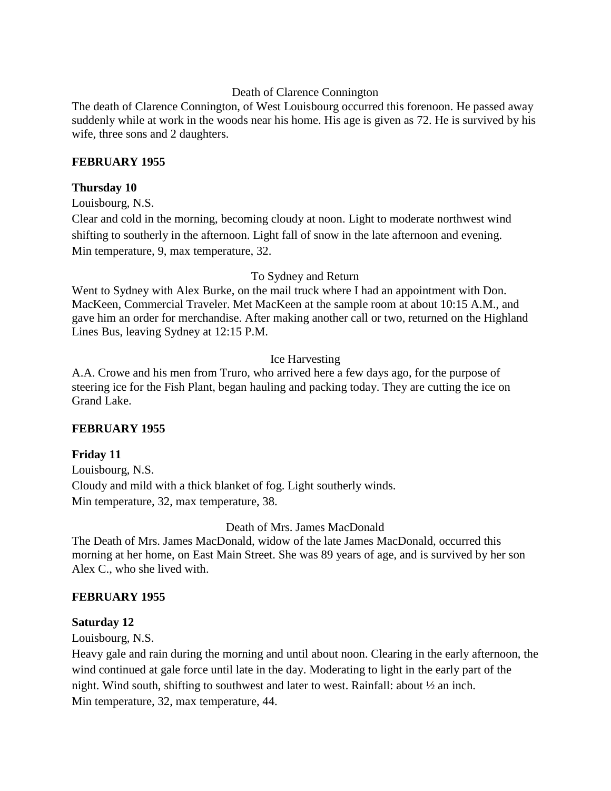#### Death of Clarence Connington

The death of Clarence Connington, of West Louisbourg occurred this forenoon. He passed away suddenly while at work in the woods near his home. His age is given as 72. He is survived by his wife, three sons and 2 daughters.

#### **FEBRUARY 1955**

#### **Thursday 10**

Louisbourg, N.S.

Clear and cold in the morning, becoming cloudy at noon. Light to moderate northwest wind shifting to southerly in the afternoon. Light fall of snow in the late afternoon and evening. Min temperature, 9, max temperature, 32.

#### To Sydney and Return

Went to Sydney with Alex Burke, on the mail truck where I had an appointment with Don. MacKeen, Commercial Traveler. Met MacKeen at the sample room at about 10:15 A.M., and gave him an order for merchandise. After making another call or two, returned on the Highland Lines Bus, leaving Sydney at 12:15 P.M.

#### Ice Harvesting

A.A. Crowe and his men from Truro, who arrived here a few days ago, for the purpose of steering ice for the Fish Plant, began hauling and packing today. They are cutting the ice on Grand Lake.

#### **FEBRUARY 1955**

#### **Friday 11**

Louisbourg, N.S. Cloudy and mild with a thick blanket of fog. Light southerly winds. Min temperature, 32, max temperature, 38.

Death of Mrs. James MacDonald

The Death of Mrs. James MacDonald, widow of the late James MacDonald, occurred this morning at her home, on East Main Street. She was 89 years of age, and is survived by her son Alex C., who she lived with.

#### **FEBRUARY 1955**

#### **Saturday 12**

Louisbourg, N.S.

Heavy gale and rain during the morning and until about noon. Clearing in the early afternoon, the wind continued at gale force until late in the day. Moderating to light in the early part of the night. Wind south, shifting to southwest and later to west. Rainfall: about ½ an inch. Min temperature, 32, max temperature, 44.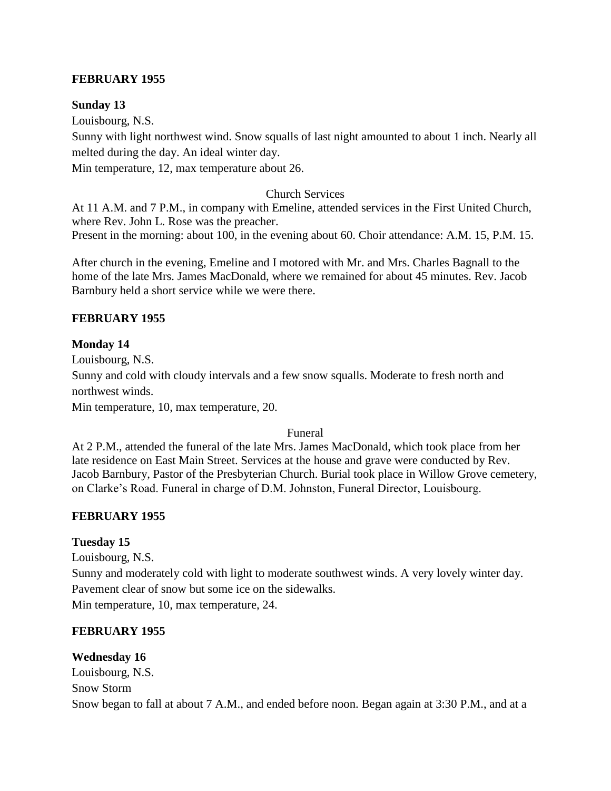#### **FEBRUARY 1955**

#### **Sunday 13**

Louisbourg, N.S.

Sunny with light northwest wind. Snow squalls of last night amounted to about 1 inch. Nearly all melted during the day. An ideal winter day.

Min temperature, 12, max temperature about 26.

#### Church Services

At 11 A.M. and 7 P.M., in company with Emeline, attended services in the First United Church, where Rev. John L. Rose was the preacher. Present in the morning: about 100, in the evening about 60. Choir attendance: A.M. 15, P.M. 15.

After church in the evening, Emeline and I motored with Mr. and Mrs. Charles Bagnall to the home of the late Mrs. James MacDonald, where we remained for about 45 minutes. Rev. Jacob Barnbury held a short service while we were there.

#### **FEBRUARY 1955**

#### **Monday 14**

Louisbourg, N.S. Sunny and cold with cloudy intervals and a few snow squalls. Moderate to fresh north and northwest winds. Min temperature, 10, max temperature, 20.

#### Funeral

At 2 P.M., attended the funeral of the late Mrs. James MacDonald, which took place from her late residence on East Main Street. Services at the house and grave were conducted by Rev. Jacob Barnbury, Pastor of the Presbyterian Church. Burial took place in Willow Grove cemetery, on Clarke's Road. Funeral in charge of D.M. Johnston, Funeral Director, Louisbourg.

## **FEBRUARY 1955**

## **Tuesday 15**

Louisbourg, N.S.

Sunny and moderately cold with light to moderate southwest winds. A very lovely winter day. Pavement clear of snow but some ice on the sidewalks.

Min temperature, 10, max temperature, 24.

## **FEBRUARY 1955**

#### **Wednesday 16**

Louisbourg, N.S. Snow Storm Snow began to fall at about 7 A.M., and ended before noon. Began again at 3:30 P.M., and at a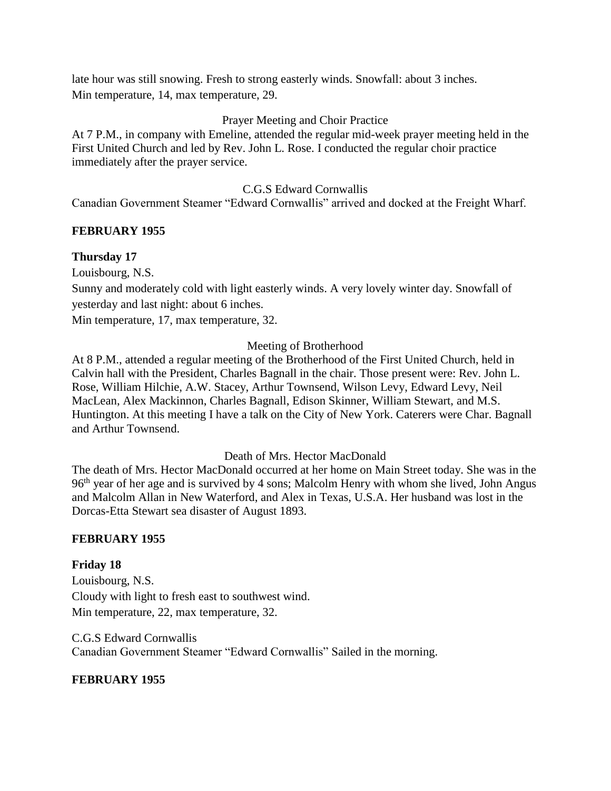late hour was still snowing. Fresh to strong easterly winds. Snowfall: about 3 inches. Min temperature, 14, max temperature, 29.

# Prayer Meeting and Choir Practice

At 7 P.M., in company with Emeline, attended the regular mid-week prayer meeting held in the First United Church and led by Rev. John L. Rose. I conducted the regular choir practice immediately after the prayer service.

# C.G.S Edward Cornwallis

Canadian Government Steamer "Edward Cornwallis" arrived and docked at the Freight Wharf.

# **FEBRUARY 1955**

# **Thursday 17**

Louisbourg, N.S.

Sunny and moderately cold with light easterly winds. A very lovely winter day. Snowfall of yesterday and last night: about 6 inches.

Min temperature, 17, max temperature, 32.

# Meeting of Brotherhood

At 8 P.M., attended a regular meeting of the Brotherhood of the First United Church, held in Calvin hall with the President, Charles Bagnall in the chair. Those present were: Rev. John L. Rose, William Hilchie, A.W. Stacey, Arthur Townsend, Wilson Levy, Edward Levy, Neil MacLean, Alex Mackinnon, Charles Bagnall, Edison Skinner, William Stewart, and M.S. Huntington. At this meeting I have a talk on the City of New York. Caterers were Char. Bagnall and Arthur Townsend.

## Death of Mrs. Hector MacDonald

The death of Mrs. Hector MacDonald occurred at her home on Main Street today. She was in the 96<sup>th</sup> year of her age and is survived by 4 sons; Malcolm Henry with whom she lived, John Angus and Malcolm Allan in New Waterford, and Alex in Texas, U.S.A. Her husband was lost in the Dorcas-Etta Stewart sea disaster of August 1893.

## **FEBRUARY 1955**

**Friday 18** Louisbourg, N.S. Cloudy with light to fresh east to southwest wind. Min temperature, 22, max temperature, 32.

C.G.S Edward Cornwallis Canadian Government Steamer "Edward Cornwallis" Sailed in the morning.

## **FEBRUARY 1955**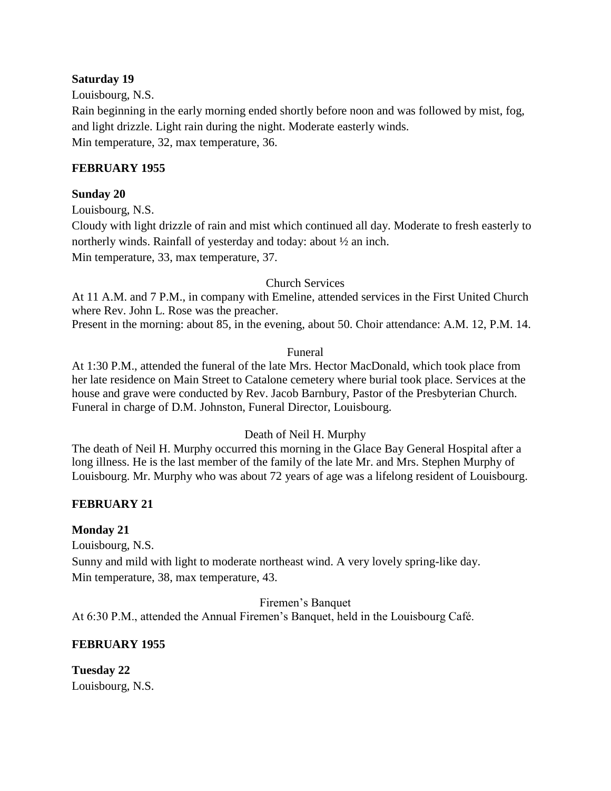#### **Saturday 19**

Louisbourg, N.S.

Rain beginning in the early morning ended shortly before noon and was followed by mist, fog, and light drizzle. Light rain during the night. Moderate easterly winds. Min temperature, 32, max temperature, 36.

#### **FEBRUARY 1955**

#### **Sunday 20**

Louisbourg, N.S.

Cloudy with light drizzle of rain and mist which continued all day. Moderate to fresh easterly to northerly winds. Rainfall of yesterday and today: about ½ an inch.

Min temperature, 33, max temperature, 37.

#### Church Services

At 11 A.M. and 7 P.M., in company with Emeline, attended services in the First United Church where Rev. John L. Rose was the preacher.

Present in the morning: about 85, in the evening, about 50. Choir attendance: A.M. 12, P.M. 14.

#### Funeral

At 1:30 P.M., attended the funeral of the late Mrs. Hector MacDonald, which took place from her late residence on Main Street to Catalone cemetery where burial took place. Services at the house and grave were conducted by Rev. Jacob Barnbury, Pastor of the Presbyterian Church. Funeral in charge of D.M. Johnston, Funeral Director, Louisbourg.

#### Death of Neil H. Murphy

The death of Neil H. Murphy occurred this morning in the Glace Bay General Hospital after a long illness. He is the last member of the family of the late Mr. and Mrs. Stephen Murphy of Louisbourg. Mr. Murphy who was about 72 years of age was a lifelong resident of Louisbourg.

## **FEBRUARY 21**

#### **Monday 21**

Louisbourg, N.S.

Sunny and mild with light to moderate northeast wind. A very lovely spring-like day. Min temperature, 38, max temperature, 43.

Firemen's Banquet At 6:30 P.M., attended the Annual Firemen's Banquet, held in the Louisbourg Café.

## **FEBRUARY 1955**

**Tuesday 22** Louisbourg, N.S.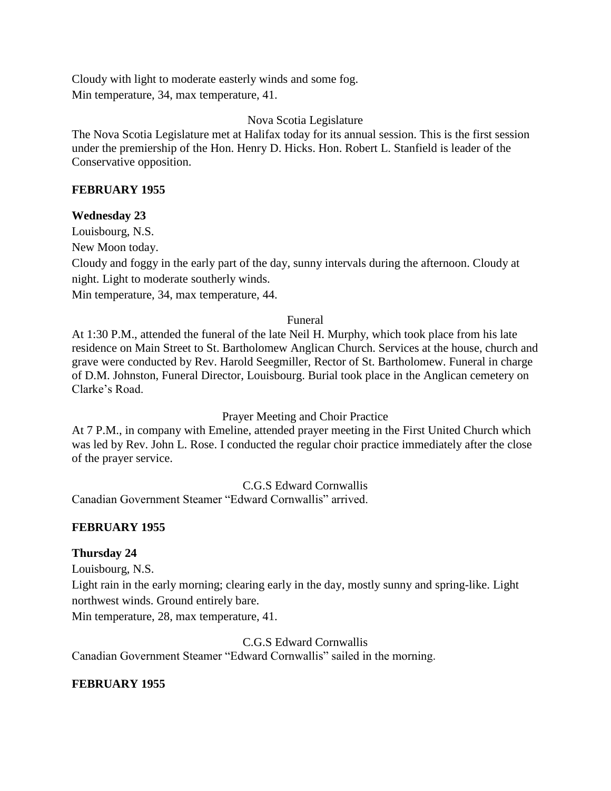Cloudy with light to moderate easterly winds and some fog. Min temperature, 34, max temperature, 41.

Nova Scotia Legislature

The Nova Scotia Legislature met at Halifax today for its annual session. This is the first session under the premiership of the Hon. Henry D. Hicks. Hon. Robert L. Stanfield is leader of the Conservative opposition.

#### **FEBRUARY 1955**

#### **Wednesday 23**

Louisbourg, N.S.

New Moon today.

Cloudy and foggy in the early part of the day, sunny intervals during the afternoon. Cloudy at night. Light to moderate southerly winds.

Min temperature, 34, max temperature, 44.

#### Funeral

At 1:30 P.M., attended the funeral of the late Neil H. Murphy, which took place from his late residence on Main Street to St. Bartholomew Anglican Church. Services at the house, church and grave were conducted by Rev. Harold Seegmiller, Rector of St. Bartholomew. Funeral in charge of D.M. Johnston, Funeral Director, Louisbourg. Burial took place in the Anglican cemetery on Clarke's Road.

Prayer Meeting and Choir Practice

At 7 P.M., in company with Emeline, attended prayer meeting in the First United Church which was led by Rev. John L. Rose. I conducted the regular choir practice immediately after the close of the prayer service.

C.G.S Edward Cornwallis

Canadian Government Steamer "Edward Cornwallis" arrived.

## **FEBRUARY 1955**

## **Thursday 24**

Louisbourg, N.S.

Light rain in the early morning; clearing early in the day, mostly sunny and spring-like. Light northwest winds. Ground entirely bare.

Min temperature, 28, max temperature, 41.

C.G.S Edward Cornwallis Canadian Government Steamer "Edward Cornwallis" sailed in the morning.

## **FEBRUARY 1955**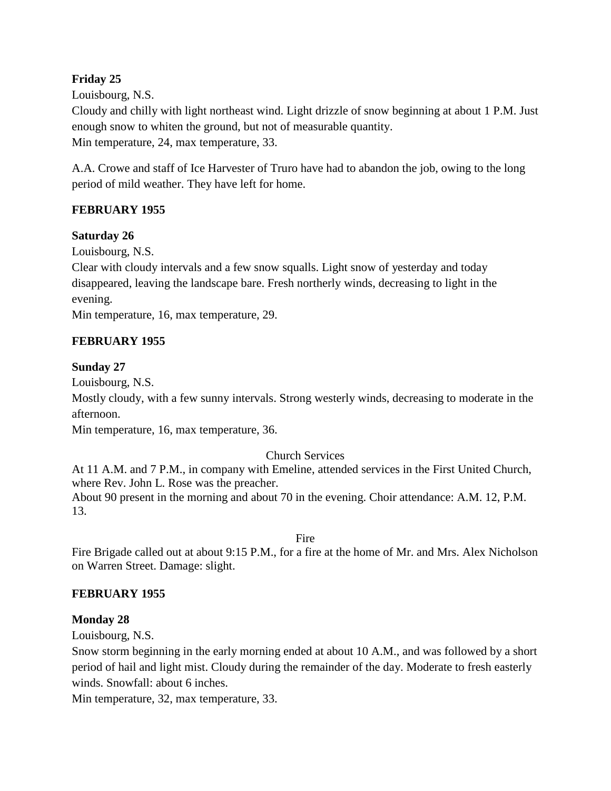# **Friday 25**

Louisbourg, N.S.

Cloudy and chilly with light northeast wind. Light drizzle of snow beginning at about 1 P.M. Just enough snow to whiten the ground, but not of measurable quantity. Min temperature, 24, max temperature, 33.

A.A. Crowe and staff of Ice Harvester of Truro have had to abandon the job, owing to the long period of mild weather. They have left for home.

## **FEBRUARY 1955**

#### **Saturday 26**

Louisbourg, N.S.

Clear with cloudy intervals and a few snow squalls. Light snow of yesterday and today disappeared, leaving the landscape bare. Fresh northerly winds, decreasing to light in the evening.

Min temperature, 16, max temperature, 29.

#### **FEBRUARY 1955**

#### **Sunday 27**

Louisbourg, N.S.

Mostly cloudy, with a few sunny intervals. Strong westerly winds, decreasing to moderate in the afternoon.

Min temperature, 16, max temperature, 36.

## Church Services

At 11 A.M. and 7 P.M., in company with Emeline, attended services in the First United Church, where Rev. John L. Rose was the preacher. About 90 present in the morning and about 70 in the evening. Choir attendance: A.M. 12, P.M.

Fire

Fire Brigade called out at about 9:15 P.M., for a fire at the home of Mr. and Mrs. Alex Nicholson on Warren Street. Damage: slight.

## **FEBRUARY 1955**

#### **Monday 28**

13.

Louisbourg, N.S.

Snow storm beginning in the early morning ended at about 10 A.M., and was followed by a short period of hail and light mist. Cloudy during the remainder of the day. Moderate to fresh easterly winds. Snowfall: about 6 inches.

Min temperature, 32, max temperature, 33.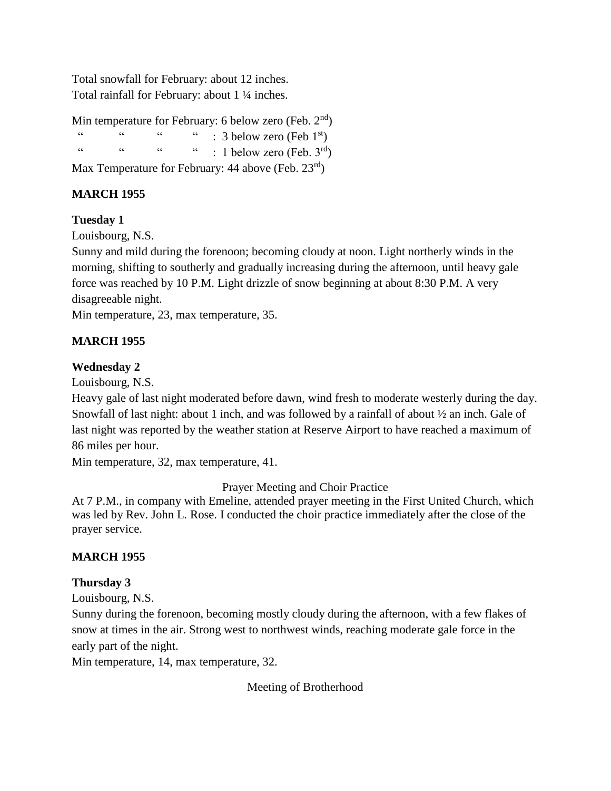Total snowfall for February: about 12 inches. Total rainfall for February: about 1 ¼ inches.

Min temperature for February: 6 below zero (Feb.  $2<sup>nd</sup>$ )  $\ldots$  "  $\ldots$  "  $\ldots$  3 below zero (Feb 1st) " "  $\cdots$  "  $\cdots$  : 1 below zero (Feb. 3rd) Max Temperature for February: 44 above (Feb.  $23^{\text{rd}}$ )

# **MARCH 1955**

#### **Tuesday 1**

Louisbourg, N.S.

Sunny and mild during the forenoon; becoming cloudy at noon. Light northerly winds in the morning, shifting to southerly and gradually increasing during the afternoon, until heavy gale force was reached by 10 P.M. Light drizzle of snow beginning at about 8:30 P.M. A very disagreeable night.

Min temperature, 23, max temperature, 35.

## **MARCH 1955**

#### **Wednesday 2**

Louisbourg, N.S.

Heavy gale of last night moderated before dawn, wind fresh to moderate westerly during the day. Snowfall of last night: about 1 inch, and was followed by a rainfall of about ½ an inch. Gale of last night was reported by the weather station at Reserve Airport to have reached a maximum of 86 miles per hour.

Min temperature, 32, max temperature, 41.

Prayer Meeting and Choir Practice

At 7 P.M., in company with Emeline, attended prayer meeting in the First United Church, which was led by Rev. John L. Rose. I conducted the choir practice immediately after the close of the prayer service.

## **MARCH 1955**

#### **Thursday 3**

Louisbourg, N.S.

Sunny during the forenoon, becoming mostly cloudy during the afternoon, with a few flakes of snow at times in the air. Strong west to northwest winds, reaching moderate gale force in the early part of the night.

Min temperature, 14, max temperature, 32.

Meeting of Brotherhood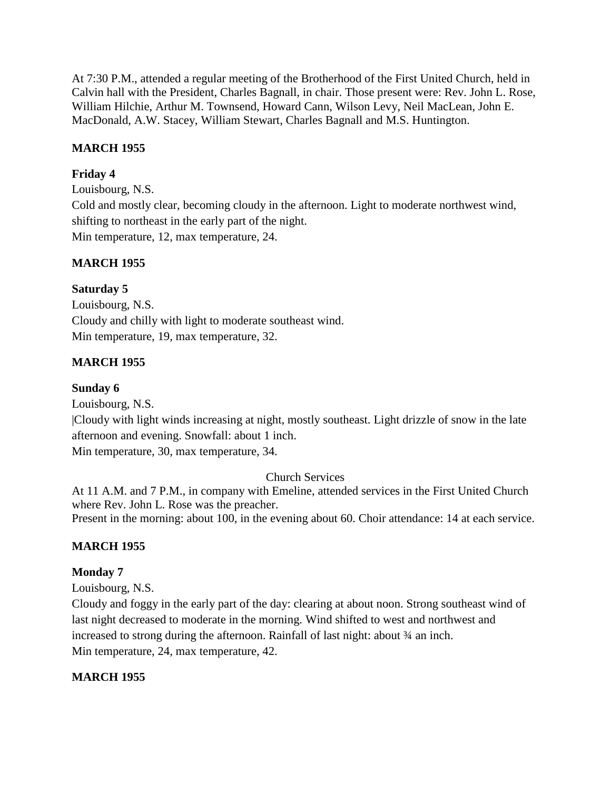At 7:30 P.M., attended a regular meeting of the Brotherhood of the First United Church, held in Calvin hall with the President, Charles Bagnall, in chair. Those present were: Rev. John L. Rose, William Hilchie, Arthur M. Townsend, Howard Cann, Wilson Levy, Neil MacLean, John E. MacDonald, A.W. Stacey, William Stewart, Charles Bagnall and M.S. Huntington.

## **MARCH 1955**

# **Friday 4**

Louisbourg, N.S. Cold and mostly clear, becoming cloudy in the afternoon. Light to moderate northwest wind, shifting to northeast in the early part of the night. Min temperature, 12, max temperature, 24.

# **MARCH 1955**

# **Saturday 5**

Louisbourg, N.S. Cloudy and chilly with light to moderate southeast wind. Min temperature, 19, max temperature, 32.

# **MARCH 1955**

## **Sunday 6**

Louisbourg, N.S. |Cloudy with light winds increasing at night, mostly southeast. Light drizzle of snow in the late afternoon and evening. Snowfall: about 1 inch. Min temperature, 30, max temperature, 34.

## Church Services

At 11 A.M. and 7 P.M., in company with Emeline, attended services in the First United Church where Rev. John L. Rose was the preacher. Present in the morning: about 100, in the evening about 60. Choir attendance: 14 at each service.

## **MARCH 1955**

## **Monday 7**

Louisbourg, N.S.

Cloudy and foggy in the early part of the day: clearing at about noon. Strong southeast wind of last night decreased to moderate in the morning. Wind shifted to west and northwest and increased to strong during the afternoon. Rainfall of last night: about ¾ an inch. Min temperature, 24, max temperature, 42.

## **MARCH 1955**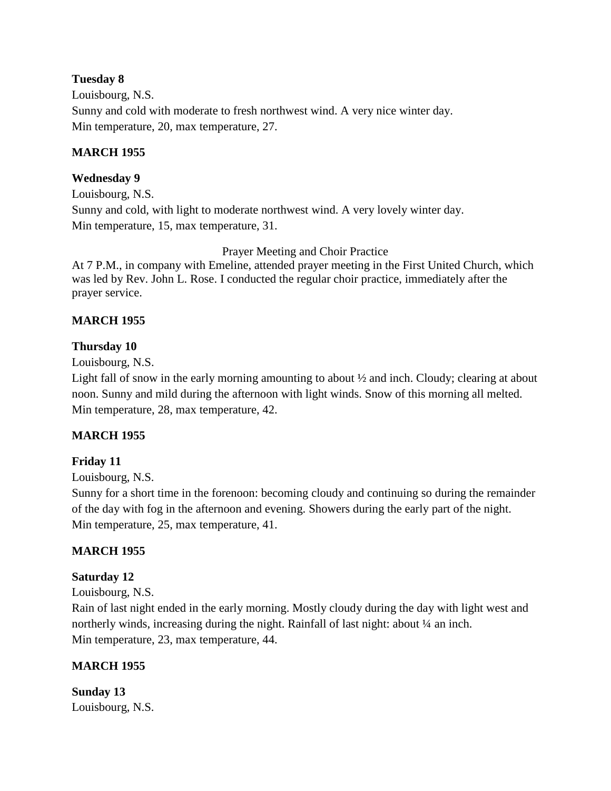## **Tuesday 8**

Louisbourg, N.S. Sunny and cold with moderate to fresh northwest wind. A very nice winter day. Min temperature, 20, max temperature, 27.

#### **MARCH 1955**

#### **Wednesday 9**

Louisbourg, N.S. Sunny and cold, with light to moderate northwest wind. A very lovely winter day. Min temperature, 15, max temperature, 31.

Prayer Meeting and Choir Practice

At 7 P.M., in company with Emeline, attended prayer meeting in the First United Church, which was led by Rev. John L. Rose. I conducted the regular choir practice, immediately after the prayer service.

#### **MARCH 1955**

#### **Thursday 10**

Louisbourg, N.S.

Light fall of snow in the early morning amounting to about ½ and inch. Cloudy; clearing at about noon. Sunny and mild during the afternoon with light winds. Snow of this morning all melted. Min temperature, 28, max temperature, 42.

## **MARCH 1955**

## **Friday 11**

Louisbourg, N.S.

Sunny for a short time in the forenoon: becoming cloudy and continuing so during the remainder of the day with fog in the afternoon and evening. Showers during the early part of the night. Min temperature, 25, max temperature, 41.

## **MARCH 1955**

#### **Saturday 12**

Louisbourg, N.S.

Rain of last night ended in the early morning. Mostly cloudy during the day with light west and northerly winds, increasing during the night. Rainfall of last night: about  $\frac{1}{4}$  an inch. Min temperature, 23, max temperature, 44.

## **MARCH 1955**

**Sunday 13** Louisbourg, N.S.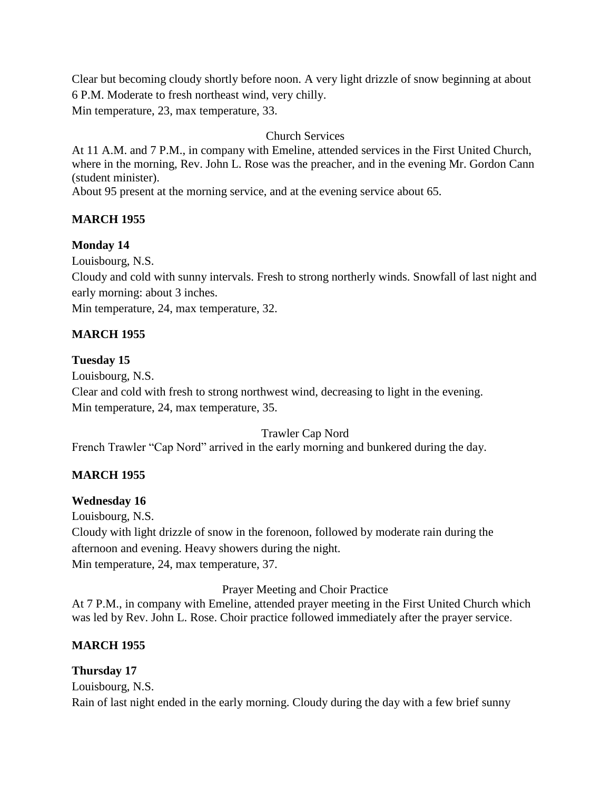Clear but becoming cloudy shortly before noon. A very light drizzle of snow beginning at about 6 P.M. Moderate to fresh northeast wind, very chilly. Min temperature, 23, max temperature, 33.

Church Services

At 11 A.M. and 7 P.M., in company with Emeline, attended services in the First United Church, where in the morning, Rev. John L. Rose was the preacher, and in the evening Mr. Gordon Cann (student minister).

About 95 present at the morning service, and at the evening service about 65.

## **MARCH 1955**

# **Monday 14**

Louisbourg, N.S.

Cloudy and cold with sunny intervals. Fresh to strong northerly winds. Snowfall of last night and early morning: about 3 inches.

Min temperature, 24, max temperature, 32.

# **MARCH 1955**

## **Tuesday 15**

Louisbourg, N.S.

Clear and cold with fresh to strong northwest wind, decreasing to light in the evening. Min temperature, 24, max temperature, 35.

Trawler Cap Nord

French Trawler "Cap Nord" arrived in the early morning and bunkered during the day.

# **MARCH 1955**

## **Wednesday 16**

Louisbourg, N.S. Cloudy with light drizzle of snow in the forenoon, followed by moderate rain during the afternoon and evening. Heavy showers during the night. Min temperature, 24, max temperature, 37.

Prayer Meeting and Choir Practice

At 7 P.M., in company with Emeline, attended prayer meeting in the First United Church which was led by Rev. John L. Rose. Choir practice followed immediately after the prayer service.

# **MARCH 1955**

# **Thursday 17**

Louisbourg, N.S. Rain of last night ended in the early morning. Cloudy during the day with a few brief sunny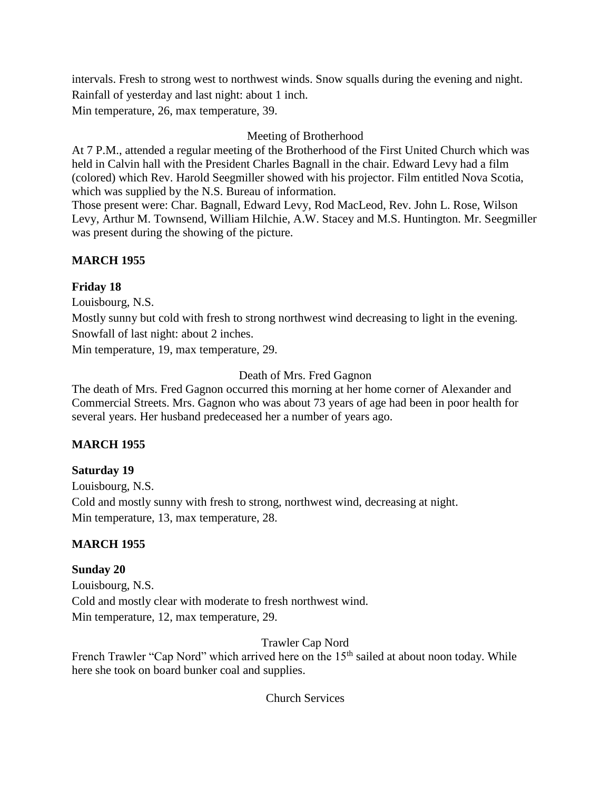intervals. Fresh to strong west to northwest winds. Snow squalls during the evening and night. Rainfall of yesterday and last night: about 1 inch. Min temperature, 26, max temperature, 39.

# Meeting of Brotherhood

At 7 P.M., attended a regular meeting of the Brotherhood of the First United Church which was held in Calvin hall with the President Charles Bagnall in the chair. Edward Levy had a film (colored) which Rev. Harold Seegmiller showed with his projector. Film entitled Nova Scotia, which was supplied by the N.S. Bureau of information.

Those present were: Char. Bagnall, Edward Levy, Rod MacLeod, Rev. John L. Rose, Wilson Levy, Arthur M. Townsend, William Hilchie, A.W. Stacey and M.S. Huntington. Mr. Seegmiller was present during the showing of the picture.

# **MARCH 1955**

# **Friday 18**

Louisbourg, N.S.

Mostly sunny but cold with fresh to strong northwest wind decreasing to light in the evening. Snowfall of last night: about 2 inches.

Min temperature, 19, max temperature, 29.

# Death of Mrs. Fred Gagnon

The death of Mrs. Fred Gagnon occurred this morning at her home corner of Alexander and Commercial Streets. Mrs. Gagnon who was about 73 years of age had been in poor health for several years. Her husband predeceased her a number of years ago.

# **MARCH 1955**

# **Saturday 19**

Louisbourg, N.S. Cold and mostly sunny with fresh to strong, northwest wind, decreasing at night. Min temperature, 13, max temperature, 28.

# **MARCH 1955**

# **Sunday 20**

Louisbourg, N.S. Cold and mostly clear with moderate to fresh northwest wind. Min temperature, 12, max temperature, 29.

# Trawler Cap Nord

French Trawler "Cap Nord" which arrived here on the 15<sup>th</sup> sailed at about noon today. While here she took on board bunker coal and supplies.

# Church Services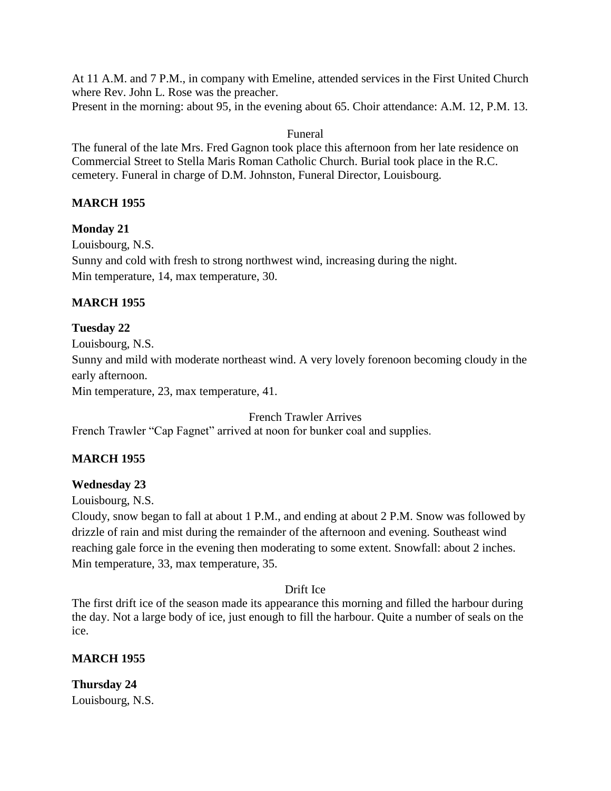At 11 A.M. and 7 P.M., in company with Emeline, attended services in the First United Church where Rev. John L. Rose was the preacher. Present in the morning: about 95, in the evening about 65. Choir attendance: A.M. 12, P.M. 13.

#### Funeral

The funeral of the late Mrs. Fred Gagnon took place this afternoon from her late residence on Commercial Street to Stella Maris Roman Catholic Church. Burial took place in the R.C. cemetery. Funeral in charge of D.M. Johnston, Funeral Director, Louisbourg.

## **MARCH 1955**

#### **Monday 21**

Louisbourg, N.S. Sunny and cold with fresh to strong northwest wind, increasing during the night. Min temperature, 14, max temperature, 30.

#### **MARCH 1955**

## **Tuesday 22**

Louisbourg, N.S. Sunny and mild with moderate northeast wind. A very lovely forenoon becoming cloudy in the early afternoon.

Min temperature, 23, max temperature, 41.

French Trawler Arrives

French Trawler "Cap Fagnet" arrived at noon for bunker coal and supplies.

## **MARCH 1955**

## **Wednesday 23**

Louisbourg, N.S.

Cloudy, snow began to fall at about 1 P.M., and ending at about 2 P.M. Snow was followed by drizzle of rain and mist during the remainder of the afternoon and evening. Southeast wind reaching gale force in the evening then moderating to some extent. Snowfall: about 2 inches. Min temperature, 33, max temperature, 35.

#### Drift Ice

The first drift ice of the season made its appearance this morning and filled the harbour during the day. Not a large body of ice, just enough to fill the harbour. Quite a number of seals on the ice.

## **MARCH 1955**

**Thursday 24** Louisbourg, N.S.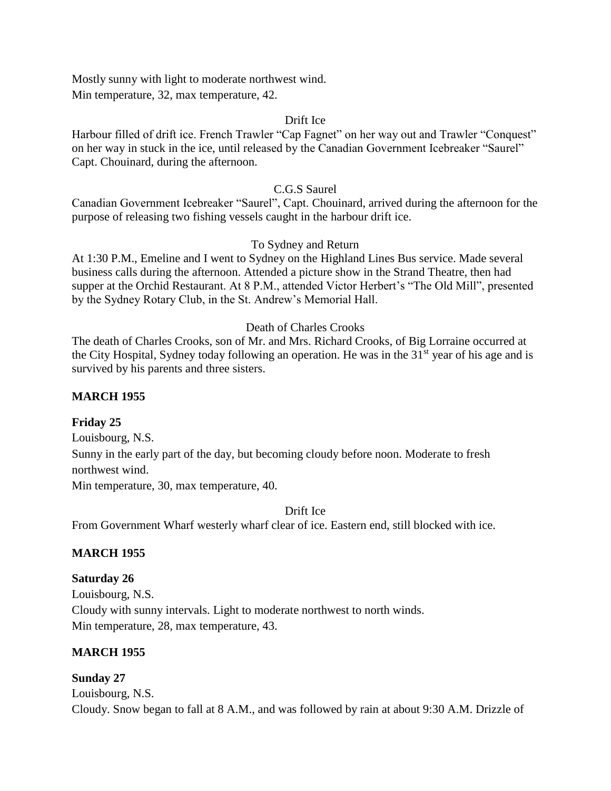Mostly sunny with light to moderate northwest wind. Min temperature, 32, max temperature, 42.

#### Drift Ice

Harbour filled of drift ice. French Trawler "Cap Fagnet" on her way out and Trawler "Conquest" on her way in stuck in the ice, until released by the Canadian Government Icebreaker "Saurel" Capt. Chouinard, during the afternoon.

#### C.G.S Saurel

Canadian Government Icebreaker "Saurel", Capt. Chouinard, arrived during the afternoon for the purpose of releasing two fishing vessels caught in the harbour drift ice.

#### To Sydney and Return

At 1:30 P.M., Emeline and I went to Sydney on the Highland Lines Bus service. Made several business calls during the afternoon. Attended a picture show in the Strand Theatre, then had supper at the Orchid Restaurant. At 8 P.M., attended Victor Herbert's "The Old Mill", presented by the Sydney Rotary Club, in the St. Andrew's Memorial Hall.

## Death of Charles Crooks

The death of Charles Crooks, son of Mr. and Mrs. Richard Crooks, of Big Lorraine occurred at the City Hospital, Sydney today following an operation. He was in the  $31<sup>st</sup>$  year of his age and is survived by his parents and three sisters.

#### **MARCH 1955**

#### **Friday 25**

Louisbourg, N.S. Sunny in the early part of the day, but becoming cloudy before noon. Moderate to fresh northwest wind. Min temperature, 30, max temperature, 40.

Drift Ice

From Government Wharf westerly wharf clear of ice. Eastern end, still blocked with ice.

## **MARCH 1955**

#### **Saturday 26**

Louisbourg, N.S. Cloudy with sunny intervals. Light to moderate northwest to north winds. Min temperature, 28, max temperature, 43.

## **MARCH 1955**

#### **Sunday 27**

Louisbourg, N.S. Cloudy. Snow began to fall at 8 A.M., and was followed by rain at about 9:30 A.M. Drizzle of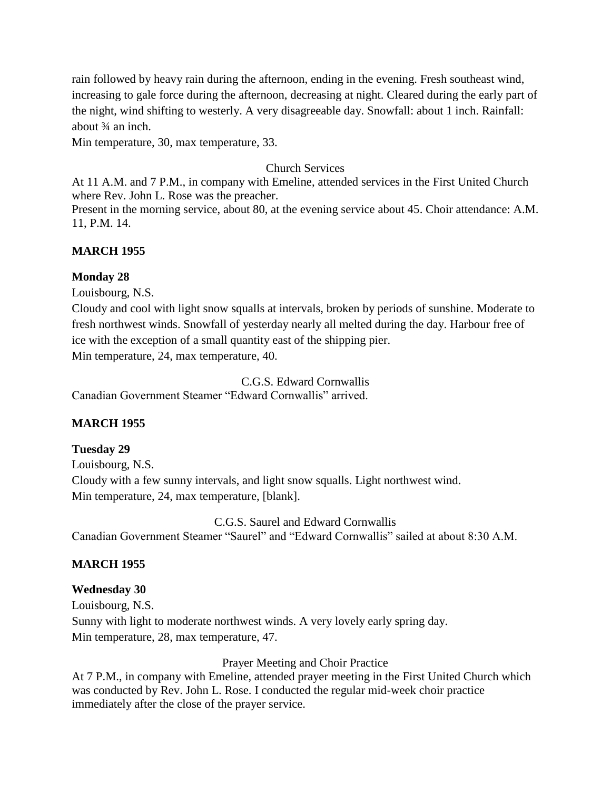rain followed by heavy rain during the afternoon, ending in the evening. Fresh southeast wind, increasing to gale force during the afternoon, decreasing at night. Cleared during the early part of the night, wind shifting to westerly. A very disagreeable day. Snowfall: about 1 inch. Rainfall: about ¾ an inch.

Min temperature, 30, max temperature, 33.

## Church Services

At 11 A.M. and 7 P.M., in company with Emeline, attended services in the First United Church where Rev. John L. Rose was the preacher.

Present in the morning service, about 80, at the evening service about 45. Choir attendance: A.M. 11, P.M. 14.

# **MARCH 1955**

## **Monday 28**

Louisbourg, N.S.

Cloudy and cool with light snow squalls at intervals, broken by periods of sunshine. Moderate to fresh northwest winds. Snowfall of yesterday nearly all melted during the day. Harbour free of ice with the exception of a small quantity east of the shipping pier. Min temperature, 24, max temperature, 40.

C.G.S. Edward Cornwallis Canadian Government Steamer "Edward Cornwallis" arrived.

# **MARCH 1955**

# **Tuesday 29**

Louisbourg, N.S. Cloudy with a few sunny intervals, and light snow squalls. Light northwest wind. Min temperature, 24, max temperature, [blank].

C.G.S. Saurel and Edward Cornwallis Canadian Government Steamer "Saurel" and "Edward Cornwallis" sailed at about 8:30 A.M.

# **MARCH 1955**

# **Wednesday 30**

Louisbourg, N.S. Sunny with light to moderate northwest winds. A very lovely early spring day. Min temperature, 28, max temperature, 47.

Prayer Meeting and Choir Practice

At 7 P.M., in company with Emeline, attended prayer meeting in the First United Church which was conducted by Rev. John L. Rose. I conducted the regular mid-week choir practice immediately after the close of the prayer service.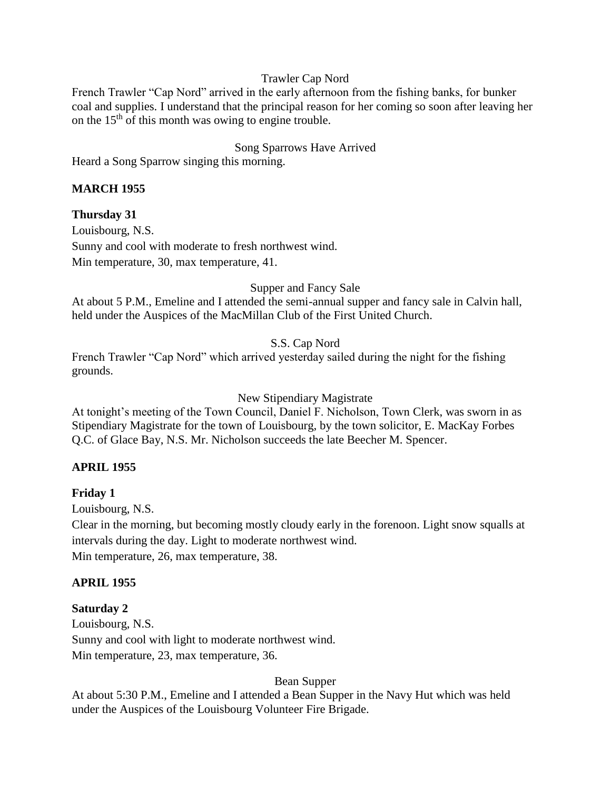#### Trawler Cap Nord

French Trawler "Cap Nord" arrived in the early afternoon from the fishing banks, for bunker coal and supplies. I understand that the principal reason for her coming so soon after leaving her on the  $15<sup>th</sup>$  of this month was owing to engine trouble.

#### Song Sparrows Have Arrived

Heard a Song Sparrow singing this morning.

#### **MARCH 1955**

#### **Thursday 31**

Louisbourg, N.S. Sunny and cool with moderate to fresh northwest wind. Min temperature, 30, max temperature, 41.

Supper and Fancy Sale

At about 5 P.M., Emeline and I attended the semi-annual supper and fancy sale in Calvin hall, held under the Auspices of the MacMillan Club of the First United Church.

#### S.S. Cap Nord

French Trawler "Cap Nord" which arrived yesterday sailed during the night for the fishing grounds.

New Stipendiary Magistrate

At tonight's meeting of the Town Council, Daniel F. Nicholson, Town Clerk, was sworn in as Stipendiary Magistrate for the town of Louisbourg, by the town solicitor, E. MacKay Forbes Q.C. of Glace Bay, N.S. Mr. Nicholson succeeds the late Beecher M. Spencer.

#### **APRIL 1955**

#### **Friday 1**

Louisbourg, N.S.

Clear in the morning, but becoming mostly cloudy early in the forenoon. Light snow squalls at intervals during the day. Light to moderate northwest wind. Min temperature, 26, max temperature, 38.

#### **APRIL 1955**

#### **Saturday 2**

Louisbourg, N.S. Sunny and cool with light to moderate northwest wind. Min temperature, 23, max temperature, 36.

Bean Supper

At about 5:30 P.M., Emeline and I attended a Bean Supper in the Navy Hut which was held under the Auspices of the Louisbourg Volunteer Fire Brigade.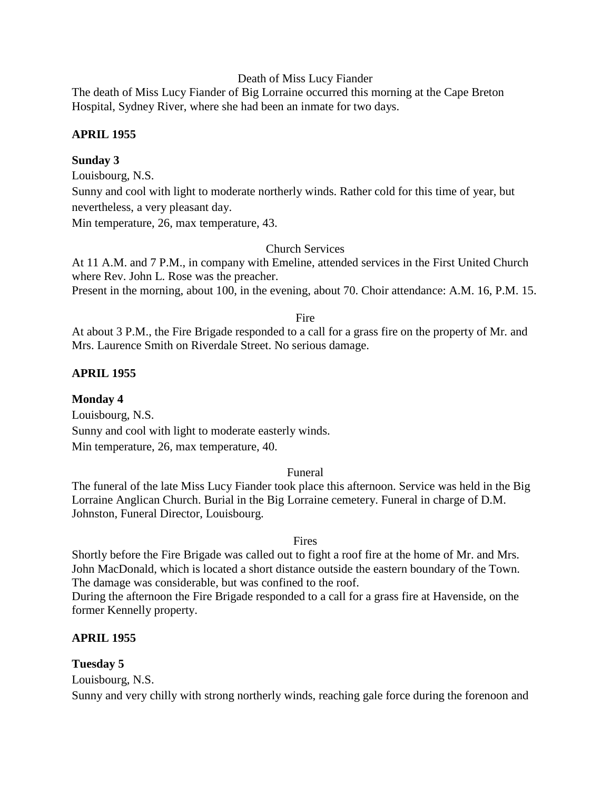#### Death of Miss Lucy Fiander

The death of Miss Lucy Fiander of Big Lorraine occurred this morning at the Cape Breton Hospital, Sydney River, where she had been an inmate for two days.

#### **APRIL 1955**

#### **Sunday 3**

Louisbourg, N.S.

Sunny and cool with light to moderate northerly winds. Rather cold for this time of year, but nevertheless, a very pleasant day.

Min temperature, 26, max temperature, 43.

#### Church Services

At 11 A.M. and 7 P.M., in company with Emeline, attended services in the First United Church where Rev. John L. Rose was the preacher.

Present in the morning, about 100, in the evening, about 70. Choir attendance: A.M. 16, P.M. 15.

Fire

At about 3 P.M., the Fire Brigade responded to a call for a grass fire on the property of Mr. and Mrs. Laurence Smith on Riverdale Street. No serious damage.

## **APRIL 1955**

#### **Monday 4**

Louisbourg, N.S. Sunny and cool with light to moderate easterly winds. Min temperature, 26, max temperature, 40.

#### Funeral

The funeral of the late Miss Lucy Fiander took place this afternoon. Service was held in the Big Lorraine Anglican Church. Burial in the Big Lorraine cemetery. Funeral in charge of D.M. Johnston, Funeral Director, Louisbourg.

#### Fires

Shortly before the Fire Brigade was called out to fight a roof fire at the home of Mr. and Mrs. John MacDonald, which is located a short distance outside the eastern boundary of the Town. The damage was considerable, but was confined to the roof.

During the afternoon the Fire Brigade responded to a call for a grass fire at Havenside, on the former Kennelly property.

## **APRIL 1955**

#### **Tuesday 5**

Louisbourg, N.S.

Sunny and very chilly with strong northerly winds, reaching gale force during the forenoon and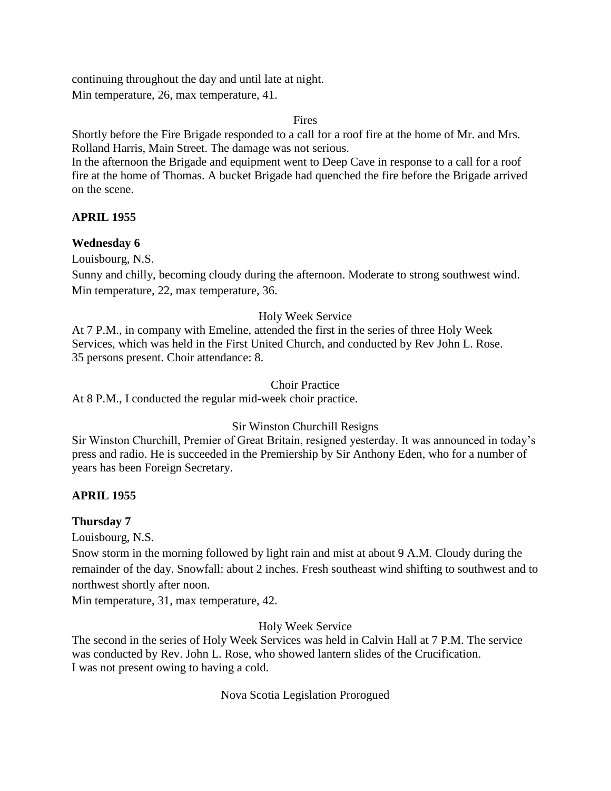continuing throughout the day and until late at night. Min temperature, 26, max temperature, 41.

#### Fires

Shortly before the Fire Brigade responded to a call for a roof fire at the home of Mr. and Mrs. Rolland Harris, Main Street. The damage was not serious.

In the afternoon the Brigade and equipment went to Deep Cave in response to a call for a roof fire at the home of Thomas. A bucket Brigade had quenched the fire before the Brigade arrived on the scene.

## **APRIL 1955**

## **Wednesday 6**

Louisbourg, N.S.

Sunny and chilly, becoming cloudy during the afternoon. Moderate to strong southwest wind. Min temperature, 22, max temperature, 36.

# Holy Week Service

At 7 P.M., in company with Emeline, attended the first in the series of three Holy Week Services, which was held in the First United Church, and conducted by Rev John L. Rose. 35 persons present. Choir attendance: 8.

## Choir Practice

At 8 P.M., I conducted the regular mid-week choir practice.

## Sir Winston Churchill Resigns

Sir Winston Churchill, Premier of Great Britain, resigned yesterday. It was announced in today's press and radio. He is succeeded in the Premiership by Sir Anthony Eden, who for a number of years has been Foreign Secretary.

## **APRIL 1955**

# **Thursday 7**

Louisbourg, N.S.

Snow storm in the morning followed by light rain and mist at about 9 A.M. Cloudy during the remainder of the day. Snowfall: about 2 inches. Fresh southeast wind shifting to southwest and to northwest shortly after noon.

Min temperature, 31, max temperature, 42.

## Holy Week Service

The second in the series of Holy Week Services was held in Calvin Hall at 7 P.M. The service was conducted by Rev. John L. Rose, who showed lantern slides of the Crucification. I was not present owing to having a cold.

# Nova Scotia Legislation Prorogued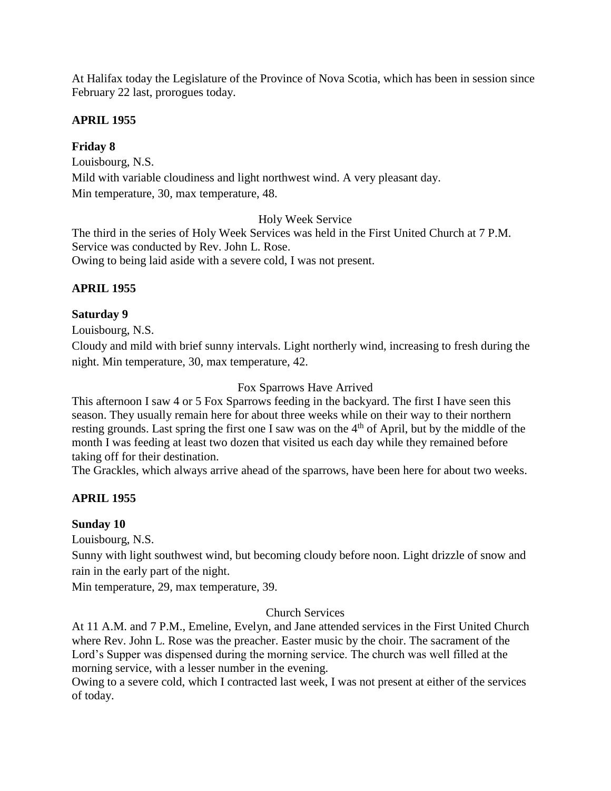At Halifax today the Legislature of the Province of Nova Scotia, which has been in session since February 22 last, prorogues today.

#### **APRIL 1955**

#### **Friday 8**

Louisbourg, N.S.

Mild with variable cloudiness and light northwest wind. A very pleasant day. Min temperature, 30, max temperature, 48.

Holy Week Service

The third in the series of Holy Week Services was held in the First United Church at 7 P.M. Service was conducted by Rev. John L. Rose. Owing to being laid aside with a severe cold, I was not present.

## **APRIL 1955**

#### **Saturday 9**

Louisbourg, N.S.

Cloudy and mild with brief sunny intervals. Light northerly wind, increasing to fresh during the night. Min temperature, 30, max temperature, 42.

#### Fox Sparrows Have Arrived

This afternoon I saw 4 or 5 Fox Sparrows feeding in the backyard. The first I have seen this season. They usually remain here for about three weeks while on their way to their northern resting grounds. Last spring the first one I saw was on the 4<sup>th</sup> of April, but by the middle of the month I was feeding at least two dozen that visited us each day while they remained before taking off for their destination.

The Grackles, which always arrive ahead of the sparrows, have been here for about two weeks.

#### **APRIL 1955**

## **Sunday 10**

Louisbourg, N.S.

Sunny with light southwest wind, but becoming cloudy before noon. Light drizzle of snow and rain in the early part of the night.

Min temperature, 29, max temperature, 39.

#### Church Services

At 11 A.M. and 7 P.M., Emeline, Evelyn, and Jane attended services in the First United Church where Rev. John L. Rose was the preacher. Easter music by the choir. The sacrament of the Lord's Supper was dispensed during the morning service. The church was well filled at the morning service, with a lesser number in the evening.

Owing to a severe cold, which I contracted last week, I was not present at either of the services of today.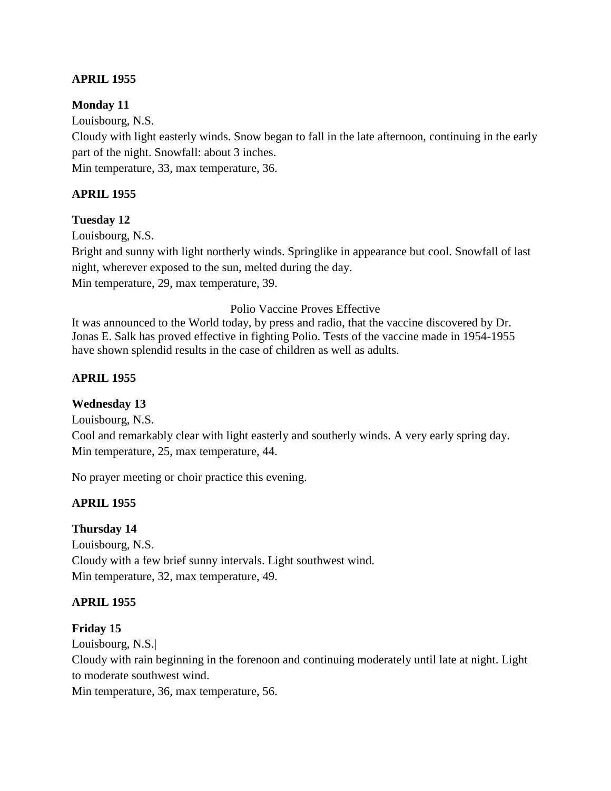# **APRIL 1955**

#### **Monday 11**

Louisbourg, N.S.

Cloudy with light easterly winds. Snow began to fall in the late afternoon, continuing in the early part of the night. Snowfall: about 3 inches. Min temperature, 33, max temperature, 36.

# **APRIL 1955**

## **Tuesday 12**

Louisbourg, N.S.

Bright and sunny with light northerly winds. Springlike in appearance but cool. Snowfall of last night, wherever exposed to the sun, melted during the day. Min temperature, 29, max temperature, 39.

#### Polio Vaccine Proves Effective

It was announced to the World today, by press and radio, that the vaccine discovered by Dr. Jonas E. Salk has proved effective in fighting Polio. Tests of the vaccine made in 1954-1955 have shown splendid results in the case of children as well as adults.

## **APRIL 1955**

## **Wednesday 13**

Louisbourg, N.S. Cool and remarkably clear with light easterly and southerly winds. A very early spring day. Min temperature, 25, max temperature, 44.

No prayer meeting or choir practice this evening.

## **APRIL 1955**

## **Thursday 14**

Louisbourg, N.S. Cloudy with a few brief sunny intervals. Light southwest wind. Min temperature, 32, max temperature, 49.

## **APRIL 1955**

#### **Friday 15**

Louisbourg, N.S.|

Cloudy with rain beginning in the forenoon and continuing moderately until late at night. Light to moderate southwest wind.

Min temperature, 36, max temperature, 56.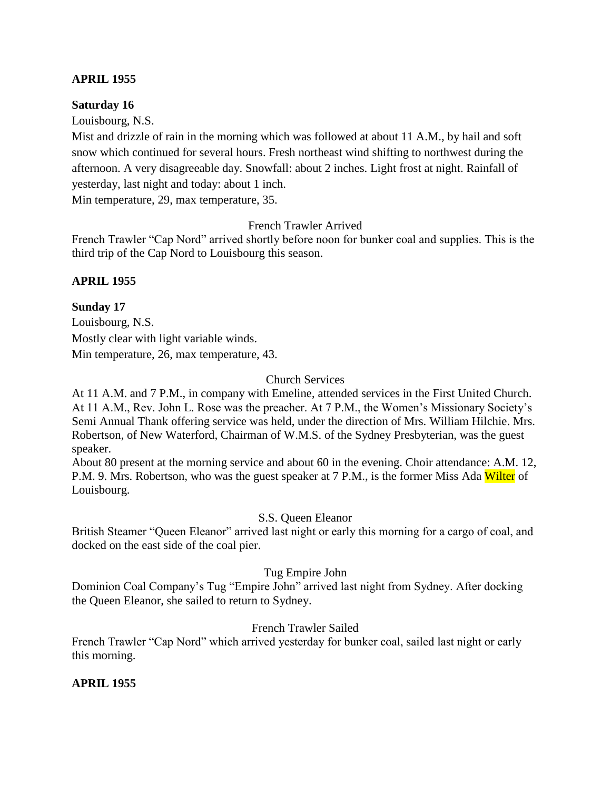#### **APRIL 1955**

#### **Saturday 16**

Louisbourg, N.S.

Mist and drizzle of rain in the morning which was followed at about 11 A.M., by hail and soft snow which continued for several hours. Fresh northeast wind shifting to northwest during the afternoon. A very disagreeable day. Snowfall: about 2 inches. Light frost at night. Rainfall of yesterday, last night and today: about 1 inch.

Min temperature, 29, max temperature, 35.

French Trawler Arrived

French Trawler "Cap Nord" arrived shortly before noon for bunker coal and supplies. This is the third trip of the Cap Nord to Louisbourg this season.

## **APRIL 1955**

## **Sunday 17**

Louisbourg, N.S. Mostly clear with light variable winds. Min temperature, 26, max temperature, 43.

## Church Services

At 11 A.M. and 7 P.M., in company with Emeline, attended services in the First United Church. At 11 A.M., Rev. John L. Rose was the preacher. At 7 P.M., the Women's Missionary Society's Semi Annual Thank offering service was held, under the direction of Mrs. William Hilchie. Mrs. Robertson, of New Waterford, Chairman of W.M.S. of the Sydney Presbyterian, was the guest speaker.

About 80 present at the morning service and about 60 in the evening. Choir attendance: A.M. 12, P.M. 9. Mrs. Robertson, who was the guest speaker at 7 P.M., is the former Miss Ada Wilter of Louisbourg.

## S.S. Queen Eleanor

British Steamer "Queen Eleanor" arrived last night or early this morning for a cargo of coal, and docked on the east side of the coal pier.

## Tug Empire John

Dominion Coal Company's Tug "Empire John" arrived last night from Sydney. After docking the Queen Eleanor, she sailed to return to Sydney.

## French Trawler Sailed

French Trawler "Cap Nord" which arrived yesterday for bunker coal, sailed last night or early this morning.

## **APRIL 1955**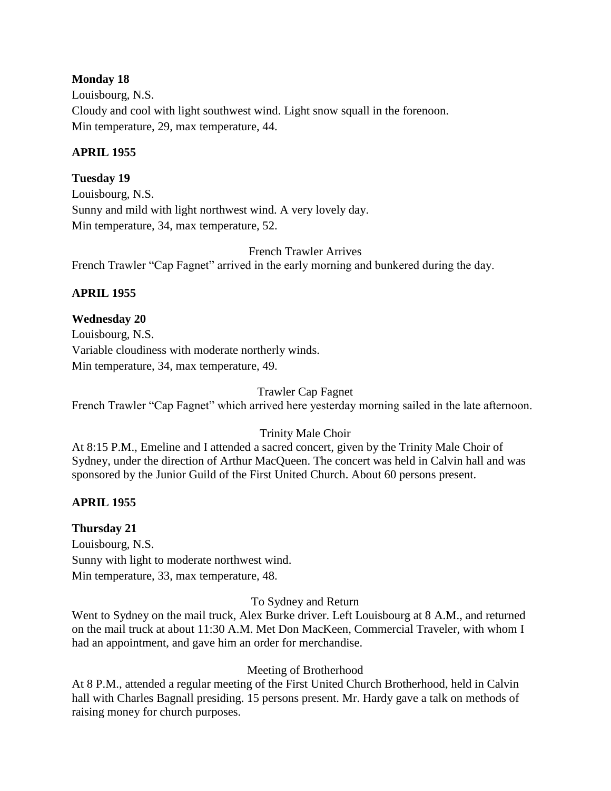#### **Monday 18**

Louisbourg, N.S. Cloudy and cool with light southwest wind. Light snow squall in the forenoon. Min temperature, 29, max temperature, 44.

#### **APRIL 1955**

## **Tuesday 19**

Louisbourg, N.S. Sunny and mild with light northwest wind. A very lovely day. Min temperature, 34, max temperature, 52.

French Trawler Arrives French Trawler "Cap Fagnet" arrived in the early morning and bunkered during the day.

## **APRIL 1955**

## **Wednesday 20**

Louisbourg, N.S. Variable cloudiness with moderate northerly winds. Min temperature, 34, max temperature, 49.

Trawler Cap Fagnet

French Trawler "Cap Fagnet" which arrived here yesterday morning sailed in the late afternoon.

## Trinity Male Choir

At 8:15 P.M., Emeline and I attended a sacred concert, given by the Trinity Male Choir of Sydney, under the direction of Arthur MacQueen. The concert was held in Calvin hall and was sponsored by the Junior Guild of the First United Church. About 60 persons present.

## **APRIL 1955**

## **Thursday 21**

Louisbourg, N.S. Sunny with light to moderate northwest wind. Min temperature, 33, max temperature, 48.

#### To Sydney and Return

Went to Sydney on the mail truck, Alex Burke driver. Left Louisbourg at 8 A.M., and returned on the mail truck at about 11:30 A.M. Met Don MacKeen, Commercial Traveler, with whom I had an appointment, and gave him an order for merchandise.

## Meeting of Brotherhood

At 8 P.M., attended a regular meeting of the First United Church Brotherhood, held in Calvin hall with Charles Bagnall presiding. 15 persons present. Mr. Hardy gave a talk on methods of raising money for church purposes.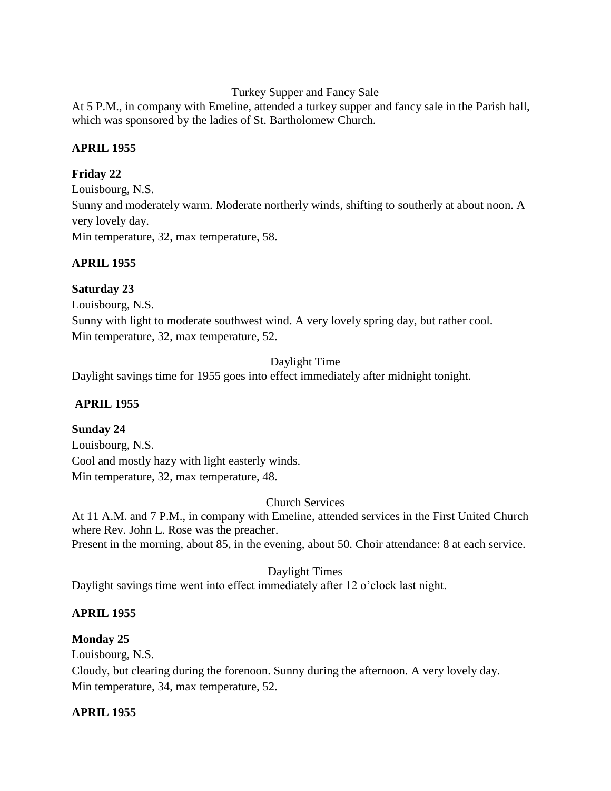Turkey Supper and Fancy Sale

At 5 P.M., in company with Emeline, attended a turkey supper and fancy sale in the Parish hall, which was sponsored by the ladies of St. Bartholomew Church.

# **APRIL 1955**

# **Friday 22**

Louisbourg, N.S. Sunny and moderately warm. Moderate northerly winds, shifting to southerly at about noon. A very lovely day. Min temperature, 32, max temperature, 58.

# **APRIL 1955**

# **Saturday 23**

Louisbourg, N.S. Sunny with light to moderate southwest wind. A very lovely spring day, but rather cool. Min temperature, 32, max temperature, 52.

Daylight Time

Daylight savings time for 1955 goes into effect immediately after midnight tonight.

# **APRIL 1955**

# **Sunday 24**

Louisbourg, N.S. Cool and mostly hazy with light easterly winds. Min temperature, 32, max temperature, 48.

## Church Services

At 11 A.M. and 7 P.M., in company with Emeline, attended services in the First United Church where Rev. John L. Rose was the preacher. Present in the morning, about 85, in the evening, about 50. Choir attendance: 8 at each service.

Daylight Times

Daylight savings time went into effect immediately after 12 o'clock last night.

# **APRIL 1955**

## **Monday 25**

Louisbourg, N.S.

Cloudy, but clearing during the forenoon. Sunny during the afternoon. A very lovely day. Min temperature, 34, max temperature, 52.

## **APRIL 1955**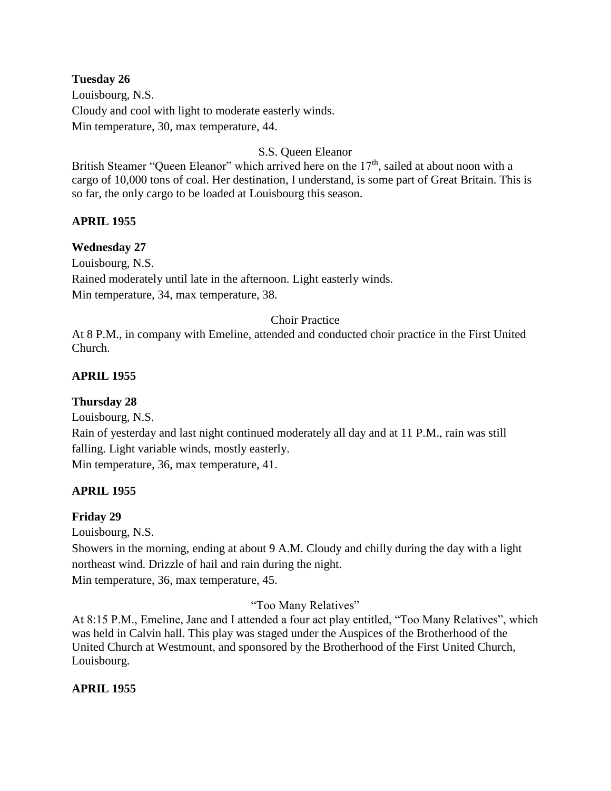#### **Tuesday 26**

Louisbourg, N.S. Cloudy and cool with light to moderate easterly winds. Min temperature, 30, max temperature, 44.

#### S.S. Queen Eleanor

British Steamer "Queen Eleanor" which arrived here on the 17<sup>th</sup>, sailed at about noon with a cargo of 10,000 tons of coal. Her destination, I understand, is some part of Great Britain. This is so far, the only cargo to be loaded at Louisbourg this season.

#### **APRIL 1955**

#### **Wednesday 27**

Louisbourg, N.S.

Rained moderately until late in the afternoon. Light easterly winds. Min temperature, 34, max temperature, 38.

#### Choir Practice

At 8 P.M., in company with Emeline, attended and conducted choir practice in the First United Church.

#### **APRIL 1955**

#### **Thursday 28**

Louisbourg, N.S.

Rain of yesterday and last night continued moderately all day and at 11 P.M., rain was still falling. Light variable winds, mostly easterly.

Min temperature, 36, max temperature, 41.

## **APRIL 1955**

#### **Friday 29**

Louisbourg, N.S.

Showers in the morning, ending at about 9 A.M. Cloudy and chilly during the day with a light northeast wind. Drizzle of hail and rain during the night. Min temperature, 36, max temperature, 45.

"Too Many Relatives"

At 8:15 P.M., Emeline, Jane and I attended a four act play entitled, "Too Many Relatives", which was held in Calvin hall. This play was staged under the Auspices of the Brotherhood of the United Church at Westmount, and sponsored by the Brotherhood of the First United Church, Louisbourg.

#### **APRIL 1955**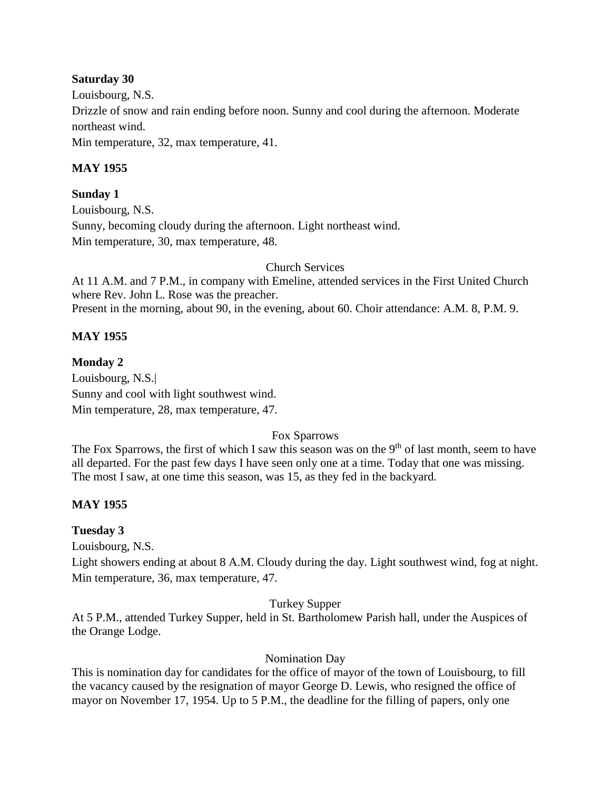## **Saturday 30**

Louisbourg, N.S. Drizzle of snow and rain ending before noon. Sunny and cool during the afternoon. Moderate northeast wind. Min temperature, 32, max temperature, 41.

## **MAY 1955**

**Sunday 1** Louisbourg, N.S. Sunny, becoming cloudy during the afternoon. Light northeast wind. Min temperature, 30, max temperature, 48.

Church Services

At 11 A.M. and 7 P.M., in company with Emeline, attended services in the First United Church where Rev. John L. Rose was the preacher. Present in the morning, about 90, in the evening, about 60. Choir attendance: A.M. 8, P.M. 9.

## **MAY 1955**

**Monday 2** Louisbourg, N.S.| Sunny and cool with light southwest wind. Min temperature, 28, max temperature, 47.

## Fox Sparrows

The Fox Sparrows, the first of which I saw this season was on the  $9<sup>th</sup>$  of last month, seem to have all departed. For the past few days I have seen only one at a time. Today that one was missing. The most I saw, at one time this season, was 15, as they fed in the backyard.

## **MAY 1955**

## **Tuesday 3**

Louisbourg, N.S.

Light showers ending at about 8 A.M. Cloudy during the day. Light southwest wind, fog at night. Min temperature, 36, max temperature, 47.

## Turkey Supper

At 5 P.M., attended Turkey Supper, held in St. Bartholomew Parish hall, under the Auspices of the Orange Lodge.

## Nomination Day

This is nomination day for candidates for the office of mayor of the town of Louisbourg, to fill the vacancy caused by the resignation of mayor George D. Lewis, who resigned the office of mayor on November 17, 1954. Up to 5 P.M., the deadline for the filling of papers, only one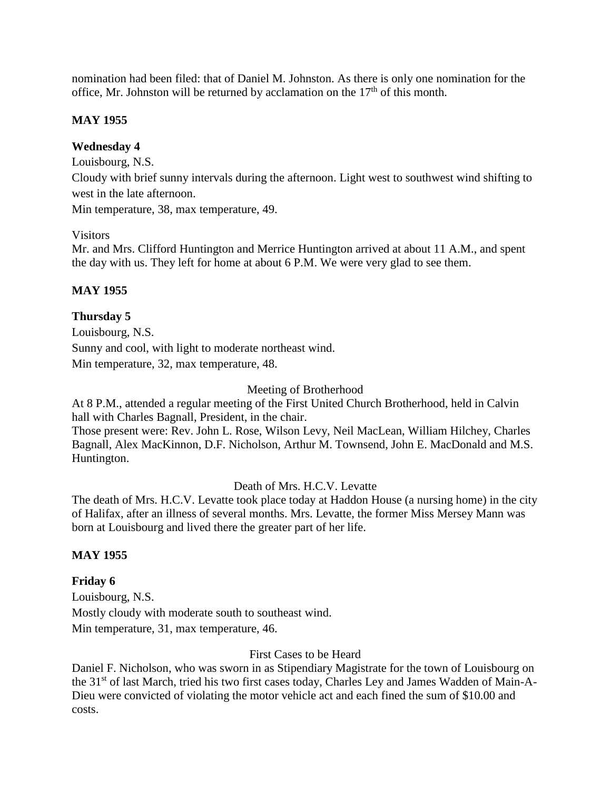nomination had been filed: that of Daniel M. Johnston. As there is only one nomination for the office, Mr. Johnston will be returned by acclamation on the  $17<sup>th</sup>$  of this month.

## **MAY 1955**

## **Wednesday 4**

Louisbourg, N.S.

Cloudy with brief sunny intervals during the afternoon. Light west to southwest wind shifting to west in the late afternoon.

Min temperature, 38, max temperature, 49.

### Visitors

Mr. and Mrs. Clifford Huntington and Merrice Huntington arrived at about 11 A.M., and spent the day with us. They left for home at about 6 P.M. We were very glad to see them.

## **MAY 1955**

## **Thursday 5**

Louisbourg, N.S. Sunny and cool, with light to moderate northeast wind. Min temperature, 32, max temperature, 48.

#### Meeting of Brotherhood

At 8 P.M., attended a regular meeting of the First United Church Brotherhood, held in Calvin hall with Charles Bagnall, President, in the chair.

Those present were: Rev. John L. Rose, Wilson Levy, Neil MacLean, William Hilchey, Charles Bagnall, Alex MacKinnon, D.F. Nicholson, Arthur M. Townsend, John E. MacDonald and M.S. Huntington.

### Death of Mrs. H.C.V. Levatte

The death of Mrs. H.C.V. Levatte took place today at Haddon House (a nursing home) in the city of Halifax, after an illness of several months. Mrs. Levatte, the former Miss Mersey Mann was born at Louisbourg and lived there the greater part of her life.

### **MAY 1955**

## **Friday 6**

Louisbourg, N.S. Mostly cloudy with moderate south to southeast wind. Min temperature, 31, max temperature, 46.

### First Cases to be Heard

Daniel F. Nicholson, who was sworn in as Stipendiary Magistrate for the town of Louisbourg on the 31<sup>st</sup> of last March, tried his two first cases today, Charles Ley and James Wadden of Main-A-Dieu were convicted of violating the motor vehicle act and each fined the sum of \$10.00 and costs.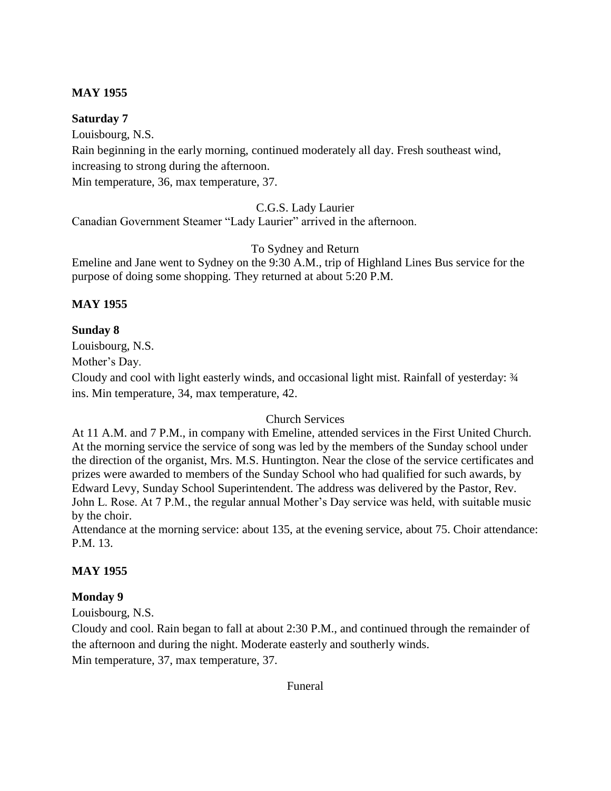## **MAY 1955**

## **Saturday 7**

Louisbourg, N.S. Rain beginning in the early morning, continued moderately all day. Fresh southeast wind, increasing to strong during the afternoon. Min temperature, 36, max temperature, 37.

C.G.S. Lady Laurier

Canadian Government Steamer "Lady Laurier" arrived in the afternoon.

To Sydney and Return

Emeline and Jane went to Sydney on the 9:30 A.M., trip of Highland Lines Bus service for the purpose of doing some shopping. They returned at about 5:20 P.M.

# **MAY 1955**

## **Sunday 8**

Louisbourg, N.S.

Mother's Day.

Cloudy and cool with light easterly winds, and occasional light mist. Rainfall of yesterday: ¾ ins. Min temperature, 34, max temperature, 42.

## Church Services

At 11 A.M. and 7 P.M., in company with Emeline, attended services in the First United Church. At the morning service the service of song was led by the members of the Sunday school under the direction of the organist, Mrs. M.S. Huntington. Near the close of the service certificates and prizes were awarded to members of the Sunday School who had qualified for such awards, by Edward Levy, Sunday School Superintendent. The address was delivered by the Pastor, Rev. John L. Rose. At 7 P.M., the regular annual Mother's Day service was held, with suitable music by the choir.

Attendance at the morning service: about 135, at the evening service, about 75. Choir attendance: P.M. 13.

# **MAY 1955**

# **Monday 9**

Louisbourg, N.S.

Cloudy and cool. Rain began to fall at about 2:30 P.M., and continued through the remainder of the afternoon and during the night. Moderate easterly and southerly winds.

Min temperature, 37, max temperature, 37.

Funeral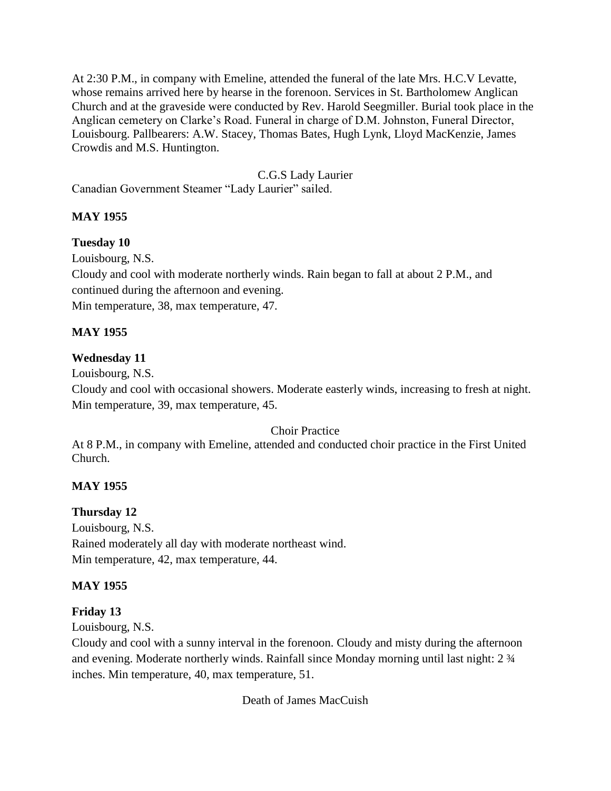At 2:30 P.M., in company with Emeline, attended the funeral of the late Mrs. H.C.V Levatte, whose remains arrived here by hearse in the forenoon. Services in St. Bartholomew Anglican Church and at the graveside were conducted by Rev. Harold Seegmiller. Burial took place in the Anglican cemetery on Clarke's Road. Funeral in charge of D.M. Johnston, Funeral Director, Louisbourg. Pallbearers: A.W. Stacey, Thomas Bates, Hugh Lynk, Lloyd MacKenzie, James Crowdis and M.S. Huntington.

C.G.S Lady Laurier

Canadian Government Steamer "Lady Laurier" sailed.

# **MAY 1955**

## **Tuesday 10**

Louisbourg, N.S.

Cloudy and cool with moderate northerly winds. Rain began to fall at about 2 P.M., and continued during the afternoon and evening.

Min temperature, 38, max temperature, 47.

## **MAY 1955**

# **Wednesday 11**

Louisbourg, N.S.

Cloudy and cool with occasional showers. Moderate easterly winds, increasing to fresh at night. Min temperature, 39, max temperature, 45.

## Choir Practice

At 8 P.M., in company with Emeline, attended and conducted choir practice in the First United Church.

# **MAY 1955**

# **Thursday 12**

Louisbourg, N.S. Rained moderately all day with moderate northeast wind. Min temperature, 42, max temperature, 44.

# **MAY 1955**

## **Friday 13**

Louisbourg, N.S.

Cloudy and cool with a sunny interval in the forenoon. Cloudy and misty during the afternoon and evening. Moderate northerly winds. Rainfall since Monday morning until last night: 2 ¾ inches. Min temperature, 40, max temperature, 51.

Death of James MacCuish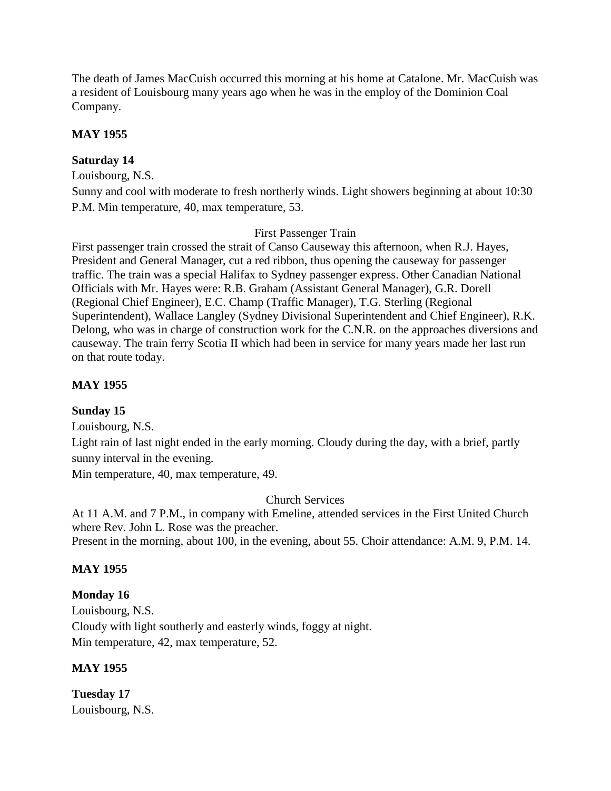The death of James MacCuish occurred this morning at his home at Catalone. Mr. MacCuish was a resident of Louisbourg many years ago when he was in the employ of the Dominion Coal Company.

## **MAY 1955**

## **Saturday 14**

Louisbourg, N.S.

Sunny and cool with moderate to fresh northerly winds. Light showers beginning at about 10:30 P.M. Min temperature, 40, max temperature, 53.

### First Passenger Train

First passenger train crossed the strait of Canso Causeway this afternoon, when R.J. Hayes, President and General Manager, cut a red ribbon, thus opening the causeway for passenger traffic. The train was a special Halifax to Sydney passenger express. Other Canadian National Officials with Mr. Hayes were: R.B. Graham (Assistant General Manager), G.R. Dorell (Regional Chief Engineer), E.C. Champ (Traffic Manager), T.G. Sterling (Regional Superintendent), Wallace Langley (Sydney Divisional Superintendent and Chief Engineer), R.K. Delong, who was in charge of construction work for the C.N.R. on the approaches diversions and causeway. The train ferry Scotia II which had been in service for many years made her last run on that route today.

## **MAY 1955**

### **Sunday 15**

Louisbourg, N.S.

Light rain of last night ended in the early morning. Cloudy during the day, with a brief, partly sunny interval in the evening.

Min temperature, 40, max temperature, 49.

Church Services

At 11 A.M. and 7 P.M., in company with Emeline, attended services in the First United Church where Rev. John L. Rose was the preacher.

Present in the morning, about 100, in the evening, about 55. Choir attendance: A.M. 9, P.M. 14.

### **MAY 1955**

### **Monday 16**

Louisbourg, N.S. Cloudy with light southerly and easterly winds, foggy at night. Min temperature, 42, max temperature, 52.

## **MAY 1955**

**Tuesday 17** Louisbourg, N.S.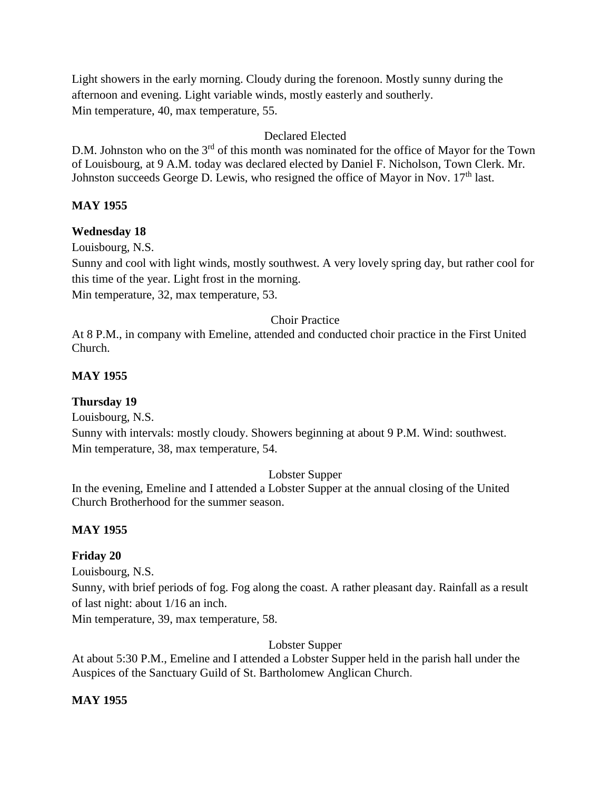Light showers in the early morning. Cloudy during the forenoon. Mostly sunny during the afternoon and evening. Light variable winds, mostly easterly and southerly. Min temperature, 40, max temperature, 55.

## Declared Elected

D.M. Johnston who on the 3<sup>rd</sup> of this month was nominated for the office of Mayor for the Town of Louisbourg, at 9 A.M. today was declared elected by Daniel F. Nicholson, Town Clerk. Mr. Johnston succeeds George D. Lewis, who resigned the office of Mayor in Nov. 17<sup>th</sup> last.

## **MAY 1955**

## **Wednesday 18**

Louisbourg, N.S.

Sunny and cool with light winds, mostly southwest. A very lovely spring day, but rather cool for this time of the year. Light frost in the morning.

Min temperature, 32, max temperature, 53.

Choir Practice

At 8 P.M., in company with Emeline, attended and conducted choir practice in the First United Church.

## **MAY 1955**

## **Thursday 19**

Louisbourg, N.S.

Sunny with intervals: mostly cloudy. Showers beginning at about 9 P.M. Wind: southwest. Min temperature, 38, max temperature, 54.

Lobster Supper

In the evening, Emeline and I attended a Lobster Supper at the annual closing of the United Church Brotherhood for the summer season.

# **MAY 1955**

# **Friday 20**

Louisbourg, N.S.

Sunny, with brief periods of fog. Fog along the coast. A rather pleasant day. Rainfall as a result of last night: about 1/16 an inch.

Min temperature, 39, max temperature, 58.

Lobster Supper

At about 5:30 P.M., Emeline and I attended a Lobster Supper held in the parish hall under the Auspices of the Sanctuary Guild of St. Bartholomew Anglican Church.

# **MAY 1955**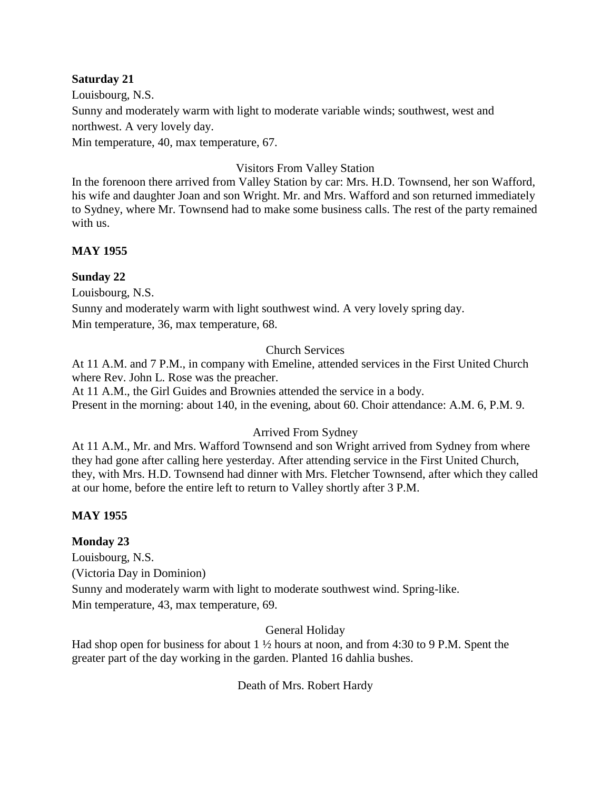### **Saturday 21**

Louisbourg, N.S. Sunny and moderately warm with light to moderate variable winds; southwest, west and northwest. A very lovely day. Min temperature, 40, max temperature, 67.

## Visitors From Valley Station

In the forenoon there arrived from Valley Station by car: Mrs. H.D. Townsend, her son Wafford, his wife and daughter Joan and son Wright. Mr. and Mrs. Wafford and son returned immediately to Sydney, where Mr. Townsend had to make some business calls. The rest of the party remained with us.

## **MAY 1955**

## **Sunday 22**

Louisbourg, N.S.

Sunny and moderately warm with light southwest wind. A very lovely spring day. Min temperature, 36, max temperature, 68.

## Church Services

At 11 A.M. and 7 P.M., in company with Emeline, attended services in the First United Church where Rev. John L. Rose was the preacher.

At 11 A.M., the Girl Guides and Brownies attended the service in a body. Present in the morning: about 140, in the evening, about 60. Choir attendance: A.M. 6, P.M. 9.

## Arrived From Sydney

At 11 A.M., Mr. and Mrs. Wafford Townsend and son Wright arrived from Sydney from where they had gone after calling here yesterday. After attending service in the First United Church, they, with Mrs. H.D. Townsend had dinner with Mrs. Fletcher Townsend, after which they called at our home, before the entire left to return to Valley shortly after 3 P.M.

## **MAY 1955**

## **Monday 23**

Louisbourg, N.S. (Victoria Day in Dominion) Sunny and moderately warm with light to moderate southwest wind. Spring-like. Min temperature, 43, max temperature, 69.

## General Holiday

Had shop open for business for about  $1\frac{1}{2}$  hours at noon, and from 4:30 to 9 P.M. Spent the greater part of the day working in the garden. Planted 16 dahlia bushes.

Death of Mrs. Robert Hardy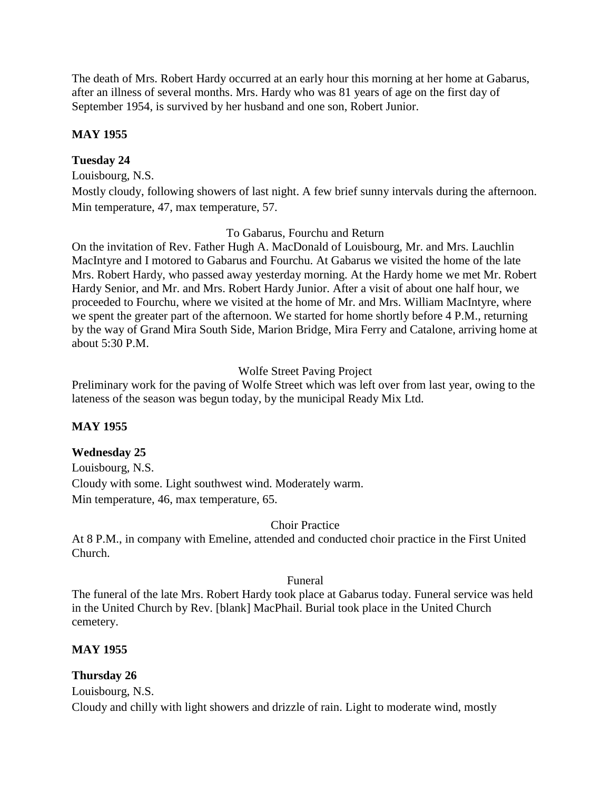The death of Mrs. Robert Hardy occurred at an early hour this morning at her home at Gabarus, after an illness of several months. Mrs. Hardy who was 81 years of age on the first day of September 1954, is survived by her husband and one son, Robert Junior.

## **MAY 1955**

## **Tuesday 24**

Louisbourg, N.S.

Mostly cloudy, following showers of last night. A few brief sunny intervals during the afternoon. Min temperature, 47, max temperature, 57.

#### To Gabarus, Fourchu and Return

On the invitation of Rev. Father Hugh A. MacDonald of Louisbourg, Mr. and Mrs. Lauchlin MacIntyre and I motored to Gabarus and Fourchu. At Gabarus we visited the home of the late Mrs. Robert Hardy, who passed away yesterday morning. At the Hardy home we met Mr. Robert Hardy Senior, and Mr. and Mrs. Robert Hardy Junior. After a visit of about one half hour, we proceeded to Fourchu, where we visited at the home of Mr. and Mrs. William MacIntyre, where we spent the greater part of the afternoon. We started for home shortly before 4 P.M., returning by the way of Grand Mira South Side, Marion Bridge, Mira Ferry and Catalone, arriving home at about 5:30 P.M.

### Wolfe Street Paving Project

Preliminary work for the paving of Wolfe Street which was left over from last year, owing to the lateness of the season was begun today, by the municipal Ready Mix Ltd.

### **MAY 1955**

### **Wednesday 25**

Louisbourg, N.S. Cloudy with some. Light southwest wind. Moderately warm. Min temperature, 46, max temperature, 65.

#### Choir Practice

At 8 P.M., in company with Emeline, attended and conducted choir practice in the First United Church.

#### Funeral

The funeral of the late Mrs. Robert Hardy took place at Gabarus today. Funeral service was held in the United Church by Rev. [blank] MacPhail. Burial took place in the United Church cemetery.

### **MAY 1955**

### **Thursday 26**

Louisbourg, N.S.

Cloudy and chilly with light showers and drizzle of rain. Light to moderate wind, mostly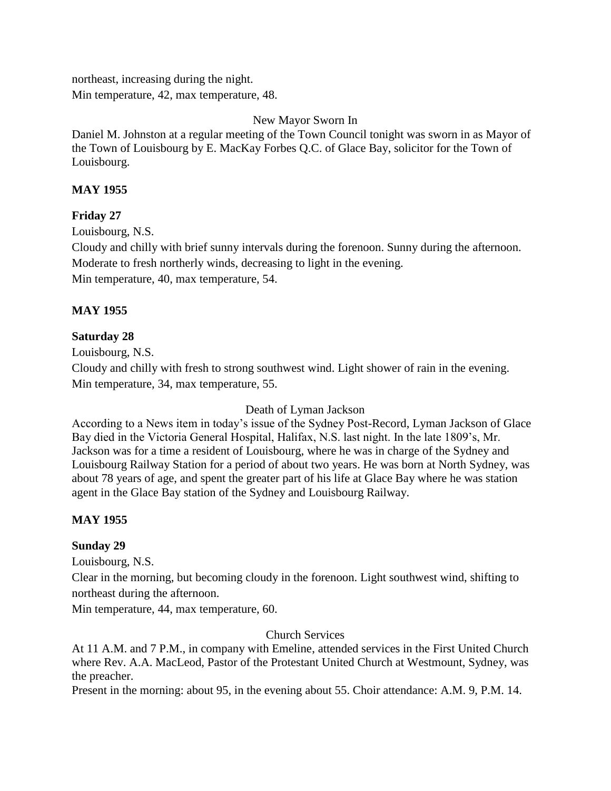northeast, increasing during the night.

Min temperature, 42, max temperature, 48.

New Mayor Sworn In

Daniel M. Johnston at a regular meeting of the Town Council tonight was sworn in as Mayor of the Town of Louisbourg by E. MacKay Forbes Q.C. of Glace Bay, solicitor for the Town of Louisbourg.

## **MAY 1955**

## **Friday 27**

Louisbourg, N.S.

Cloudy and chilly with brief sunny intervals during the forenoon. Sunny during the afternoon. Moderate to fresh northerly winds, decreasing to light in the evening. Min temperature, 40, max temperature, 54.

## **MAY 1955**

## **Saturday 28**

Louisbourg, N.S.

Cloudy and chilly with fresh to strong southwest wind. Light shower of rain in the evening. Min temperature, 34, max temperature, 55.

### Death of Lyman Jackson

According to a News item in today's issue of the Sydney Post-Record, Lyman Jackson of Glace Bay died in the Victoria General Hospital, Halifax, N.S. last night. In the late 1809's, Mr. Jackson was for a time a resident of Louisbourg, where he was in charge of the Sydney and Louisbourg Railway Station for a period of about two years. He was born at North Sydney, was about 78 years of age, and spent the greater part of his life at Glace Bay where he was station agent in the Glace Bay station of the Sydney and Louisbourg Railway.

## **MAY 1955**

## **Sunday 29**

Louisbourg, N.S.

Clear in the morning, but becoming cloudy in the forenoon. Light southwest wind, shifting to northeast during the afternoon.

Min temperature, 44, max temperature, 60.

## Church Services

At 11 A.M. and 7 P.M., in company with Emeline, attended services in the First United Church where Rev. A.A. MacLeod, Pastor of the Protestant United Church at Westmount, Sydney, was the preacher.

Present in the morning: about 95, in the evening about 55. Choir attendance: A.M. 9, P.M. 14.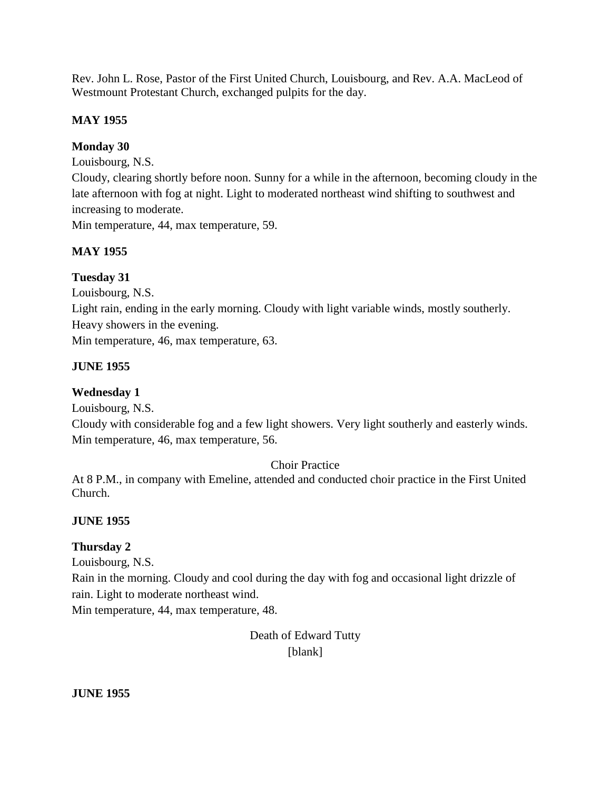Rev. John L. Rose, Pastor of the First United Church, Louisbourg, and Rev. A.A. MacLeod of Westmount Protestant Church, exchanged pulpits for the day.

# **MAY 1955**

# **Monday 30**

Louisbourg, N.S.

Cloudy, clearing shortly before noon. Sunny for a while in the afternoon, becoming cloudy in the late afternoon with fog at night. Light to moderated northeast wind shifting to southwest and increasing to moderate.

Min temperature, 44, max temperature, 59.

# **MAY 1955**

# **Tuesday 31**

Louisbourg, N.S.

Light rain, ending in the early morning. Cloudy with light variable winds, mostly southerly. Heavy showers in the evening.

Min temperature, 46, max temperature, 63.

# **JUNE 1955**

# **Wednesday 1**

Louisbourg, N.S.

Cloudy with considerable fog and a few light showers. Very light southerly and easterly winds. Min temperature, 46, max temperature, 56.

# Choir Practice

At 8 P.M., in company with Emeline, attended and conducted choir practice in the First United Church.

# **JUNE 1955**

# **Thursday 2**

Louisbourg, N.S.

Rain in the morning. Cloudy and cool during the day with fog and occasional light drizzle of rain. Light to moderate northeast wind.

Min temperature, 44, max temperature, 48.

Death of Edward Tutty [blank]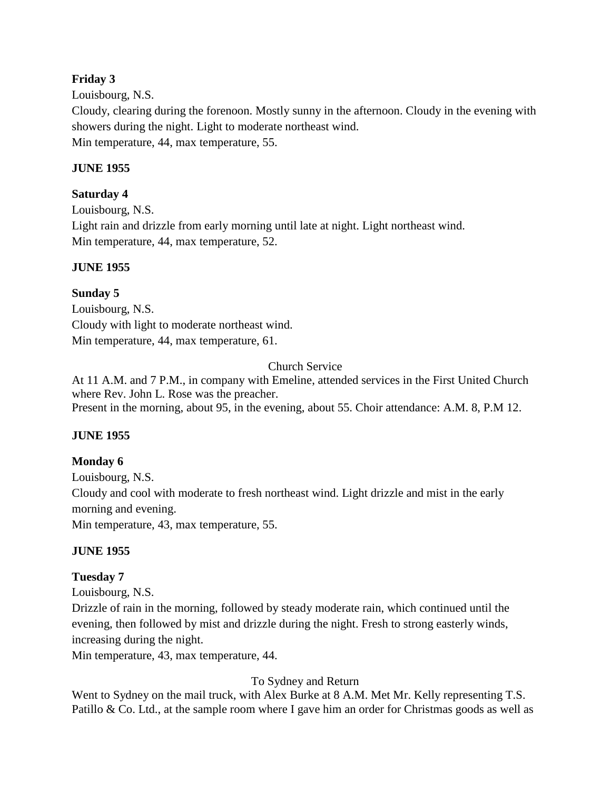## **Friday 3**

Louisbourg, N.S. Cloudy, clearing during the forenoon. Mostly sunny in the afternoon. Cloudy in the evening with showers during the night. Light to moderate northeast wind. Min temperature, 44, max temperature, 55.

# **JUNE 1955**

**Saturday 4** Louisbourg, N.S. Light rain and drizzle from early morning until late at night. Light northeast wind. Min temperature, 44, max temperature, 52.

# **JUNE 1955**

# **Sunday 5**

Louisbourg, N.S. Cloudy with light to moderate northeast wind. Min temperature, 44, max temperature, 61.

# Church Service

At 11 A.M. and 7 P.M., in company with Emeline, attended services in the First United Church where Rev. John L. Rose was the preacher. Present in the morning, about 95, in the evening, about 55. Choir attendance: A.M. 8, P.M 12.

## **JUNE 1955**

## **Monday 6**

Louisbourg, N.S. Cloudy and cool with moderate to fresh northeast wind. Light drizzle and mist in the early morning and evening. Min temperature, 43, max temperature, 55.

## **JUNE 1955**

## **Tuesday 7**

Louisbourg, N.S. Drizzle of rain in the morning, followed by steady moderate rain, which continued until the evening, then followed by mist and drizzle during the night. Fresh to strong easterly winds, increasing during the night.

Min temperature, 43, max temperature, 44.

## To Sydney and Return

Went to Sydney on the mail truck, with Alex Burke at 8 A.M. Met Mr. Kelly representing T.S. Patillo & Co. Ltd., at the sample room where I gave him an order for Christmas goods as well as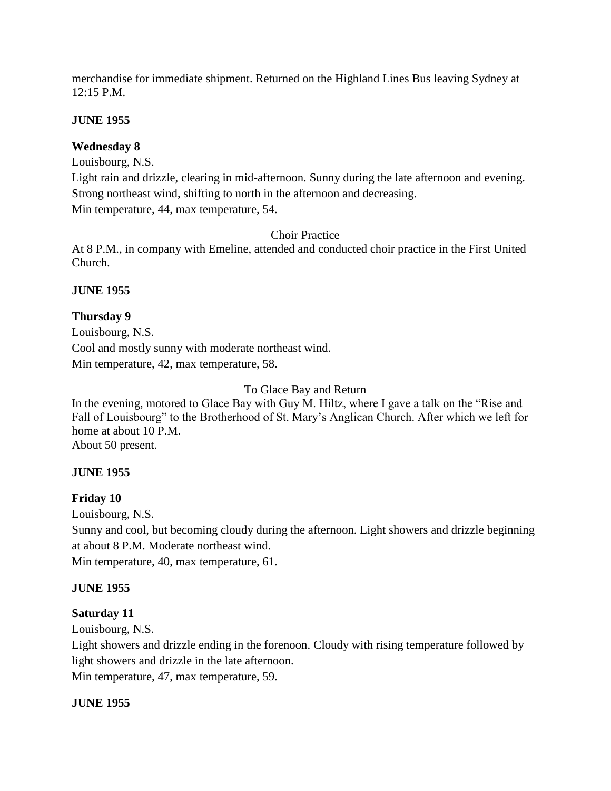merchandise for immediate shipment. Returned on the Highland Lines Bus leaving Sydney at 12:15 P.M.

## **JUNE 1955**

## **Wednesday 8**

Louisbourg, N.S.

Light rain and drizzle, clearing in mid-afternoon. Sunny during the late afternoon and evening. Strong northeast wind, shifting to north in the afternoon and decreasing. Min temperature, 44, max temperature, 54.

### Choir Practice

At 8 P.M., in company with Emeline, attended and conducted choir practice in the First United Church.

## **JUNE 1955**

## **Thursday 9**

Louisbourg, N.S. Cool and mostly sunny with moderate northeast wind. Min temperature, 42, max temperature, 58.

### To Glace Bay and Return

In the evening, motored to Glace Bay with Guy M. Hiltz, where I gave a talk on the "Rise and Fall of Louisbourg" to the Brotherhood of St. Mary's Anglican Church. After which we left for home at about 10 P.M. About 50 present.

### **JUNE 1955**

### **Friday 10**

Louisbourg, N.S.

Sunny and cool, but becoming cloudy during the afternoon. Light showers and drizzle beginning at about 8 P.M. Moderate northeast wind.

Min temperature, 40, max temperature, 61.

### **JUNE 1955**

## **Saturday 11**

Louisbourg, N.S.

Light showers and drizzle ending in the forenoon. Cloudy with rising temperature followed by light showers and drizzle in the late afternoon.

Min temperature, 47, max temperature, 59.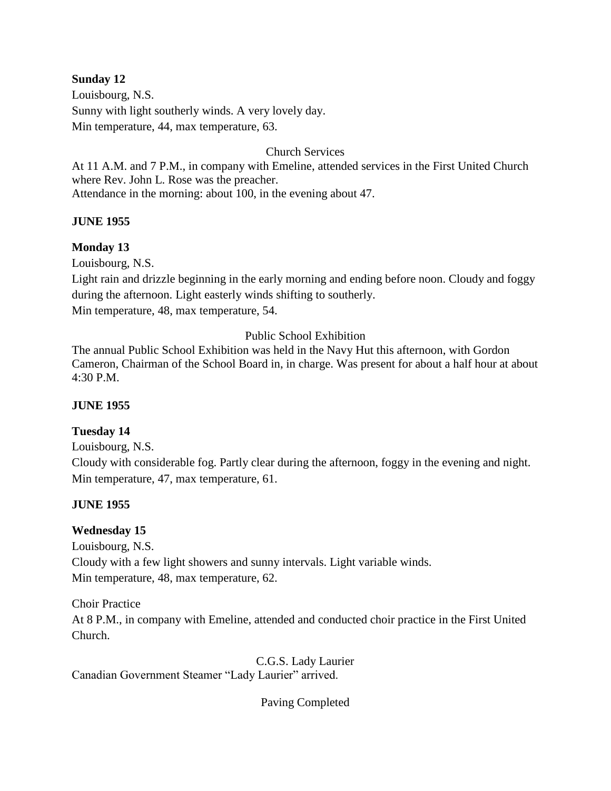## **Sunday 12**

Louisbourg, N.S. Sunny with light southerly winds. A very lovely day. Min temperature, 44, max temperature, 63.

### Church Services

At 11 A.M. and 7 P.M., in company with Emeline, attended services in the First United Church where Rev. John L. Rose was the preacher. Attendance in the morning: about 100, in the evening about 47.

### **JUNE 1955**

## **Monday 13**

Louisbourg, N.S.

Light rain and drizzle beginning in the early morning and ending before noon. Cloudy and foggy during the afternoon. Light easterly winds shifting to southerly. Min temperature, 48, max temperature, 54.

## Public School Exhibition

The annual Public School Exhibition was held in the Navy Hut this afternoon, with Gordon Cameron, Chairman of the School Board in, in charge. Was present for about a half hour at about 4:30 P.M.

### **JUNE 1955**

## **Tuesday 14**

Louisbourg, N.S. Cloudy with considerable fog. Partly clear during the afternoon, foggy in the evening and night. Min temperature, 47, max temperature, 61.

## **JUNE 1955**

## **Wednesday 15**

Louisbourg, N.S. Cloudy with a few light showers and sunny intervals. Light variable winds. Min temperature, 48, max temperature, 62.

Choir Practice At 8 P.M., in company with Emeline, attended and conducted choir practice in the First United Church.

C.G.S. Lady Laurier Canadian Government Steamer "Lady Laurier" arrived.

Paving Completed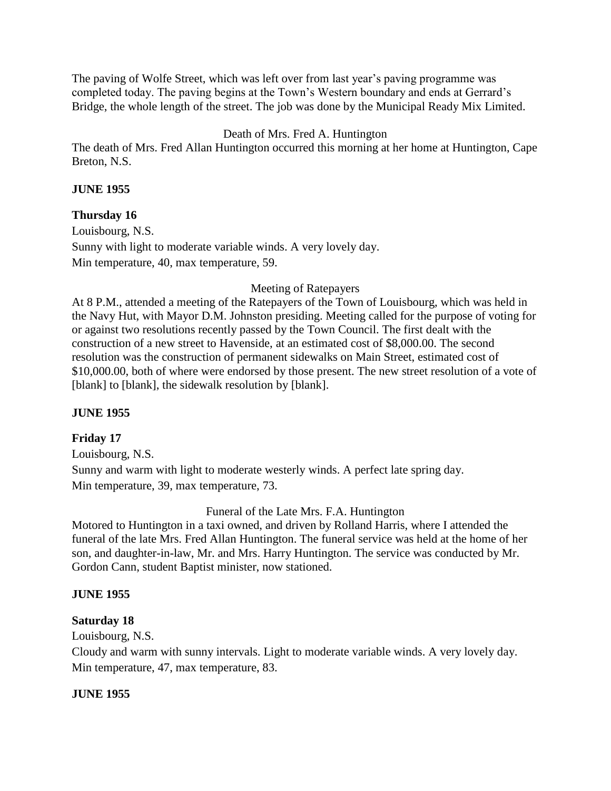The paving of Wolfe Street, which was left over from last year's paving programme was completed today. The paving begins at the Town's Western boundary and ends at Gerrard's Bridge, the whole length of the street. The job was done by the Municipal Ready Mix Limited.

# Death of Mrs. Fred A. Huntington

The death of Mrs. Fred Allan Huntington occurred this morning at her home at Huntington, Cape Breton, N.S.

## **JUNE 1955**

## **Thursday 16**

Louisbourg, N.S. Sunny with light to moderate variable winds. A very lovely day. Min temperature, 40, max temperature, 59.

## Meeting of Ratepayers

At 8 P.M., attended a meeting of the Ratepayers of the Town of Louisbourg, which was held in the Navy Hut, with Mayor D.M. Johnston presiding. Meeting called for the purpose of voting for or against two resolutions recently passed by the Town Council. The first dealt with the construction of a new street to Havenside, at an estimated cost of \$8,000.00. The second resolution was the construction of permanent sidewalks on Main Street, estimated cost of \$10,000.00, both of where were endorsed by those present. The new street resolution of a vote of [blank] to [blank], the sidewalk resolution by [blank].

### **JUNE 1955**

## **Friday 17**

Louisbourg, N.S. Sunny and warm with light to moderate westerly winds. A perfect late spring day. Min temperature, 39, max temperature, 73.

Funeral of the Late Mrs. F.A. Huntington

Motored to Huntington in a taxi owned, and driven by Rolland Harris, where I attended the funeral of the late Mrs. Fred Allan Huntington. The funeral service was held at the home of her son, and daughter-in-law, Mr. and Mrs. Harry Huntington. The service was conducted by Mr. Gordon Cann, student Baptist minister, now stationed.

## **JUNE 1955**

## **Saturday 18**

Louisbourg, N.S.

Cloudy and warm with sunny intervals. Light to moderate variable winds. A very lovely day. Min temperature, 47, max temperature, 83.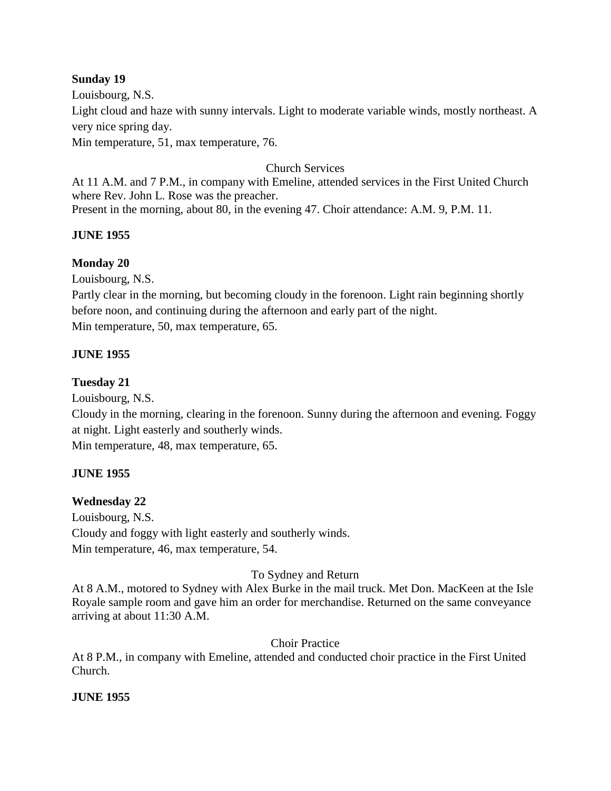## **Sunday 19**

Louisbourg, N.S. Light cloud and haze with sunny intervals. Light to moderate variable winds, mostly northeast. A very nice spring day. Min temperature, 51, max temperature, 76.

## Church Services

At 11 A.M. and 7 P.M., in company with Emeline, attended services in the First United Church where Rev. John L. Rose was the preacher. Present in the morning, about 80, in the evening 47. Choir attendance: A.M. 9, P.M. 11.

## **JUNE 1955**

## **Monday 20**

Louisbourg, N.S.

Partly clear in the morning, but becoming cloudy in the forenoon. Light rain beginning shortly before noon, and continuing during the afternoon and early part of the night. Min temperature, 50, max temperature, 65.

## **JUNE 1955**

### **Tuesday 21**

Louisbourg, N.S.

Cloudy in the morning, clearing in the forenoon. Sunny during the afternoon and evening. Foggy at night. Light easterly and southerly winds.

Min temperature, 48, max temperature, 65.

### **JUNE 1955**

### **Wednesday 22**

Louisbourg, N.S. Cloudy and foggy with light easterly and southerly winds. Min temperature, 46, max temperature, 54.

### To Sydney and Return

At 8 A.M., motored to Sydney with Alex Burke in the mail truck. Met Don. MacKeen at the Isle Royale sample room and gave him an order for merchandise. Returned on the same conveyance arriving at about 11:30 A.M.

## Choir Practice

At 8 P.M., in company with Emeline, attended and conducted choir practice in the First United Church.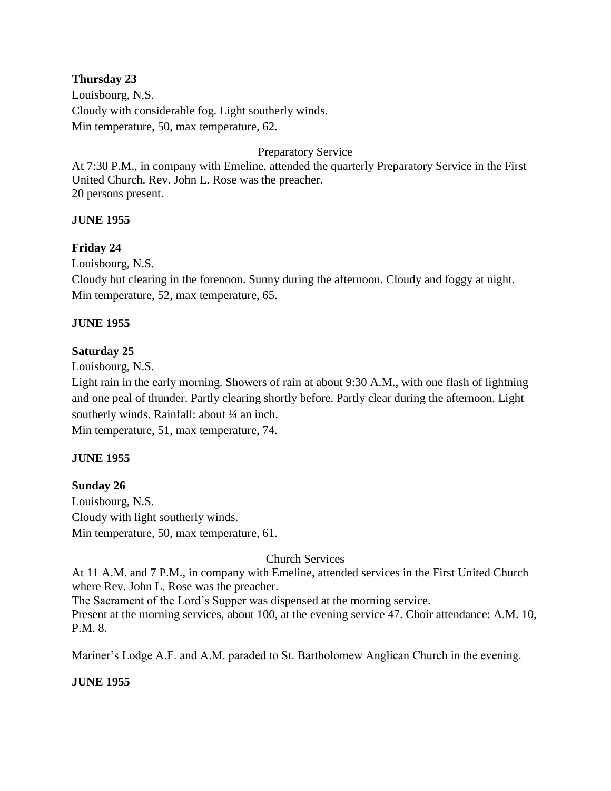## **Thursday 23**

Louisbourg, N.S. Cloudy with considerable fog. Light southerly winds. Min temperature, 50, max temperature, 62.

## Preparatory Service

At 7:30 P.M., in company with Emeline, attended the quarterly Preparatory Service in the First United Church. Rev. John L. Rose was the preacher. 20 persons present.

## **JUNE 1955**

## **Friday 24**

Louisbourg, N.S.

Cloudy but clearing in the forenoon. Sunny during the afternoon. Cloudy and foggy at night. Min temperature, 52, max temperature, 65.

## **JUNE 1955**

## **Saturday 25**

Louisbourg, N.S.

Light rain in the early morning. Showers of rain at about 9:30 A.M., with one flash of lightning and one peal of thunder. Partly clearing shortly before. Partly clear during the afternoon. Light southerly winds. Rainfall: about 1/4 an inch.

Min temperature, 51, max temperature, 74.

### **JUNE 1955**

### **Sunday 26**

Louisbourg, N.S. Cloudy with light southerly winds. Min temperature, 50, max temperature, 61.

### Church Services

At 11 A.M. and 7 P.M., in company with Emeline, attended services in the First United Church where Rev. John L. Rose was the preacher.

The Sacrament of the Lord's Supper was dispensed at the morning service.

Present at the morning services, about 100, at the evening service 47. Choir attendance: A.M. 10, P.M. 8.

Mariner's Lodge A.F. and A.M. paraded to St. Bartholomew Anglican Church in the evening.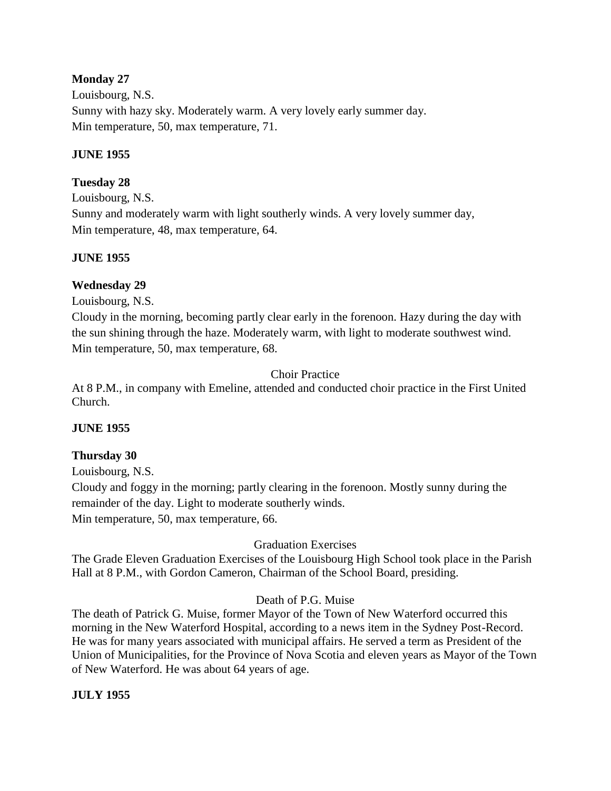## **Monday 27**

Louisbourg, N.S. Sunny with hazy sky. Moderately warm. A very lovely early summer day. Min temperature, 50, max temperature, 71.

## **JUNE 1955**

## **Tuesday 28**

Louisbourg, N.S. Sunny and moderately warm with light southerly winds. A very lovely summer day, Min temperature, 48, max temperature, 64.

## **JUNE 1955**

## **Wednesday 29**

Louisbourg, N.S.

Cloudy in the morning, becoming partly clear early in the forenoon. Hazy during the day with the sun shining through the haze. Moderately warm, with light to moderate southwest wind. Min temperature, 50, max temperature, 68.

Choir Practice

At 8 P.M., in company with Emeline, attended and conducted choir practice in the First United Church.

### **JUNE 1955**

## **Thursday 30**

Louisbourg, N.S.

Cloudy and foggy in the morning; partly clearing in the forenoon. Mostly sunny during the remainder of the day. Light to moderate southerly winds. Min temperature, 50, max temperature, 66.

Graduation Exercises

The Grade Eleven Graduation Exercises of the Louisbourg High School took place in the Parish Hall at 8 P.M., with Gordon Cameron, Chairman of the School Board, presiding.

### Death of P.G. Muise

The death of Patrick G. Muise, former Mayor of the Town of New Waterford occurred this morning in the New Waterford Hospital, according to a news item in the Sydney Post-Record. He was for many years associated with municipal affairs. He served a term as President of the Union of Municipalities, for the Province of Nova Scotia and eleven years as Mayor of the Town of New Waterford. He was about 64 years of age.

**JULY 1955**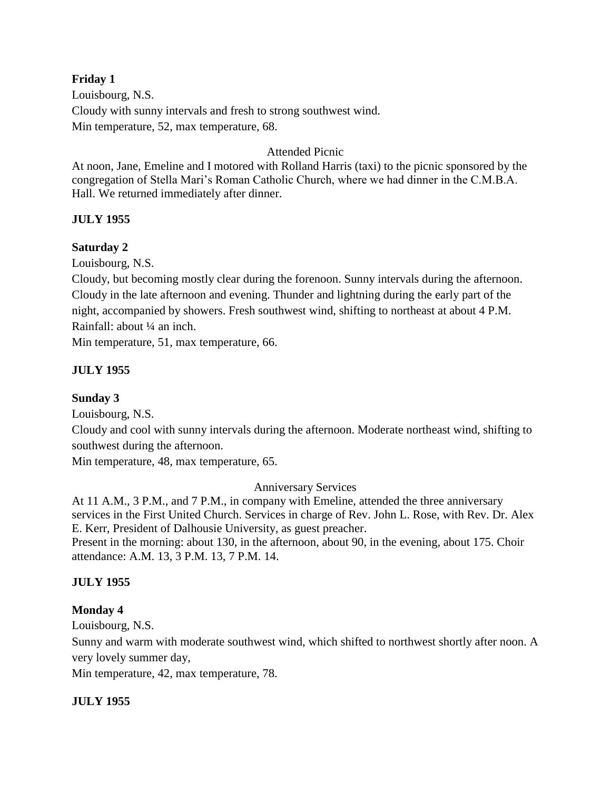## **Friday 1**

Louisbourg, N.S. Cloudy with sunny intervals and fresh to strong southwest wind. Min temperature, 52, max temperature, 68.

## Attended Picnic

At noon, Jane, Emeline and I motored with Rolland Harris (taxi) to the picnic sponsored by the congregation of Stella Mari's Roman Catholic Church, where we had dinner in the C.M.B.A. Hall. We returned immediately after dinner.

## **JULY 1955**

## **Saturday 2**

Louisbourg, N.S.

Cloudy, but becoming mostly clear during the forenoon. Sunny intervals during the afternoon. Cloudy in the late afternoon and evening. Thunder and lightning during the early part of the night, accompanied by showers. Fresh southwest wind, shifting to northeast at about 4 P.M. Rainfall: about ¼ an inch.

Min temperature, 51, max temperature, 66.

## **JULY 1955**

### **Sunday 3**

Louisbourg, N.S.

Cloudy and cool with sunny intervals during the afternoon. Moderate northeast wind, shifting to southwest during the afternoon.

Min temperature, 48, max temperature, 65.

### Anniversary Services

At 11 A.M., 3 P.M., and 7 P.M., in company with Emeline, attended the three anniversary services in the First United Church. Services in charge of Rev. John L. Rose, with Rev. Dr. Alex E. Kerr, President of Dalhousie University, as guest preacher.

Present in the morning: about 130, in the afternoon, about 90, in the evening, about 175. Choir attendance: A.M. 13, 3 P.M. 13, 7 P.M. 14.

## **JULY 1955**

### **Monday 4**

Louisbourg, N.S.

Sunny and warm with moderate southwest wind, which shifted to northwest shortly after noon. A very lovely summer day,

Min temperature, 42, max temperature, 78.

### **JULY 1955**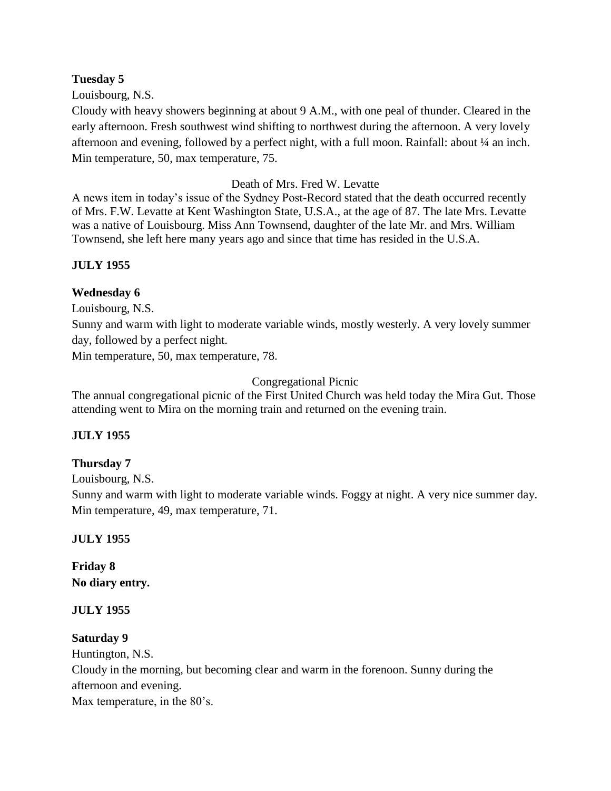## **Tuesday 5**

Louisbourg, N.S.

Cloudy with heavy showers beginning at about 9 A.M., with one peal of thunder. Cleared in the early afternoon. Fresh southwest wind shifting to northwest during the afternoon. A very lovely afternoon and evening, followed by a perfect night, with a full moon. Rainfall: about ¼ an inch. Min temperature, 50, max temperature, 75.

## Death of Mrs. Fred W. Levatte

A news item in today's issue of the Sydney Post-Record stated that the death occurred recently of Mrs. F.W. Levatte at Kent Washington State, U.S.A., at the age of 87. The late Mrs. Levatte was a native of Louisbourg. Miss Ann Townsend, daughter of the late Mr. and Mrs. William Townsend, she left here many years ago and since that time has resided in the U.S.A.

## **JULY 1955**

## **Wednesday 6**

Louisbourg, N.S.

Sunny and warm with light to moderate variable winds, mostly westerly. A very lovely summer day, followed by a perfect night.

Min temperature, 50, max temperature, 78.

## Congregational Picnic

The annual congregational picnic of the First United Church was held today the Mira Gut. Those attending went to Mira on the morning train and returned on the evening train.

### **JULY 1955**

## **Thursday 7**

Louisbourg, N.S.

Sunny and warm with light to moderate variable winds. Foggy at night. A very nice summer day. Min temperature, 49, max temperature, 71.

## **JULY 1955**

**Friday 8 No diary entry.**

### **JULY 1955**

### **Saturday 9**

Huntington, N.S.

Cloudy in the morning, but becoming clear and warm in the forenoon. Sunny during the afternoon and evening.

Max temperature, in the 80's.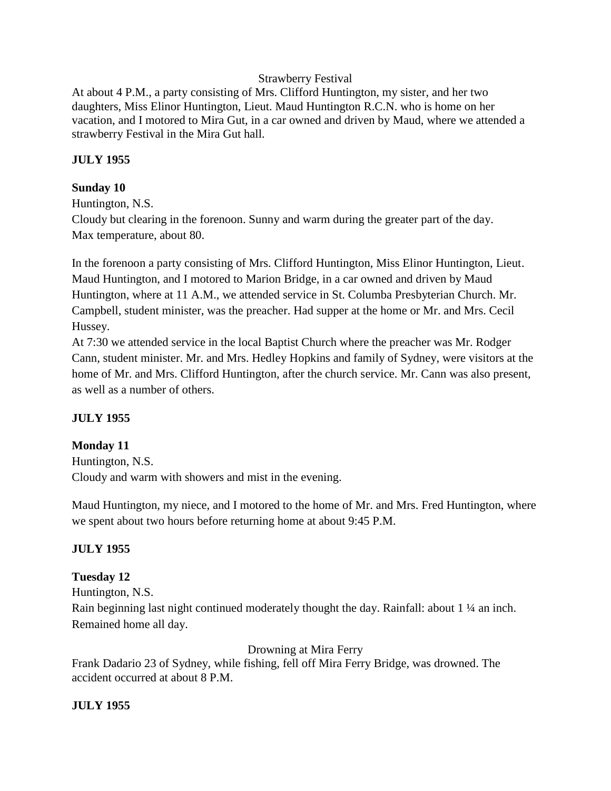### Strawberry Festival

At about 4 P.M., a party consisting of Mrs. Clifford Huntington, my sister, and her two daughters, Miss Elinor Huntington, Lieut. Maud Huntington R.C.N. who is home on her vacation, and I motored to Mira Gut, in a car owned and driven by Maud, where we attended a strawberry Festival in the Mira Gut hall.

## **JULY 1955**

## **Sunday 10**

Huntington, N.S.

Cloudy but clearing in the forenoon. Sunny and warm during the greater part of the day. Max temperature, about 80.

In the forenoon a party consisting of Mrs. Clifford Huntington, Miss Elinor Huntington, Lieut. Maud Huntington, and I motored to Marion Bridge, in a car owned and driven by Maud Huntington, where at 11 A.M., we attended service in St. Columba Presbyterian Church. Mr. Campbell, student minister, was the preacher. Had supper at the home or Mr. and Mrs. Cecil Hussey.

At 7:30 we attended service in the local Baptist Church where the preacher was Mr. Rodger Cann, student minister. Mr. and Mrs. Hedley Hopkins and family of Sydney, were visitors at the home of Mr. and Mrs. Clifford Huntington, after the church service. Mr. Cann was also present, as well as a number of others.

# **JULY 1955**

## **Monday 11**

Huntington, N.S. Cloudy and warm with showers and mist in the evening.

Maud Huntington, my niece, and I motored to the home of Mr. and Mrs. Fred Huntington, where we spent about two hours before returning home at about 9:45 P.M.

# **JULY 1955**

# **Tuesday 12**

Huntington, N.S.

Rain beginning last night continued moderately thought the day. Rainfall: about 1 ¼ an inch. Remained home all day.

## Drowning at Mira Ferry

Frank Dadario 23 of Sydney, while fishing, fell off Mira Ferry Bridge, was drowned. The accident occurred at about 8 P.M.

## **JULY 1955**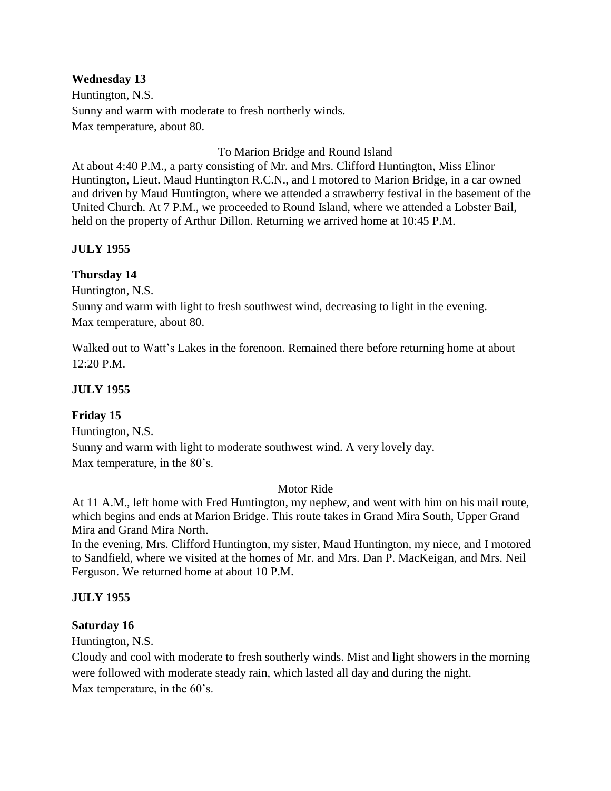## **Wednesday 13**

Huntington, N.S. Sunny and warm with moderate to fresh northerly winds. Max temperature, about 80.

To Marion Bridge and Round Island

At about 4:40 P.M., a party consisting of Mr. and Mrs. Clifford Huntington, Miss Elinor Huntington, Lieut. Maud Huntington R.C.N., and I motored to Marion Bridge, in a car owned and driven by Maud Huntington, where we attended a strawberry festival in the basement of the United Church. At 7 P.M., we proceeded to Round Island, where we attended a Lobster Bail, held on the property of Arthur Dillon. Returning we arrived home at 10:45 P.M.

# **JULY 1955**

# **Thursday 14**

Huntington, N.S.

Sunny and warm with light to fresh southwest wind, decreasing to light in the evening. Max temperature, about 80.

Walked out to Watt's Lakes in the forenoon. Remained there before returning home at about 12:20 P.M.

# **JULY 1955**

# **Friday 15**

Huntington, N.S. Sunny and warm with light to moderate southwest wind. A very lovely day. Max temperature, in the 80's.

## Motor Ride

At 11 A.M., left home with Fred Huntington, my nephew, and went with him on his mail route, which begins and ends at Marion Bridge. This route takes in Grand Mira South, Upper Grand Mira and Grand Mira North.

In the evening, Mrs. Clifford Huntington, my sister, Maud Huntington, my niece, and I motored to Sandfield, where we visited at the homes of Mr. and Mrs. Dan P. MacKeigan, and Mrs. Neil Ferguson. We returned home at about 10 P.M.

## **JULY 1955**

## **Saturday 16**

Huntington, N.S.

Cloudy and cool with moderate to fresh southerly winds. Mist and light showers in the morning were followed with moderate steady rain, which lasted all day and during the night. Max temperature, in the 60's.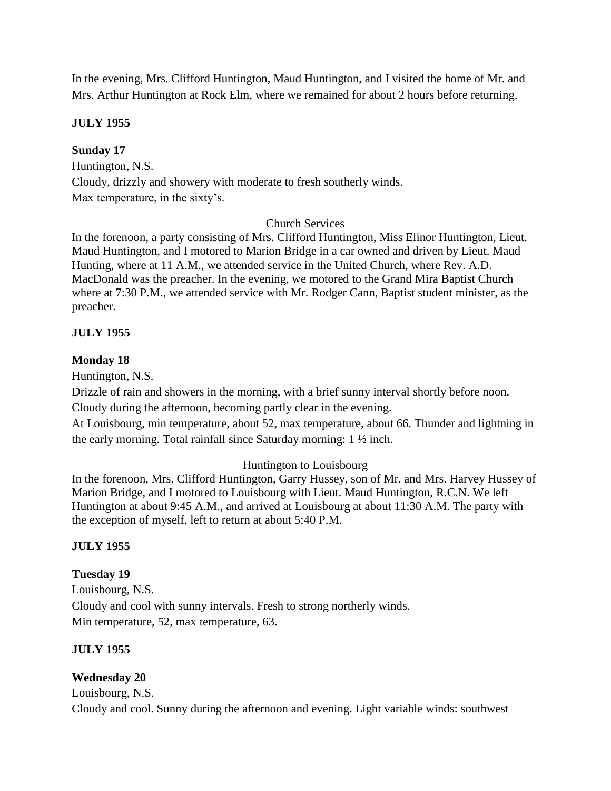In the evening, Mrs. Clifford Huntington, Maud Huntington, and I visited the home of Mr. and Mrs. Arthur Huntington at Rock Elm, where we remained for about 2 hours before returning.

## **JULY 1955**

## **Sunday 17**

Huntington, N.S. Cloudy, drizzly and showery with moderate to fresh southerly winds. Max temperature, in the sixty's.

## Church Services

In the forenoon, a party consisting of Mrs. Clifford Huntington, Miss Elinor Huntington, Lieut. Maud Huntington, and I motored to Marion Bridge in a car owned and driven by Lieut. Maud Hunting, where at 11 A.M., we attended service in the United Church, where Rev. A.D. MacDonald was the preacher. In the evening, we motored to the Grand Mira Baptist Church where at 7:30 P.M., we attended service with Mr. Rodger Cann, Baptist student minister, as the preacher.

# **JULY 1955**

# **Monday 18**

Huntington, N.S.

Drizzle of rain and showers in the morning, with a brief sunny interval shortly before noon.

Cloudy during the afternoon, becoming partly clear in the evening.

At Louisbourg, min temperature, about 52, max temperature, about 66. Thunder and lightning in the early morning. Total rainfall since Saturday morning: 1 ½ inch.

# Huntington to Louisbourg

In the forenoon, Mrs. Clifford Huntington, Garry Hussey, son of Mr. and Mrs. Harvey Hussey of Marion Bridge, and I motored to Louisbourg with Lieut. Maud Huntington, R.C.N. We left Huntington at about 9:45 A.M., and arrived at Louisbourg at about 11:30 A.M. The party with the exception of myself, left to return at about 5:40 P.M.

# **JULY 1955**

# **Tuesday 19**

Louisbourg, N.S. Cloudy and cool with sunny intervals. Fresh to strong northerly winds. Min temperature, 52, max temperature, 63.

# **JULY 1955**

# **Wednesday 20**

Louisbourg, N.S. Cloudy and cool. Sunny during the afternoon and evening. Light variable winds: southwest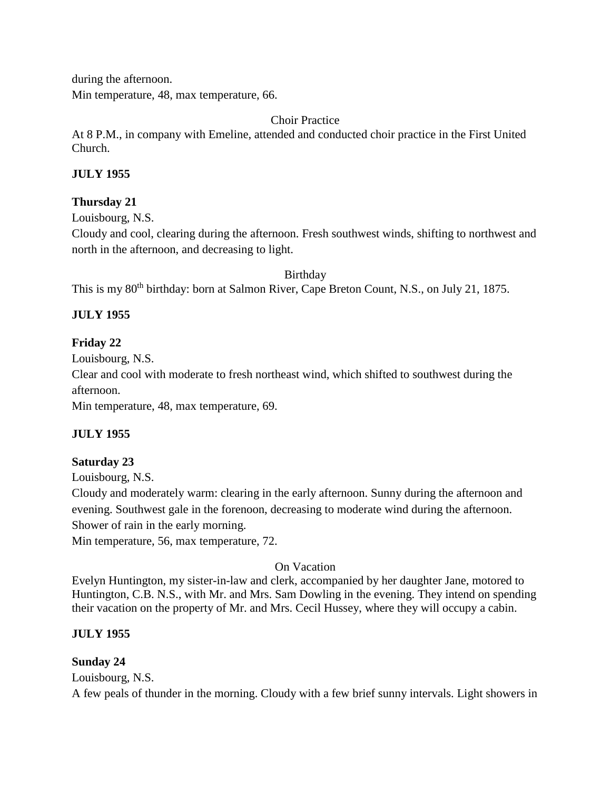during the afternoon. Min temperature, 48, max temperature, 66.

Choir Practice

At 8 P.M., in company with Emeline, attended and conducted choir practice in the First United Church.

## **JULY 1955**

## **Thursday 21**

Louisbourg, N.S.

Cloudy and cool, clearing during the afternoon. Fresh southwest winds, shifting to northwest and north in the afternoon, and decreasing to light.

Birthday

This is my 80<sup>th</sup> birthday: born at Salmon River, Cape Breton Count, N.S., on July 21, 1875.

# **JULY 1955**

# **Friday 22**

Louisbourg, N.S. Clear and cool with moderate to fresh northeast wind, which shifted to southwest during the afternoon.

Min temperature, 48, max temperature, 69.

# **JULY 1955**

## **Saturday 23**

Louisbourg, N.S.

Cloudy and moderately warm: clearing in the early afternoon. Sunny during the afternoon and evening. Southwest gale in the forenoon, decreasing to moderate wind during the afternoon. Shower of rain in the early morning.

Min temperature, 56, max temperature, 72.

## On Vacation

Evelyn Huntington, my sister-in-law and clerk, accompanied by her daughter Jane, motored to Huntington, C.B. N.S., with Mr. and Mrs. Sam Dowling in the evening. They intend on spending their vacation on the property of Mr. and Mrs. Cecil Hussey, where they will occupy a cabin.

## **JULY 1955**

## **Sunday 24**

Louisbourg, N.S.

A few peals of thunder in the morning. Cloudy with a few brief sunny intervals. Light showers in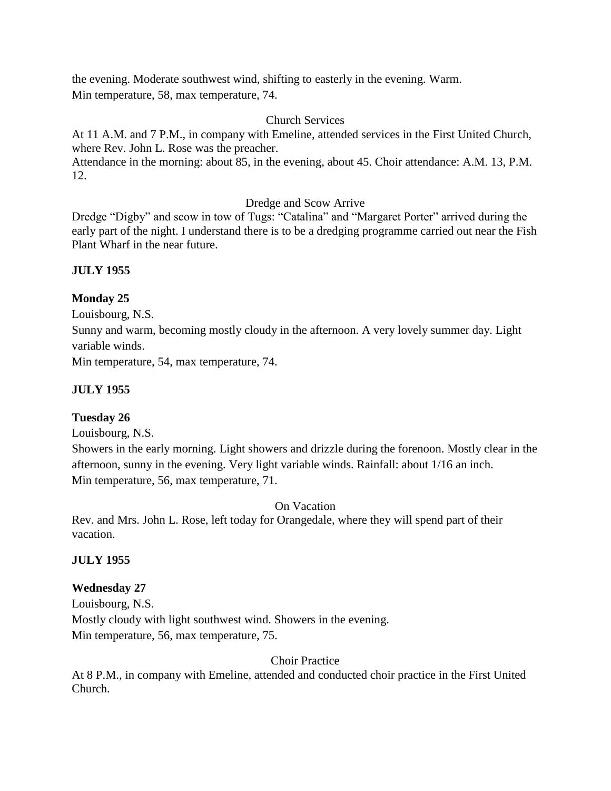the evening. Moderate southwest wind, shifting to easterly in the evening. Warm. Min temperature, 58, max temperature, 74.

## Church Services

At 11 A.M. and 7 P.M., in company with Emeline, attended services in the First United Church, where Rev. John L. Rose was the preacher.

Attendance in the morning: about 85, in the evening, about 45. Choir attendance: A.M. 13, P.M. 12.

Dredge and Scow Arrive

Dredge "Digby" and scow in tow of Tugs: "Catalina" and "Margaret Porter" arrived during the early part of the night. I understand there is to be a dredging programme carried out near the Fish Plant Wharf in the near future.

## **JULY 1955**

## **Monday 25**

Louisbourg, N.S.

Sunny and warm, becoming mostly cloudy in the afternoon. A very lovely summer day. Light variable winds.

Min temperature, 54, max temperature, 74.

## **JULY 1955**

## **Tuesday 26**

Louisbourg, N.S.

Showers in the early morning. Light showers and drizzle during the forenoon. Mostly clear in the afternoon, sunny in the evening. Very light variable winds. Rainfall: about 1/16 an inch. Min temperature, 56, max temperature, 71.

On Vacation

Rev. and Mrs. John L. Rose, left today for Orangedale, where they will spend part of their vacation.

### **JULY 1955**

## **Wednesday 27**

Louisbourg, N.S. Mostly cloudy with light southwest wind. Showers in the evening. Min temperature, 56, max temperature, 75.

Choir Practice

At 8 P.M., in company with Emeline, attended and conducted choir practice in the First United Church.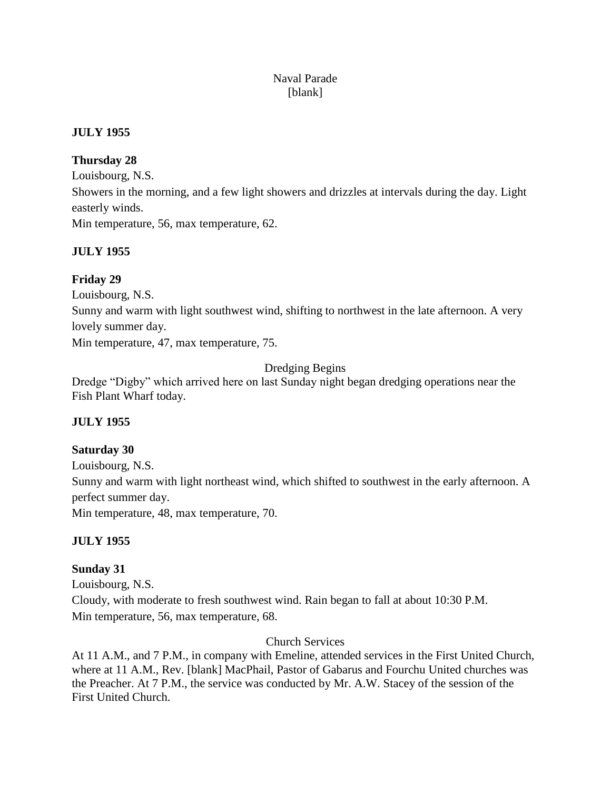# Naval Parade [blank]

## **JULY 1955**

# **Thursday 28**

Louisbourg, N.S. Showers in the morning, and a few light showers and drizzles at intervals during the day. Light easterly winds. Min temperature, 56, max temperature, 62.

## **JULY 1955**

# **Friday 29**

Louisbourg, N.S.

Sunny and warm with light southwest wind, shifting to northwest in the late afternoon. A very lovely summer day.

Min temperature, 47, max temperature, 75.

# Dredging Begins

Dredge "Digby" which arrived here on last Sunday night began dredging operations near the Fish Plant Wharf today.

# **JULY 1955**

# **Saturday 30**

Louisbourg, N.S. Sunny and warm with light northeast wind, which shifted to southwest in the early afternoon. A perfect summer day. Min temperature, 48, max temperature, 70.

## **JULY 1955**

## **Sunday 31**

Louisbourg, N.S. Cloudy, with moderate to fresh southwest wind. Rain began to fall at about 10:30 P.M. Min temperature, 56, max temperature, 68.

## Church Services

At 11 A.M., and 7 P.M., in company with Emeline, attended services in the First United Church, where at 11 A.M., Rev. [blank] MacPhail, Pastor of Gabarus and Fourchu United churches was the Preacher. At 7 P.M., the service was conducted by Mr. A.W. Stacey of the session of the First United Church.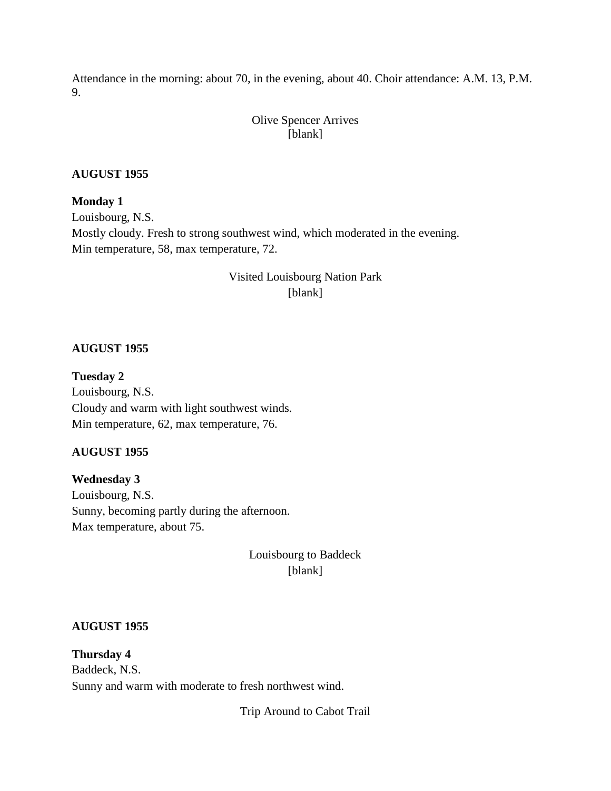Attendance in the morning: about 70, in the evening, about 40. Choir attendance: A.M. 13, P.M. 9.

## Olive Spencer Arrives [blank]

## **AUGUST 1955**

**Monday 1** Louisbourg, N.S. Mostly cloudy. Fresh to strong southwest wind, which moderated in the evening. Min temperature, 58, max temperature, 72.

# Visited Louisbourg Nation Park [blank]

## **AUGUST 1955**

**Tuesday 2** Louisbourg, N.S. Cloudy and warm with light southwest winds. Min temperature, 62, max temperature, 76.

### **AUGUST 1955**

**Wednesday 3** Louisbourg, N.S. Sunny, becoming partly during the afternoon. Max temperature, about 75.

> Louisbourg to Baddeck [blank]

### **AUGUST 1955**

**Thursday 4** Baddeck, N.S. Sunny and warm with moderate to fresh northwest wind.

Trip Around to Cabot Trail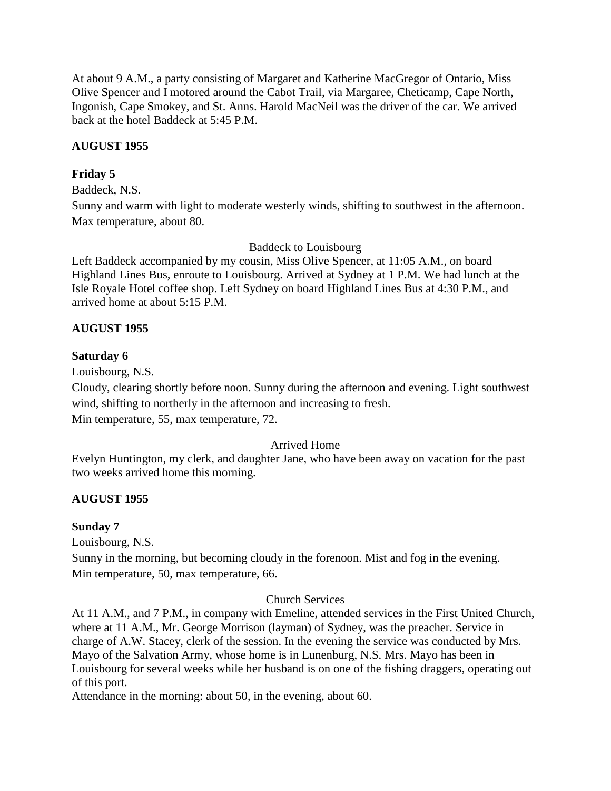At about 9 A.M., a party consisting of Margaret and Katherine MacGregor of Ontario, Miss Olive Spencer and I motored around the Cabot Trail, via Margaree, Cheticamp, Cape North, Ingonish, Cape Smokey, and St. Anns. Harold MacNeil was the driver of the car. We arrived back at the hotel Baddeck at 5:45 P.M.

## **AUGUST 1955**

## **Friday 5**

Baddeck, N.S.

Sunny and warm with light to moderate westerly winds, shifting to southwest in the afternoon. Max temperature, about 80.

Baddeck to Louisbourg

Left Baddeck accompanied by my cousin, Miss Olive Spencer, at 11:05 A.M., on board Highland Lines Bus, enroute to Louisbourg. Arrived at Sydney at 1 P.M. We had lunch at the Isle Royale Hotel coffee shop. Left Sydney on board Highland Lines Bus at 4:30 P.M., and arrived home at about 5:15 P.M.

# **AUGUST 1955**

## **Saturday 6**

Louisbourg, N.S.

Cloudy, clearing shortly before noon. Sunny during the afternoon and evening. Light southwest wind, shifting to northerly in the afternoon and increasing to fresh.

Min temperature, 55, max temperature, 72.

## Arrived Home

Evelyn Huntington, my clerk, and daughter Jane, who have been away on vacation for the past two weeks arrived home this morning.

## **AUGUST 1955**

## **Sunday 7**

Louisbourg, N.S.

Sunny in the morning, but becoming cloudy in the forenoon. Mist and fog in the evening. Min temperature, 50, max temperature, 66.

## Church Services

At 11 A.M., and 7 P.M., in company with Emeline, attended services in the First United Church, where at 11 A.M., Mr. George Morrison (layman) of Sydney, was the preacher. Service in charge of A.W. Stacey, clerk of the session. In the evening the service was conducted by Mrs. Mayo of the Salvation Army, whose home is in Lunenburg, N.S. Mrs. Mayo has been in Louisbourg for several weeks while her husband is on one of the fishing draggers, operating out of this port.

Attendance in the morning: about 50, in the evening, about 60.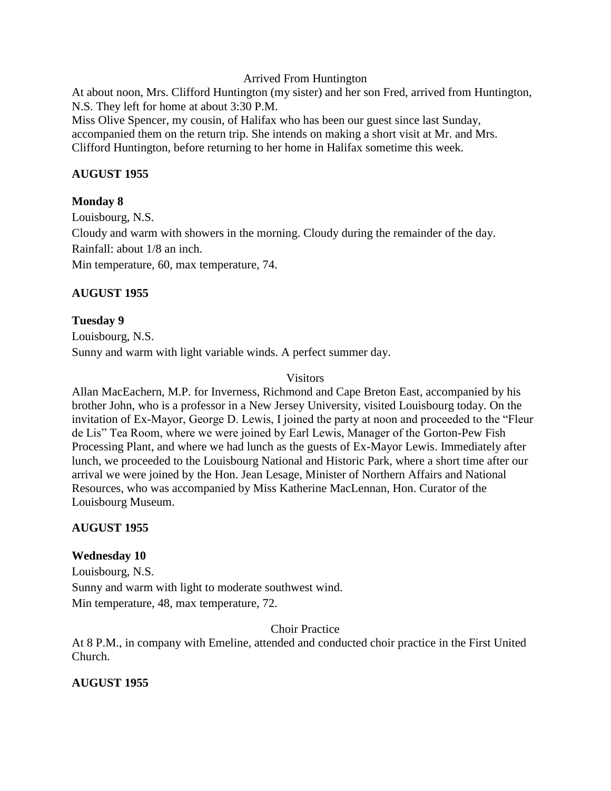Arrived From Huntington

At about noon, Mrs. Clifford Huntington (my sister) and her son Fred, arrived from Huntington, N.S. They left for home at about 3:30 P.M.

Miss Olive Spencer, my cousin, of Halifax who has been our guest since last Sunday, accompanied them on the return trip. She intends on making a short visit at Mr. and Mrs. Clifford Huntington, before returning to her home in Halifax sometime this week.

## **AUGUST 1955**

# **Monday 8**

Louisbourg, N.S. Cloudy and warm with showers in the morning. Cloudy during the remainder of the day. Rainfall: about 1/8 an inch. Min temperature, 60, max temperature, 74.

# **AUGUST 1955**

# **Tuesday 9**

Louisbourg, N.S. Sunny and warm with light variable winds. A perfect summer day.

# **Visitors**

Allan MacEachern, M.P. for Inverness, Richmond and Cape Breton East, accompanied by his brother John, who is a professor in a New Jersey University, visited Louisbourg today. On the invitation of Ex-Mayor, George D. Lewis, I joined the party at noon and proceeded to the "Fleur de Lis" Tea Room, where we were joined by Earl Lewis, Manager of the Gorton-Pew Fish Processing Plant, and where we had lunch as the guests of Ex-Mayor Lewis. Immediately after lunch, we proceeded to the Louisbourg National and Historic Park, where a short time after our arrival we were joined by the Hon. Jean Lesage, Minister of Northern Affairs and National Resources, who was accompanied by Miss Katherine MacLennan, Hon. Curator of the Louisbourg Museum.

# **AUGUST 1955**

# **Wednesday 10**

Louisbourg, N.S. Sunny and warm with light to moderate southwest wind. Min temperature, 48, max temperature, 72.

Choir Practice

At 8 P.M., in company with Emeline, attended and conducted choir practice in the First United Church.

# **AUGUST 1955**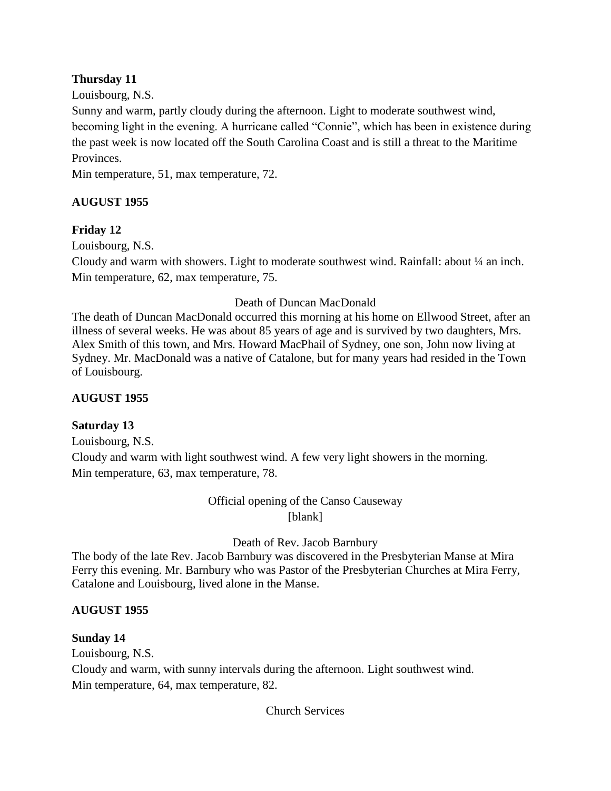# **Thursday 11**

Louisbourg, N.S.

Sunny and warm, partly cloudy during the afternoon. Light to moderate southwest wind, becoming light in the evening. A hurricane called "Connie", which has been in existence during the past week is now located off the South Carolina Coast and is still a threat to the Maritime Provinces.

Min temperature, 51, max temperature, 72.

# **AUGUST 1955**

# **Friday 12**

Louisbourg, N.S.

Cloudy and warm with showers. Light to moderate southwest wind. Rainfall: about ¼ an inch. Min temperature, 62, max temperature, 75.

# Death of Duncan MacDonald

The death of Duncan MacDonald occurred this morning at his home on Ellwood Street, after an illness of several weeks. He was about 85 years of age and is survived by two daughters, Mrs. Alex Smith of this town, and Mrs. Howard MacPhail of Sydney, one son, John now living at Sydney. Mr. MacDonald was a native of Catalone, but for many years had resided in the Town of Louisbourg.

## **AUGUST 1955**

# **Saturday 13**

Louisbourg, N.S. Cloudy and warm with light southwest wind. A few very light showers in the morning. Min temperature, 63, max temperature, 78.

# Official opening of the Canso Causeway [blank]

## Death of Rev. Jacob Barnbury

The body of the late Rev. Jacob Barnbury was discovered in the Presbyterian Manse at Mira Ferry this evening. Mr. Barnbury who was Pastor of the Presbyterian Churches at Mira Ferry, Catalone and Louisbourg, lived alone in the Manse.

## **AUGUST 1955**

## **Sunday 14**

Louisbourg, N.S. Cloudy and warm, with sunny intervals during the afternoon. Light southwest wind. Min temperature, 64, max temperature, 82.

Church Services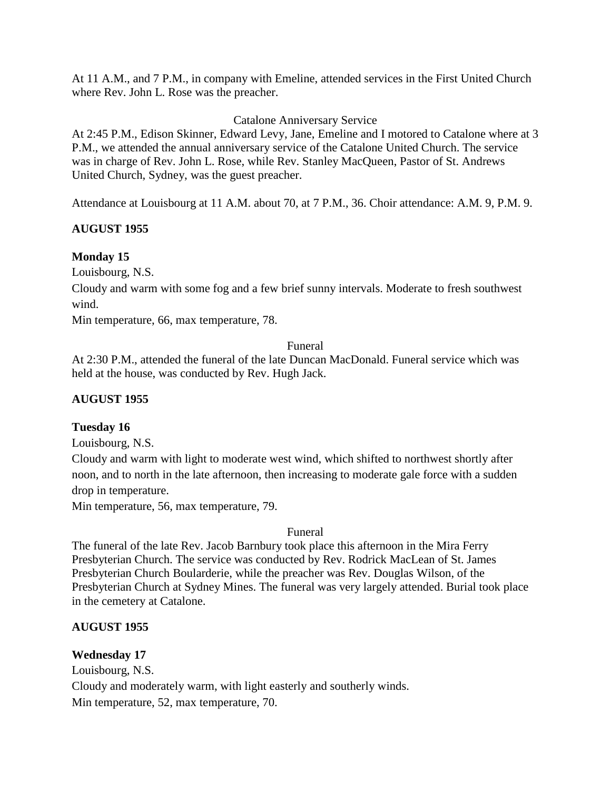At 11 A.M., and 7 P.M., in company with Emeline, attended services in the First United Church where Rev. John L. Rose was the preacher.

## Catalone Anniversary Service

At 2:45 P.M., Edison Skinner, Edward Levy, Jane, Emeline and I motored to Catalone where at 3 P.M., we attended the annual anniversary service of the Catalone United Church. The service was in charge of Rev. John L. Rose, while Rev. Stanley MacQueen, Pastor of St. Andrews United Church, Sydney, was the guest preacher.

Attendance at Louisbourg at 11 A.M. about 70, at 7 P.M., 36. Choir attendance: A.M. 9, P.M. 9.

## **AUGUST 1955**

## **Monday 15**

Louisbourg, N.S.

Cloudy and warm with some fog and a few brief sunny intervals. Moderate to fresh southwest wind.

Min temperature, 66, max temperature, 78.

### Funeral

At 2:30 P.M., attended the funeral of the late Duncan MacDonald. Funeral service which was held at the house, was conducted by Rev. Hugh Jack.

## **AUGUST 1955**

## **Tuesday 16**

Louisbourg, N.S.

Cloudy and warm with light to moderate west wind, which shifted to northwest shortly after noon, and to north in the late afternoon, then increasing to moderate gale force with a sudden drop in temperature.

Min temperature, 56, max temperature, 79.

### Funeral

The funeral of the late Rev. Jacob Barnbury took place this afternoon in the Mira Ferry Presbyterian Church. The service was conducted by Rev. Rodrick MacLean of St. James Presbyterian Church Boularderie, while the preacher was Rev. Douglas Wilson, of the Presbyterian Church at Sydney Mines. The funeral was very largely attended. Burial took place in the cemetery at Catalone.

## **AUGUST 1955**

## **Wednesday 17**

Louisbourg, N.S. Cloudy and moderately warm, with light easterly and southerly winds. Min temperature, 52, max temperature, 70.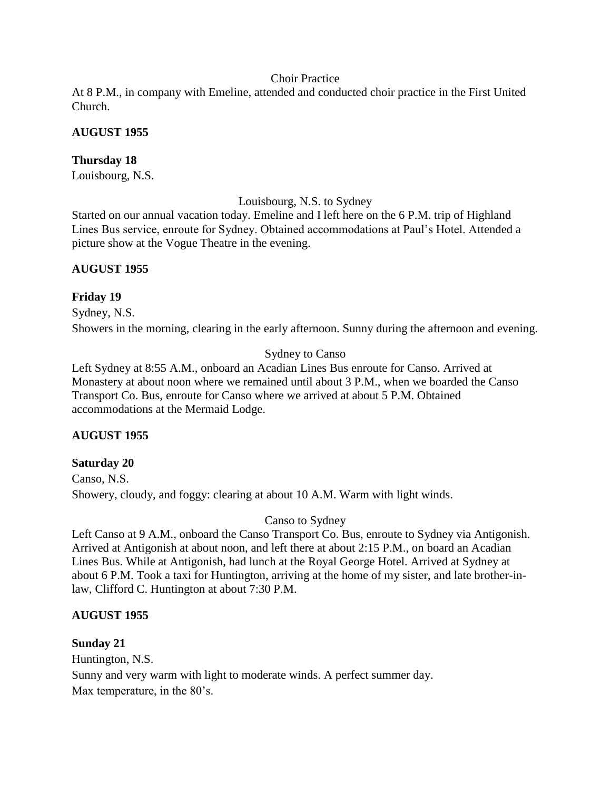### Choir Practice

At 8 P.M., in company with Emeline, attended and conducted choir practice in the First United Church.

## **AUGUST 1955**

## **Thursday 18**

Louisbourg, N.S.

Louisbourg, N.S. to Sydney

Started on our annual vacation today. Emeline and I left here on the 6 P.M. trip of Highland Lines Bus service, enroute for Sydney. Obtained accommodations at Paul's Hotel. Attended a picture show at the Vogue Theatre in the evening.

## **AUGUST 1955**

## **Friday 19**

Sydney, N.S.

Showers in the morning, clearing in the early afternoon. Sunny during the afternoon and evening.

## Sydney to Canso

Left Sydney at 8:55 A.M., onboard an Acadian Lines Bus enroute for Canso. Arrived at Monastery at about noon where we remained until about 3 P.M., when we boarded the Canso Transport Co. Bus, enroute for Canso where we arrived at about 5 P.M. Obtained accommodations at the Mermaid Lodge.

## **AUGUST 1955**

## **Saturday 20**

Canso, N.S. Showery, cloudy, and foggy: clearing at about 10 A.M. Warm with light winds.

## Canso to Sydney

Left Canso at 9 A.M., onboard the Canso Transport Co. Bus, enroute to Sydney via Antigonish. Arrived at Antigonish at about noon, and left there at about 2:15 P.M., on board an Acadian Lines Bus. While at Antigonish, had lunch at the Royal George Hotel. Arrived at Sydney at about 6 P.M. Took a taxi for Huntington, arriving at the home of my sister, and late brother-inlaw, Clifford C. Huntington at about 7:30 P.M.

## **AUGUST 1955**

## **Sunday 21**

Huntington, N.S. Sunny and very warm with light to moderate winds. A perfect summer day. Max temperature, in the 80's.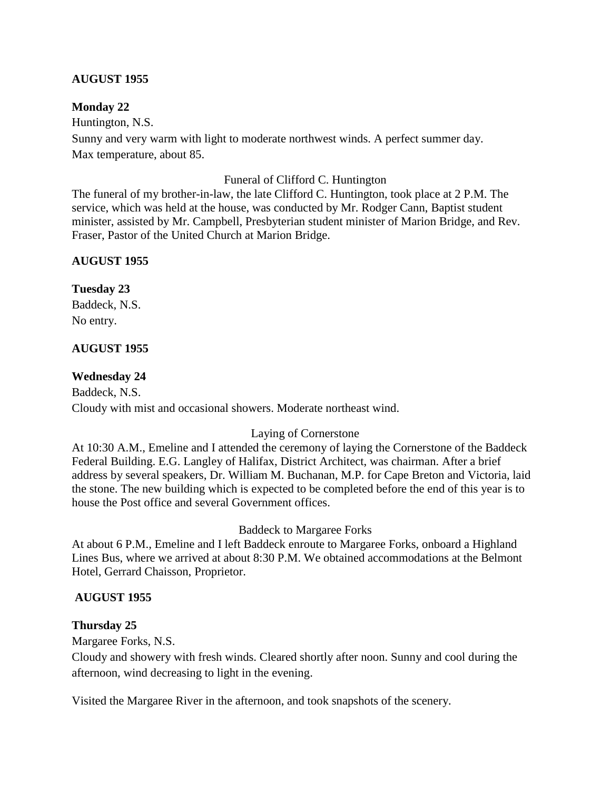## **AUGUST 1955**

## **Monday 22**

Huntington, N.S.

Sunny and very warm with light to moderate northwest winds. A perfect summer day. Max temperature, about 85.

#### Funeral of Clifford C. Huntington

The funeral of my brother-in-law, the late Clifford C. Huntington, took place at 2 P.M. The service, which was held at the house, was conducted by Mr. Rodger Cann, Baptist student minister, assisted by Mr. Campbell, Presbyterian student minister of Marion Bridge, and Rev. Fraser, Pastor of the United Church at Marion Bridge.

## **AUGUST 1955**

## **Tuesday 23**

Baddeck, N.S. No entry.

## **AUGUST 1955**

## **Wednesday 24**

Baddeck, N.S. Cloudy with mist and occasional showers. Moderate northeast wind.

### Laying of Cornerstone

At 10:30 A.M., Emeline and I attended the ceremony of laying the Cornerstone of the Baddeck Federal Building. E.G. Langley of Halifax, District Architect, was chairman. After a brief address by several speakers, Dr. William M. Buchanan, M.P. for Cape Breton and Victoria, laid the stone. The new building which is expected to be completed before the end of this year is to house the Post office and several Government offices.

### Baddeck to Margaree Forks

At about 6 P.M., Emeline and I left Baddeck enroute to Margaree Forks, onboard a Highland Lines Bus, where we arrived at about 8:30 P.M. We obtained accommodations at the Belmont Hotel, Gerrard Chaisson, Proprietor.

### **AUGUST 1955**

## **Thursday 25**

Margaree Forks, N.S.

Cloudy and showery with fresh winds. Cleared shortly after noon. Sunny and cool during the afternoon, wind decreasing to light in the evening.

Visited the Margaree River in the afternoon, and took snapshots of the scenery.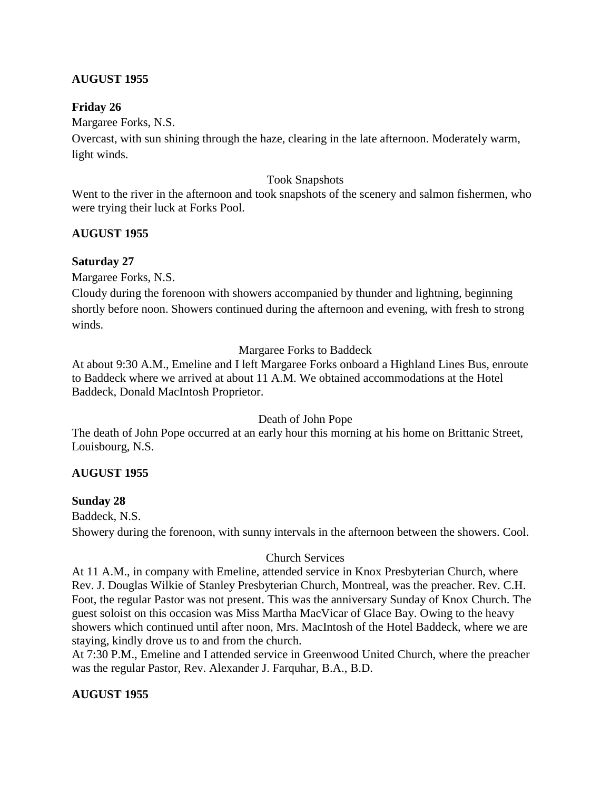## **AUGUST 1955**

## **Friday 26**

Margaree Forks, N.S.

Overcast, with sun shining through the haze, clearing in the late afternoon. Moderately warm, light winds.

### Took Snapshots

Went to the river in the afternoon and took snapshots of the scenery and salmon fishermen, who were trying their luck at Forks Pool.

## **AUGUST 1955**

## **Saturday 27**

Margaree Forks, N.S.

Cloudy during the forenoon with showers accompanied by thunder and lightning, beginning shortly before noon. Showers continued during the afternoon and evening, with fresh to strong winds.

### Margaree Forks to Baddeck

At about 9:30 A.M., Emeline and I left Margaree Forks onboard a Highland Lines Bus, enroute to Baddeck where we arrived at about 11 A.M. We obtained accommodations at the Hotel Baddeck, Donald MacIntosh Proprietor.

### Death of John Pope

The death of John Pope occurred at an early hour this morning at his home on Brittanic Street, Louisbourg, N.S.

## **AUGUST 1955**

## **Sunday 28**

Baddeck, N.S.

Showery during the forenoon, with sunny intervals in the afternoon between the showers. Cool.

### Church Services

At 11 A.M., in company with Emeline, attended service in Knox Presbyterian Church, where Rev. J. Douglas Wilkie of Stanley Presbyterian Church, Montreal, was the preacher. Rev. C.H. Foot, the regular Pastor was not present. This was the anniversary Sunday of Knox Church. The guest soloist on this occasion was Miss Martha MacVicar of Glace Bay. Owing to the heavy showers which continued until after noon, Mrs. MacIntosh of the Hotel Baddeck, where we are staying, kindly drove us to and from the church.

At 7:30 P.M., Emeline and I attended service in Greenwood United Church, where the preacher was the regular Pastor, Rev. Alexander J. Farquhar, B.A., B.D.

## **AUGUST 1955**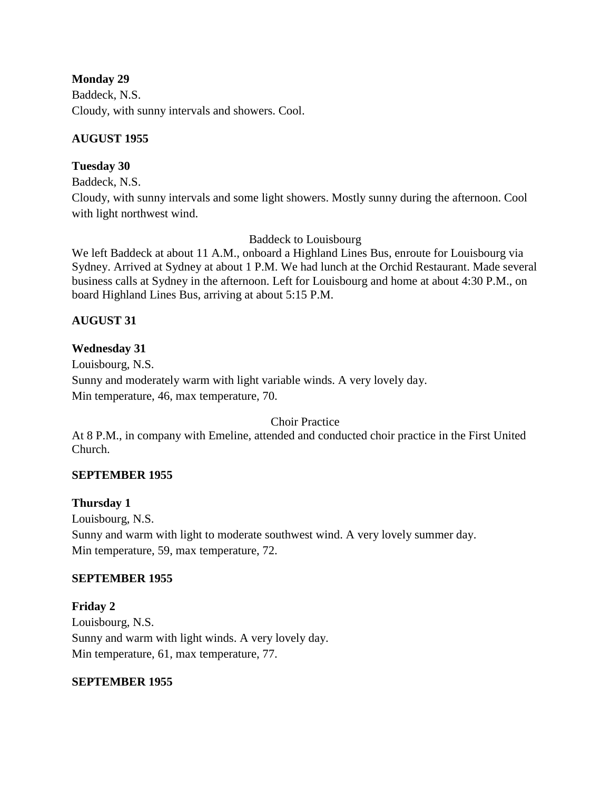## **Monday 29**

Baddeck, N.S. Cloudy, with sunny intervals and showers. Cool.

# **AUGUST 1955**

# **Tuesday 30**

Baddeck, N.S.

Cloudy, with sunny intervals and some light showers. Mostly sunny during the afternoon. Cool with light northwest wind.

Baddeck to Louisbourg

We left Baddeck at about 11 A.M., onboard a Highland Lines Bus, enroute for Louisbourg via Sydney. Arrived at Sydney at about 1 P.M. We had lunch at the Orchid Restaurant. Made several business calls at Sydney in the afternoon. Left for Louisbourg and home at about 4:30 P.M., on board Highland Lines Bus, arriving at about 5:15 P.M.

# **AUGUST 31**

# **Wednesday 31**

Louisbourg, N.S. Sunny and moderately warm with light variable winds. A very lovely day. Min temperature, 46, max temperature, 70.

Choir Practice

At 8 P.M., in company with Emeline, attended and conducted choir practice in the First United Church.

## **SEPTEMBER 1955**

## **Thursday 1**

Louisbourg, N.S. Sunny and warm with light to moderate southwest wind. A very lovely summer day. Min temperature, 59, max temperature, 72.

## **SEPTEMBER 1955**

**Friday 2** Louisbourg, N.S. Sunny and warm with light winds. A very lovely day. Min temperature, 61, max temperature, 77.

## **SEPTEMBER 1955**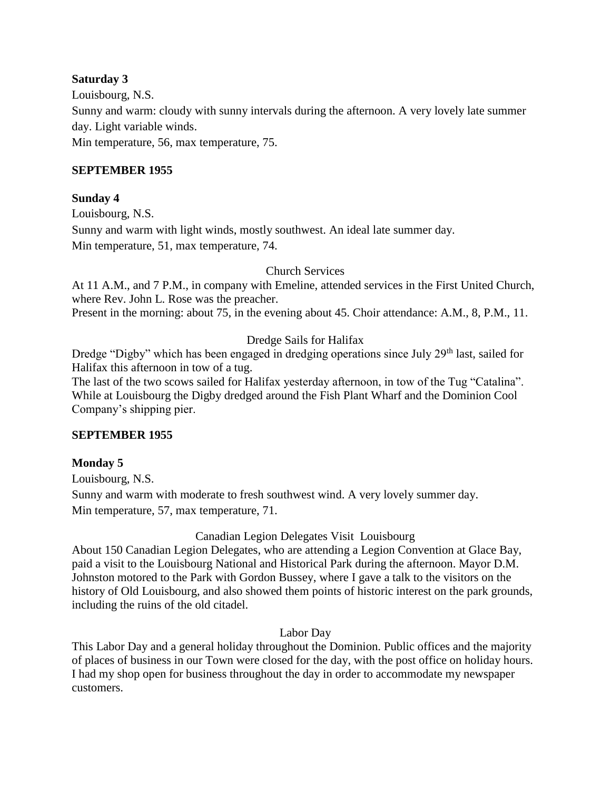## **Saturday 3**

Louisbourg, N.S. Sunny and warm: cloudy with sunny intervals during the afternoon. A very lovely late summer day. Light variable winds. Min temperature, 56, max temperature, 75.

## **SEPTEMBER 1955**

## **Sunday 4**

Louisbourg, N.S.

Sunny and warm with light winds, mostly southwest. An ideal late summer day. Min temperature, 51, max temperature, 74.

## Church Services

At 11 A.M., and 7 P.M., in company with Emeline, attended services in the First United Church, where Rev. John L. Rose was the preacher.

Present in the morning: about 75, in the evening about 45. Choir attendance: A.M., 8, P.M., 11.

## Dredge Sails for Halifax

Dredge "Digby" which has been engaged in dredging operations since July  $29<sup>th</sup>$  last, sailed for Halifax this afternoon in tow of a tug.

The last of the two scows sailed for Halifax yesterday afternoon, in tow of the Tug "Catalina". While at Louisbourg the Digby dredged around the Fish Plant Wharf and the Dominion Cool Company's shipping pier.

## **SEPTEMBER 1955**

## **Monday 5**

Louisbourg, N.S.

Sunny and warm with moderate to fresh southwest wind. A very lovely summer day. Min temperature, 57, max temperature, 71.

## Canadian Legion Delegates Visit Louisbourg

About 150 Canadian Legion Delegates, who are attending a Legion Convention at Glace Bay, paid a visit to the Louisbourg National and Historical Park during the afternoon. Mayor D.M. Johnston motored to the Park with Gordon Bussey, where I gave a talk to the visitors on the history of Old Louisbourg, and also showed them points of historic interest on the park grounds, including the ruins of the old citadel.

### Labor Day

This Labor Day and a general holiday throughout the Dominion. Public offices and the majority of places of business in our Town were closed for the day, with the post office on holiday hours. I had my shop open for business throughout the day in order to accommodate my newspaper customers.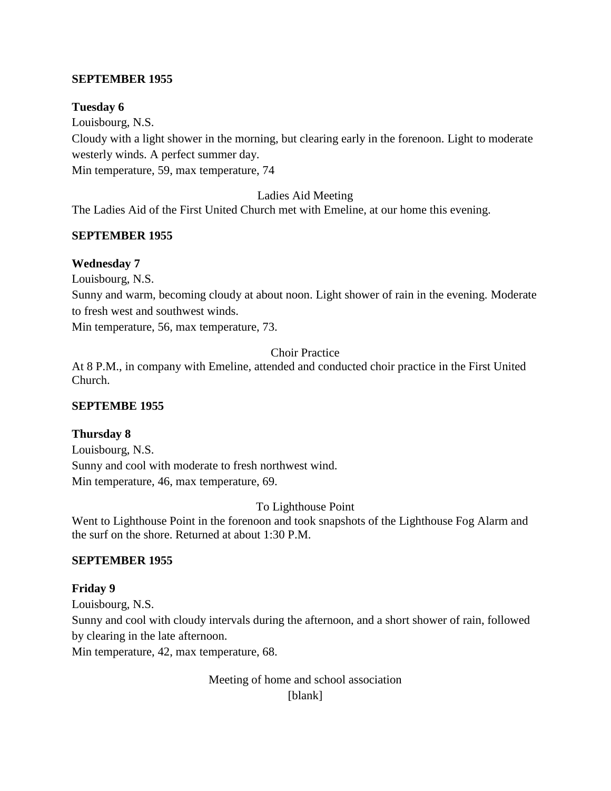## **SEPTEMBER 1955**

### **Tuesday 6**

Louisbourg, N.S. Cloudy with a light shower in the morning, but clearing early in the forenoon. Light to moderate westerly winds. A perfect summer day. Min temperature, 59, max temperature, 74

Ladies Aid Meeting

The Ladies Aid of the First United Church met with Emeline, at our home this evening.

## **SEPTEMBER 1955**

### **Wednesday 7**

Louisbourg, N.S.

Sunny and warm, becoming cloudy at about noon. Light shower of rain in the evening. Moderate to fresh west and southwest winds.

Min temperature, 56, max temperature, 73.

Choir Practice

At 8 P.M., in company with Emeline, attended and conducted choir practice in the First United Church.

### **SEPTEMBE 1955**

### **Thursday 8**

Louisbourg, N.S. Sunny and cool with moderate to fresh northwest wind. Min temperature, 46, max temperature, 69.

To Lighthouse Point

Went to Lighthouse Point in the forenoon and took snapshots of the Lighthouse Fog Alarm and the surf on the shore. Returned at about 1:30 P.M.

## **SEPTEMBER 1955**

## **Friday 9**

Louisbourg, N.S. Sunny and cool with cloudy intervals during the afternoon, and a short shower of rain, followed by clearing in the late afternoon.

Min temperature, 42, max temperature, 68.

Meeting of home and school association [blank]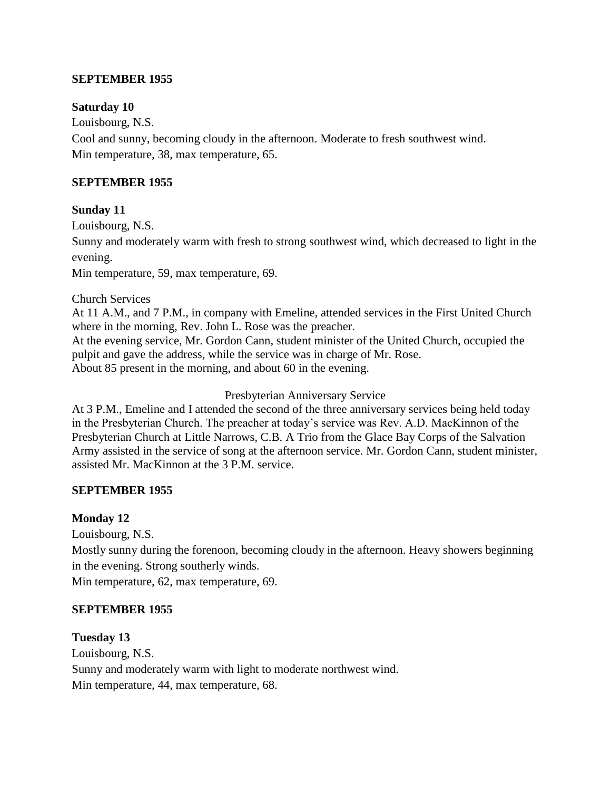### **SEPTEMBER 1955**

#### **Saturday 10**

Louisbourg, N.S.

Cool and sunny, becoming cloudy in the afternoon. Moderate to fresh southwest wind. Min temperature, 38, max temperature, 65.

#### **SEPTEMBER 1955**

#### **Sunday 11**

Louisbourg, N.S.

Sunny and moderately warm with fresh to strong southwest wind, which decreased to light in the evening.

Min temperature, 59, max temperature, 69.

Church Services

At 11 A.M., and 7 P.M., in company with Emeline, attended services in the First United Church where in the morning, Rev. John L. Rose was the preacher. At the evening service, Mr. Gordon Cann, student minister of the United Church, occupied the pulpit and gave the address, while the service was in charge of Mr. Rose. About 85 present in the morning, and about 60 in the evening.

Presbyterian Anniversary Service

At 3 P.M., Emeline and I attended the second of the three anniversary services being held today in the Presbyterian Church. The preacher at today's service was Rev. A.D. MacKinnon of the Presbyterian Church at Little Narrows, C.B. A Trio from the Glace Bay Corps of the Salvation Army assisted in the service of song at the afternoon service. Mr. Gordon Cann, student minister, assisted Mr. MacKinnon at the 3 P.M. service.

#### **SEPTEMBER 1955**

### **Monday 12**

Louisbourg, N.S.

Mostly sunny during the forenoon, becoming cloudy in the afternoon. Heavy showers beginning in the evening. Strong southerly winds.

Min temperature, 62, max temperature, 69.

#### **SEPTEMBER 1955**

#### **Tuesday 13**

Louisbourg, N.S. Sunny and moderately warm with light to moderate northwest wind. Min temperature, 44, max temperature, 68.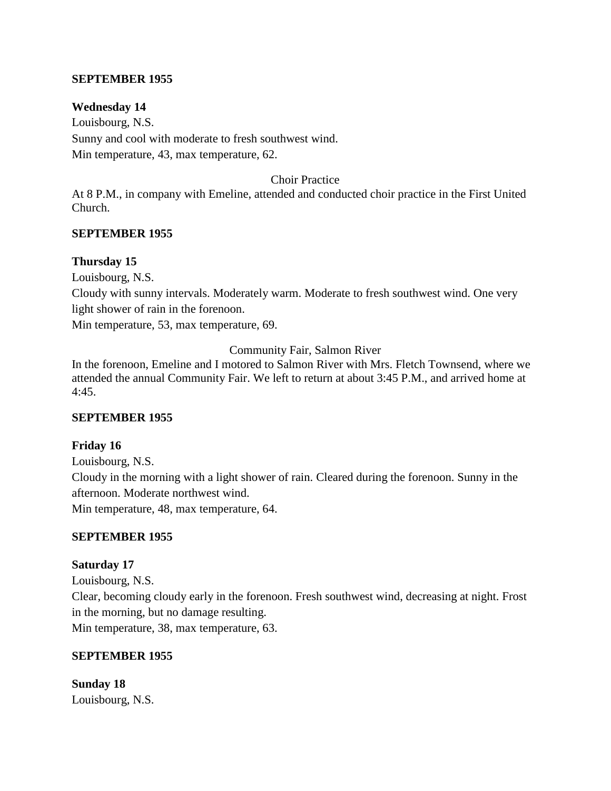#### **SEPTEMBER 1955**

#### **Wednesday 14**

Louisbourg, N.S. Sunny and cool with moderate to fresh southwest wind. Min temperature, 43, max temperature, 62.

#### Choir Practice

At 8 P.M., in company with Emeline, attended and conducted choir practice in the First United Church.

#### **SEPTEMBER 1955**

#### **Thursday 15**

Louisbourg, N.S.

Cloudy with sunny intervals. Moderately warm. Moderate to fresh southwest wind. One very light shower of rain in the forenoon.

Min temperature, 53, max temperature, 69.

Community Fair, Salmon River

In the forenoon, Emeline and I motored to Salmon River with Mrs. Fletch Townsend, where we attended the annual Community Fair. We left to return at about 3:45 P.M., and arrived home at 4:45.

### **SEPTEMBER 1955**

#### **Friday 16**

Louisbourg, N.S. Cloudy in the morning with a light shower of rain. Cleared during the forenoon. Sunny in the afternoon. Moderate northwest wind.

Min temperature, 48, max temperature, 64.

#### **SEPTEMBER 1955**

#### **Saturday 17**

Louisbourg, N.S. Clear, becoming cloudy early in the forenoon. Fresh southwest wind, decreasing at night. Frost in the morning, but no damage resulting. Min temperature, 38, max temperature, 63.

### **SEPTEMBER 1955**

**Sunday 18** Louisbourg, N.S.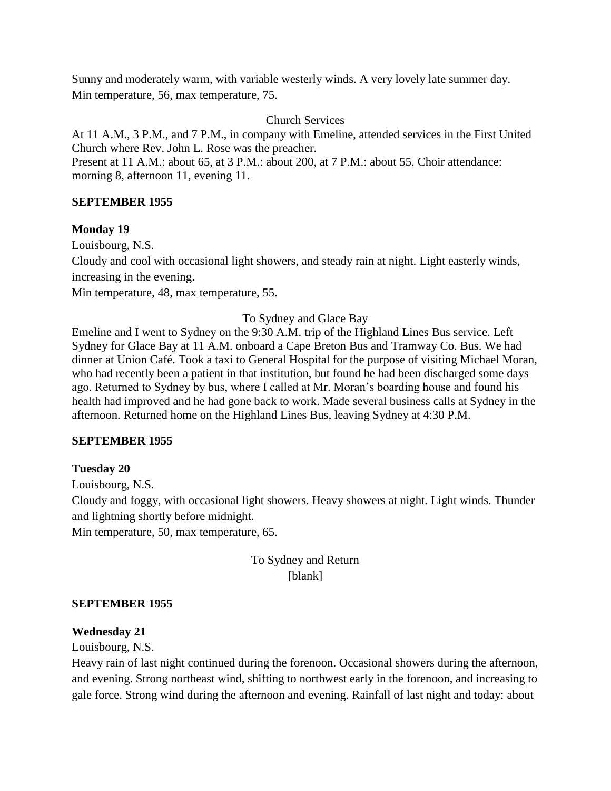Sunny and moderately warm, with variable westerly winds. A very lovely late summer day. Min temperature, 56, max temperature, 75.

Church Services

At 11 A.M., 3 P.M., and 7 P.M., in company with Emeline, attended services in the First United Church where Rev. John L. Rose was the preacher.

Present at 11 A.M.: about 65, at 3 P.M.: about 200, at 7 P.M.: about 55. Choir attendance: morning 8, afternoon 11, evening 11.

### **SEPTEMBER 1955**

### **Monday 19**

Louisbourg, N.S.

Cloudy and cool with occasional light showers, and steady rain at night. Light easterly winds, increasing in the evening.

Min temperature, 48, max temperature, 55.

To Sydney and Glace Bay

Emeline and I went to Sydney on the 9:30 A.M. trip of the Highland Lines Bus service. Left Sydney for Glace Bay at 11 A.M. onboard a Cape Breton Bus and Tramway Co. Bus. We had dinner at Union Café. Took a taxi to General Hospital for the purpose of visiting Michael Moran, who had recently been a patient in that institution, but found he had been discharged some days ago. Returned to Sydney by bus, where I called at Mr. Moran's boarding house and found his health had improved and he had gone back to work. Made several business calls at Sydney in the afternoon. Returned home on the Highland Lines Bus, leaving Sydney at 4:30 P.M.

### **SEPTEMBER 1955**

## **Tuesday 20**

Louisbourg, N.S.

Cloudy and foggy, with occasional light showers. Heavy showers at night. Light winds. Thunder and lightning shortly before midnight.

Min temperature, 50, max temperature, 65.

To Sydney and Return [blank]

### **SEPTEMBER 1955**

### **Wednesday 21**

Louisbourg, N.S.

Heavy rain of last night continued during the forenoon. Occasional showers during the afternoon, and evening. Strong northeast wind, shifting to northwest early in the forenoon, and increasing to gale force. Strong wind during the afternoon and evening. Rainfall of last night and today: about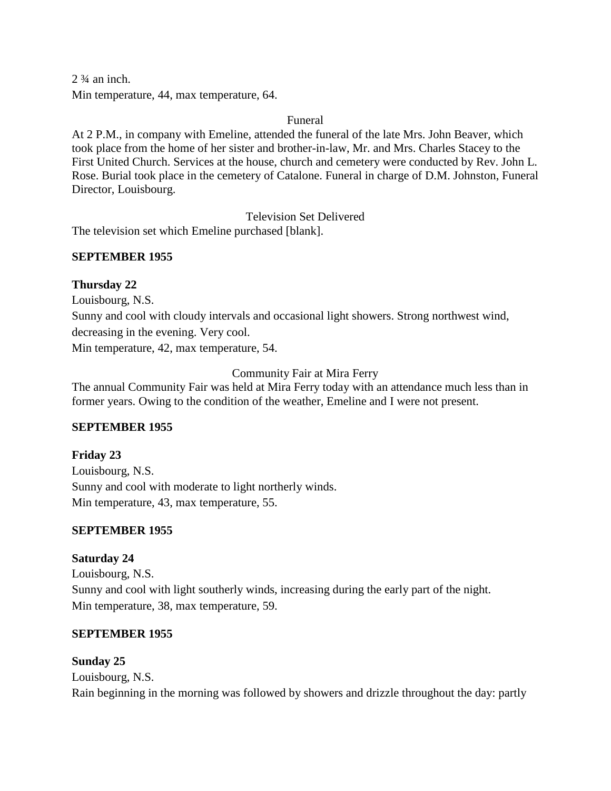$2 \frac{3}{4}$  an inch. Min temperature, 44, max temperature, 64.

Funeral

At 2 P.M., in company with Emeline, attended the funeral of the late Mrs. John Beaver, which took place from the home of her sister and brother-in-law, Mr. and Mrs. Charles Stacey to the First United Church. Services at the house, church and cemetery were conducted by Rev. John L. Rose. Burial took place in the cemetery of Catalone. Funeral in charge of D.M. Johnston, Funeral Director, Louisbourg.

Television Set Delivered

The television set which Emeline purchased [blank].

## **SEPTEMBER 1955**

### **Thursday 22**

Louisbourg, N.S. Sunny and cool with cloudy intervals and occasional light showers. Strong northwest wind, decreasing in the evening. Very cool. Min temperature, 42, max temperature, 54.

Community Fair at Mira Ferry

The annual Community Fair was held at Mira Ferry today with an attendance much less than in former years. Owing to the condition of the weather, Emeline and I were not present.

## **SEPTEMBER 1955**

**Friday 23** Louisbourg, N.S. Sunny and cool with moderate to light northerly winds. Min temperature, 43, max temperature, 55.

## **SEPTEMBER 1955**

## **Saturday 24**

Louisbourg, N.S. Sunny and cool with light southerly winds, increasing during the early part of the night. Min temperature, 38, max temperature, 59.

## **SEPTEMBER 1955**

## **Sunday 25**

Louisbourg, N.S. Rain beginning in the morning was followed by showers and drizzle throughout the day: partly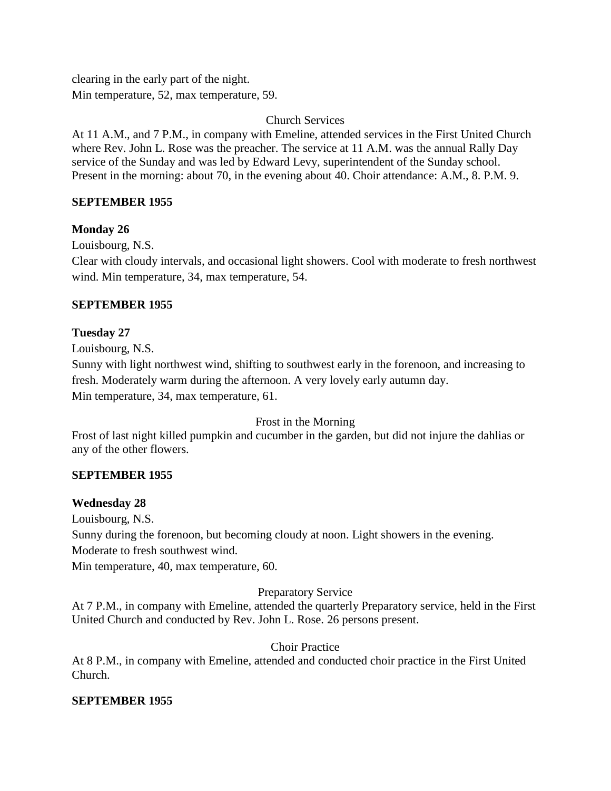clearing in the early part of the night. Min temperature, 52, max temperature, 59.

Church Services

At 11 A.M., and 7 P.M., in company with Emeline, attended services in the First United Church where Rev. John L. Rose was the preacher. The service at 11 A.M. was the annual Rally Day service of the Sunday and was led by Edward Levy, superintendent of the Sunday school. Present in the morning: about 70, in the evening about 40. Choir attendance: A.M., 8. P.M. 9.

### **SEPTEMBER 1955**

### **Monday 26**

Louisbourg, N.S.

Clear with cloudy intervals, and occasional light showers. Cool with moderate to fresh northwest wind. Min temperature, 34, max temperature, 54.

### **SEPTEMBER 1955**

### **Tuesday 27**

Louisbourg, N.S.

Sunny with light northwest wind, shifting to southwest early in the forenoon, and increasing to fresh. Moderately warm during the afternoon. A very lovely early autumn day. Min temperature, 34, max temperature, 61.

### Frost in the Morning

Frost of last night killed pumpkin and cucumber in the garden, but did not injure the dahlias or any of the other flowers.

## **SEPTEMBER 1955**

### **Wednesday 28**

Louisbourg, N.S.

Sunny during the forenoon, but becoming cloudy at noon. Light showers in the evening.

Moderate to fresh southwest wind.

Min temperature, 40, max temperature, 60.

### Preparatory Service

At 7 P.M., in company with Emeline, attended the quarterly Preparatory service, held in the First United Church and conducted by Rev. John L. Rose. 26 persons present.

## Choir Practice

At 8 P.M., in company with Emeline, attended and conducted choir practice in the First United Church.

### **SEPTEMBER 1955**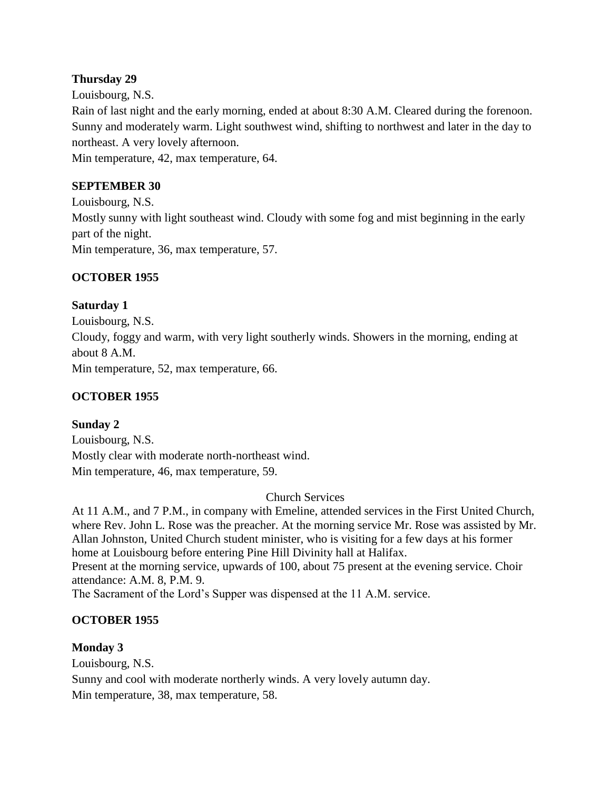### **Thursday 29**

Louisbourg, N.S. Rain of last night and the early morning, ended at about 8:30 A.M. Cleared during the forenoon. Sunny and moderately warm. Light southwest wind, shifting to northwest and later in the day to northeast. A very lovely afternoon.

Min temperature, 42, max temperature, 64.

### **SEPTEMBER 30**

Louisbourg, N.S. Mostly sunny with light southeast wind. Cloudy with some fog and mist beginning in the early part of the night. Min temperature, 36, max temperature, 57.

### **OCTOBER 1955**

### **Saturday 1**

Louisbourg, N.S. Cloudy, foggy and warm, with very light southerly winds. Showers in the morning, ending at about 8 A.M. Min temperature, 52, max temperature, 66.

## **OCTOBER 1955**

### **Sunday 2**

Louisbourg, N.S. Mostly clear with moderate north-northeast wind. Min temperature, 46, max temperature, 59.

### Church Services

At 11 A.M., and 7 P.M., in company with Emeline, attended services in the First United Church, where Rev. John L. Rose was the preacher. At the morning service Mr. Rose was assisted by Mr. Allan Johnston, United Church student minister, who is visiting for a few days at his former home at Louisbourg before entering Pine Hill Divinity hall at Halifax. Present at the morning service, upwards of 100, about 75 present at the evening service. Choir attendance: A.M. 8, P.M. 9.

The Sacrament of the Lord's Supper was dispensed at the 11 A.M. service.

## **OCTOBER 1955**

### **Monday 3**

Louisbourg, N.S. Sunny and cool with moderate northerly winds. A very lovely autumn day. Min temperature, 38, max temperature, 58.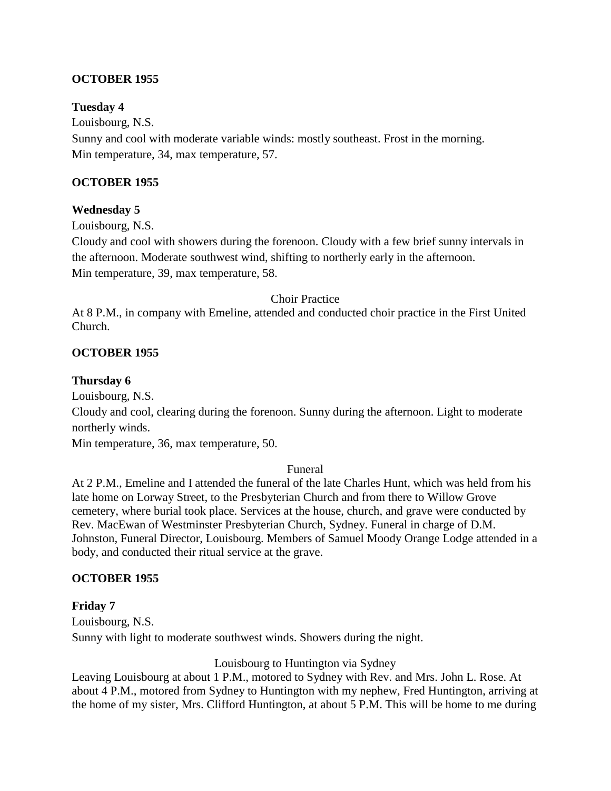### **OCTOBER 1955**

### **Tuesday 4**

Louisbourg, N.S. Sunny and cool with moderate variable winds: mostly southeast. Frost in the morning. Min temperature, 34, max temperature, 57.

### **OCTOBER 1955**

### **Wednesday 5**

Louisbourg, N.S.

Cloudy and cool with showers during the forenoon. Cloudy with a few brief sunny intervals in the afternoon. Moderate southwest wind, shifting to northerly early in the afternoon. Min temperature, 39, max temperature, 58.

### Choir Practice

At 8 P.M., in company with Emeline, attended and conducted choir practice in the First United Church.

### **OCTOBER 1955**

### **Thursday 6**

Louisbourg, N.S.

Cloudy and cool, clearing during the forenoon. Sunny during the afternoon. Light to moderate northerly winds.

Min temperature, 36, max temperature, 50.

### Funeral

At 2 P.M., Emeline and I attended the funeral of the late Charles Hunt, which was held from his late home on Lorway Street, to the Presbyterian Church and from there to Willow Grove cemetery, where burial took place. Services at the house, church, and grave were conducted by Rev. MacEwan of Westminster Presbyterian Church, Sydney. Funeral in charge of D.M. Johnston, Funeral Director, Louisbourg. Members of Samuel Moody Orange Lodge attended in a body, and conducted their ritual service at the grave.

### **OCTOBER 1955**

### **Friday 7**

Louisbourg, N.S. Sunny with light to moderate southwest winds. Showers during the night.

Louisbourg to Huntington via Sydney

Leaving Louisbourg at about 1 P.M., motored to Sydney with Rev. and Mrs. John L. Rose. At about 4 P.M., motored from Sydney to Huntington with my nephew, Fred Huntington, arriving at the home of my sister, Mrs. Clifford Huntington, at about 5 P.M. This will be home to me during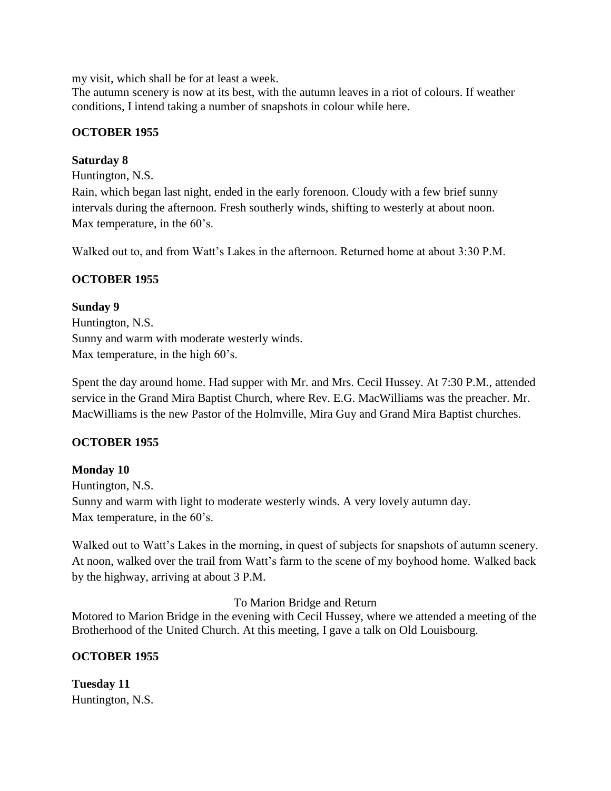my visit, which shall be for at least a week.

The autumn scenery is now at its best, with the autumn leaves in a riot of colours. If weather conditions, I intend taking a number of snapshots in colour while here.

### **OCTOBER 1955**

### **Saturday 8**

Huntington, N.S. Rain, which began last night, ended in the early forenoon. Cloudy with a few brief sunny intervals during the afternoon. Fresh southerly winds, shifting to westerly at about noon. Max temperature, in the 60's.

Walked out to, and from Watt's Lakes in the afternoon. Returned home at about 3:30 P.M.

### **OCTOBER 1955**

#### **Sunday 9**

Huntington, N.S. Sunny and warm with moderate westerly winds. Max temperature, in the high  $60$ 's.

Spent the day around home. Had supper with Mr. and Mrs. Cecil Hussey. At 7:30 P.M., attended service in the Grand Mira Baptist Church, where Rev. E.G. MacWilliams was the preacher. Mr. MacWilliams is the new Pastor of the Holmville, Mira Guy and Grand Mira Baptist churches.

### **OCTOBER 1955**

### **Monday 10**

Huntington, N.S. Sunny and warm with light to moderate westerly winds. A very lovely autumn day. Max temperature, in the 60's.

Walked out to Watt's Lakes in the morning, in quest of subjects for snapshots of autumn scenery. At noon, walked over the trail from Watt's farm to the scene of my boyhood home. Walked back by the highway, arriving at about 3 P.M.

To Marion Bridge and Return

Motored to Marion Bridge in the evening with Cecil Hussey, where we attended a meeting of the Brotherhood of the United Church. At this meeting, I gave a talk on Old Louisbourg.

### **OCTOBER 1955**

**Tuesday 11** Huntington, N.S.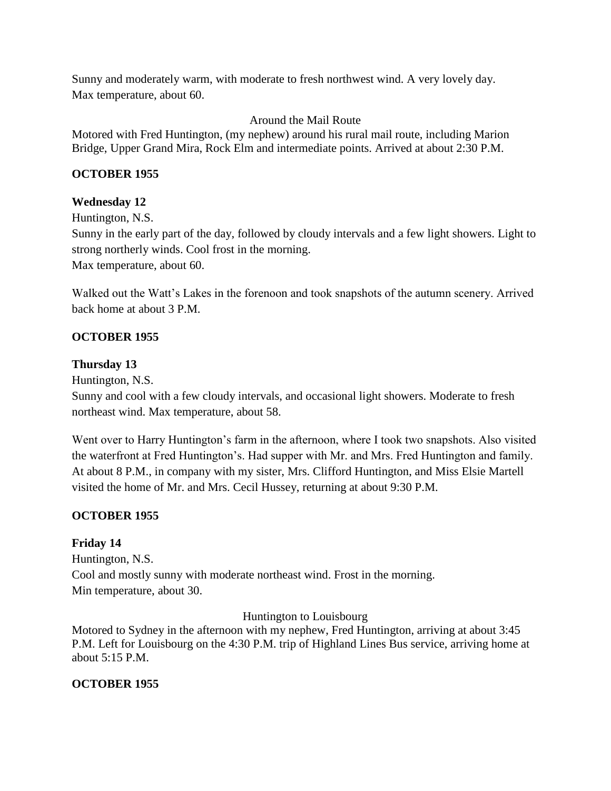Sunny and moderately warm, with moderate to fresh northwest wind. A very lovely day. Max temperature, about 60.

### Around the Mail Route

Motored with Fred Huntington, (my nephew) around his rural mail route, including Marion Bridge, Upper Grand Mira, Rock Elm and intermediate points. Arrived at about 2:30 P.M.

### **OCTOBER 1955**

### **Wednesday 12**

Huntington, N.S. Sunny in the early part of the day, followed by cloudy intervals and a few light showers. Light to strong northerly winds. Cool frost in the morning. Max temperature, about 60.

Walked out the Watt's Lakes in the forenoon and took snapshots of the autumn scenery. Arrived back home at about 3 P.M.

### **OCTOBER 1955**

### **Thursday 13**

Huntington, N.S.

Sunny and cool with a few cloudy intervals, and occasional light showers. Moderate to fresh northeast wind. Max temperature, about 58.

Went over to Harry Huntington's farm in the afternoon, where I took two snapshots. Also visited the waterfront at Fred Huntington's. Had supper with Mr. and Mrs. Fred Huntington and family. At about 8 P.M., in company with my sister, Mrs. Clifford Huntington, and Miss Elsie Martell visited the home of Mr. and Mrs. Cecil Hussey, returning at about 9:30 P.M.

## **OCTOBER 1955**

## **Friday 14**

Huntington, N.S. Cool and mostly sunny with moderate northeast wind. Frost in the morning. Min temperature, about 30.

Huntington to Louisbourg

Motored to Sydney in the afternoon with my nephew, Fred Huntington, arriving at about 3:45 P.M. Left for Louisbourg on the 4:30 P.M. trip of Highland Lines Bus service, arriving home at about 5:15 P.M.

## **OCTOBER 1955**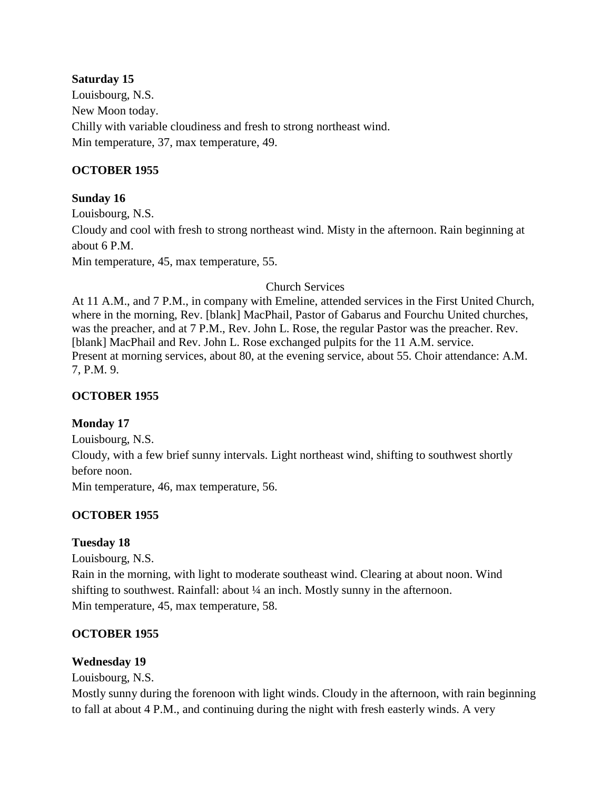### **Saturday 15**

Louisbourg, N.S. New Moon today. Chilly with variable cloudiness and fresh to strong northeast wind. Min temperature, 37, max temperature, 49.

### **OCTOBER 1955**

### **Sunday 16**

Louisbourg, N.S. Cloudy and cool with fresh to strong northeast wind. Misty in the afternoon. Rain beginning at about 6 P.M. Min temperature, 45, max temperature, 55.

Church Services

At 11 A.M., and 7 P.M., in company with Emeline, attended services in the First United Church, where in the morning, Rev. [blank] MacPhail, Pastor of Gabarus and Fourchu United churches, was the preacher, and at 7 P.M., Rev. John L. Rose, the regular Pastor was the preacher. Rev. [blank] MacPhail and Rev. John L. Rose exchanged pulpits for the 11 A.M. service. Present at morning services, about 80, at the evening service, about 55. Choir attendance: A.M. 7, P.M. 9.

### **OCTOBER 1955**

### **Monday 17**

Louisbourg, N.S. Cloudy, with a few brief sunny intervals. Light northeast wind, shifting to southwest shortly before noon. Min temperature, 46, max temperature, 56.

### **OCTOBER 1955**

### **Tuesday 18**

Louisbourg, N.S.

Rain in the morning, with light to moderate southeast wind. Clearing at about noon. Wind shifting to southwest. Rainfall: about ¼ an inch. Mostly sunny in the afternoon. Min temperature, 45, max temperature, 58.

### **OCTOBER 1955**

### **Wednesday 19**

Louisbourg, N.S.

Mostly sunny during the forenoon with light winds. Cloudy in the afternoon, with rain beginning to fall at about 4 P.M., and continuing during the night with fresh easterly winds. A very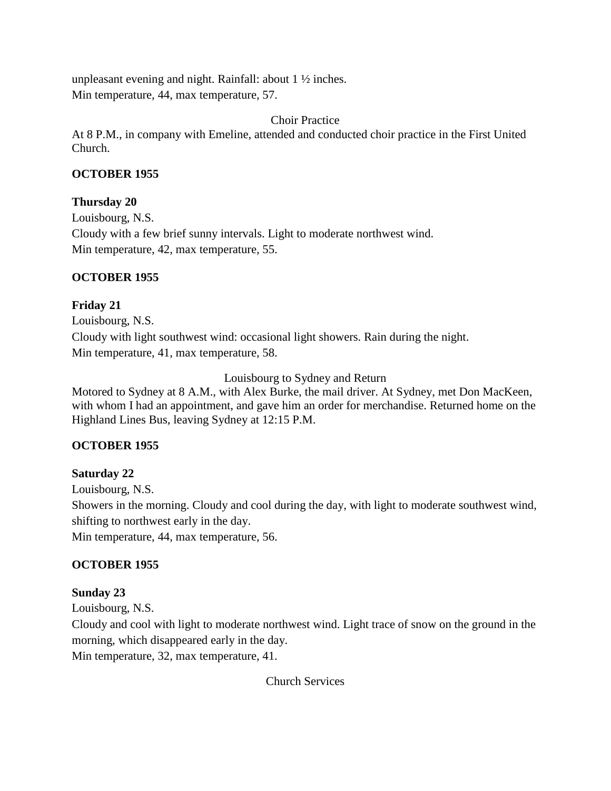unpleasant evening and night. Rainfall: about 1 ½ inches. Min temperature, 44, max temperature, 57.

Choir Practice

At 8 P.M., in company with Emeline, attended and conducted choir practice in the First United Church.

### **OCTOBER 1955**

### **Thursday 20**

Louisbourg, N.S. Cloudy with a few brief sunny intervals. Light to moderate northwest wind. Min temperature, 42, max temperature, 55.

### **OCTOBER 1955**

### **Friday 21**

Louisbourg, N.S. Cloudy with light southwest wind: occasional light showers. Rain during the night. Min temperature, 41, max temperature, 58.

Louisbourg to Sydney and Return

Motored to Sydney at 8 A.M., with Alex Burke, the mail driver. At Sydney, met Don MacKeen, with whom I had an appointment, and gave him an order for merchandise. Returned home on the Highland Lines Bus, leaving Sydney at 12:15 P.M.

## **OCTOBER 1955**

## **Saturday 22**

Louisbourg, N.S. Showers in the morning. Cloudy and cool during the day, with light to moderate southwest wind, shifting to northwest early in the day. Min temperature, 44, max temperature, 56.

## **OCTOBER 1955**

### **Sunday 23**

Louisbourg, N.S.

Cloudy and cool with light to moderate northwest wind. Light trace of snow on the ground in the morning, which disappeared early in the day.

Min temperature, 32, max temperature, 41.

Church Services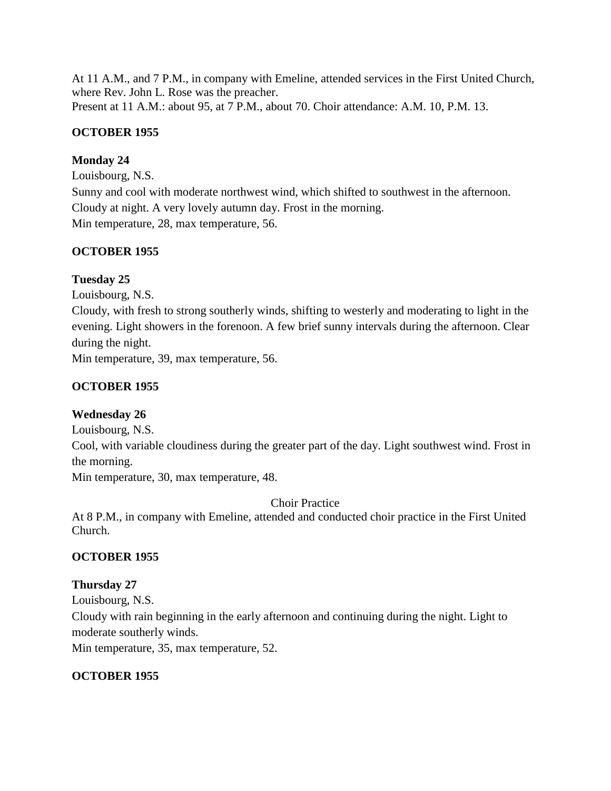At 11 A.M., and 7 P.M., in company with Emeline, attended services in the First United Church, where Rev. John L. Rose was the preacher. Present at 11 A.M.: about 95, at 7 P.M., about 70. Choir attendance: A.M. 10, P.M. 13.

## **OCTOBER 1955**

### **Monday 24**

Louisbourg, N.S. Sunny and cool with moderate northwest wind, which shifted to southwest in the afternoon. Cloudy at night. A very lovely autumn day. Frost in the morning. Min temperature, 28, max temperature, 56.

### **OCTOBER 1955**

### **Tuesday 25**

Louisbourg, N.S.

Cloudy, with fresh to strong southerly winds, shifting to westerly and moderating to light in the evening. Light showers in the forenoon. A few brief sunny intervals during the afternoon. Clear during the night.

Min temperature, 39, max temperature, 56.

## **OCTOBER 1955**

## **Wednesday 26**

Louisbourg, N.S.

Cool, with variable cloudiness during the greater part of the day. Light southwest wind. Frost in the morning.

Min temperature, 30, max temperature, 48.

Choir Practice

At 8 P.M., in company with Emeline, attended and conducted choir practice in the First United Church.

## **OCTOBER 1955**

## **Thursday 27**

Louisbourg, N.S. Cloudy with rain beginning in the early afternoon and continuing during the night. Light to moderate southerly winds. Min temperature, 35, max temperature, 52.

### **OCTOBER 1955**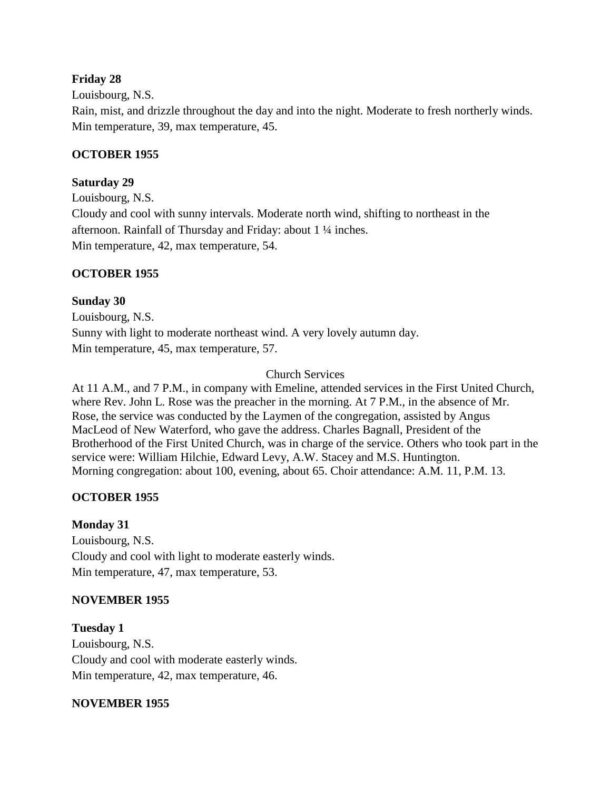### **Friday 28**

Louisbourg, N.S.

Rain, mist, and drizzle throughout the day and into the night. Moderate to fresh northerly winds. Min temperature, 39, max temperature, 45.

### **OCTOBER 1955**

#### **Saturday 29**

Louisbourg, N.S. Cloudy and cool with sunny intervals. Moderate north wind, shifting to northeast in the afternoon. Rainfall of Thursday and Friday: about 1 ¼ inches. Min temperature, 42, max temperature, 54.

#### **OCTOBER 1955**

#### **Sunday 30**

Louisbourg, N.S. Sunny with light to moderate northeast wind. A very lovely autumn day. Min temperature, 45, max temperature, 57.

#### Church Services

At 11 A.M., and 7 P.M., in company with Emeline, attended services in the First United Church, where Rev. John L. Rose was the preacher in the morning. At 7 P.M., in the absence of Mr. Rose, the service was conducted by the Laymen of the congregation, assisted by Angus MacLeod of New Waterford, who gave the address. Charles Bagnall, President of the Brotherhood of the First United Church, was in charge of the service. Others who took part in the service were: William Hilchie, Edward Levy, A.W. Stacey and M.S. Huntington. Morning congregation: about 100, evening, about 65. Choir attendance: A.M. 11, P.M. 13.

### **OCTOBER 1955**

### **Monday 31**

Louisbourg, N.S. Cloudy and cool with light to moderate easterly winds. Min temperature, 47, max temperature, 53.

#### **NOVEMBER 1955**

**Tuesday 1** Louisbourg, N.S. Cloudy and cool with moderate easterly winds. Min temperature, 42, max temperature, 46.

#### **NOVEMBER 1955**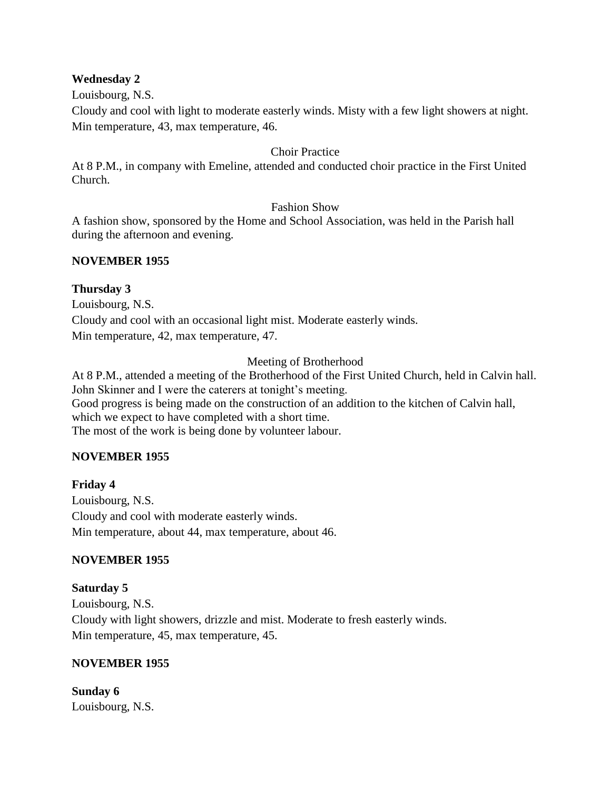#### **Wednesday 2**

Louisbourg, N.S.

Cloudy and cool with light to moderate easterly winds. Misty with a few light showers at night. Min temperature, 43, max temperature, 46.

#### Choir Practice

At 8 P.M., in company with Emeline, attended and conducted choir practice in the First United Church.

#### Fashion Show

A fashion show, sponsored by the Home and School Association, was held in the Parish hall during the afternoon and evening.

#### **NOVEMBER 1955**

### **Thursday 3**

Louisbourg, N.S. Cloudy and cool with an occasional light mist. Moderate easterly winds. Min temperature, 42, max temperature, 47.

### Meeting of Brotherhood

At 8 P.M., attended a meeting of the Brotherhood of the First United Church, held in Calvin hall. John Skinner and I were the caterers at tonight's meeting. Good progress is being made on the construction of an addition to the kitchen of Calvin hall, which we expect to have completed with a short time. The most of the work is being done by volunteer labour.

### **NOVEMBER 1955**

## **Friday 4** Louisbourg, N.S. Cloudy and cool with moderate easterly winds. Min temperature, about 44, max temperature, about 46.

### **NOVEMBER 1955**

## **Saturday 5**

Louisbourg, N.S. Cloudy with light showers, drizzle and mist. Moderate to fresh easterly winds. Min temperature, 45, max temperature, 45.

### **NOVEMBER 1955**

**Sunday 6** Louisbourg, N.S.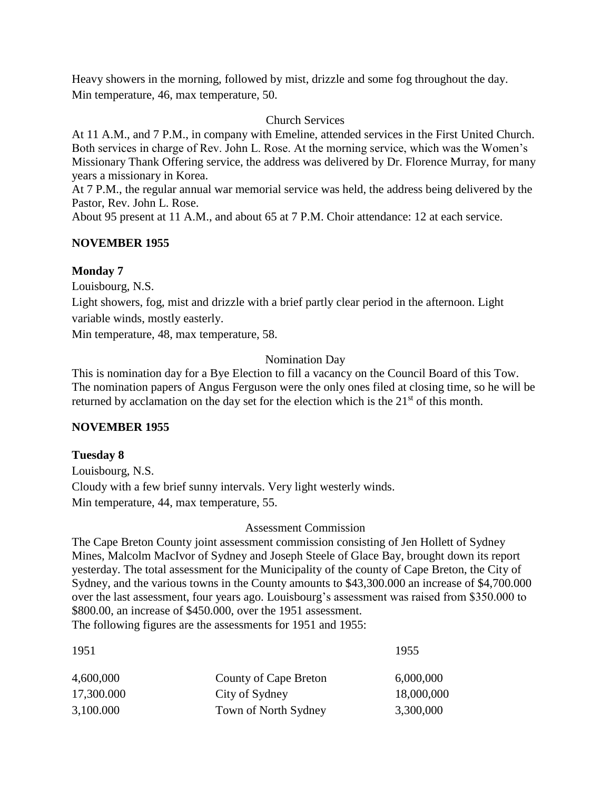Heavy showers in the morning, followed by mist, drizzle and some fog throughout the day. Min temperature, 46, max temperature, 50.

#### Church Services

At 11 A.M., and 7 P.M., in company with Emeline, attended services in the First United Church. Both services in charge of Rev. John L. Rose. At the morning service, which was the Women's Missionary Thank Offering service, the address was delivered by Dr. Florence Murray, for many years a missionary in Korea.

At 7 P.M., the regular annual war memorial service was held, the address being delivered by the Pastor, Rev. John L. Rose.

About 95 present at 11 A.M., and about 65 at 7 P.M. Choir attendance: 12 at each service.

#### **NOVEMBER 1955**

#### **Monday 7**

Louisbourg, N.S.

Light showers, fog, mist and drizzle with a brief partly clear period in the afternoon. Light variable winds, mostly easterly.

Min temperature, 48, max temperature, 58.

#### Nomination Day

This is nomination day for a Bye Election to fill a vacancy on the Council Board of this Tow. The nomination papers of Angus Ferguson were the only ones filed at closing time, so he will be returned by acclamation on the day set for the election which is the  $21<sup>st</sup>$  of this month.

### **NOVEMBER 1955**

### **Tuesday 8**

Louisbourg, N.S. Cloudy with a few brief sunny intervals. Very light westerly winds. Min temperature, 44, max temperature, 55.

#### Assessment Commission

The Cape Breton County joint assessment commission consisting of Jen Hollett of Sydney Mines, Malcolm MacIvor of Sydney and Joseph Steele of Glace Bay, brought down its report yesterday. The total assessment for the Municipality of the county of Cape Breton, the City of Sydney, and the various towns in the County amounts to \$43,300.000 an increase of \$4,700.000 over the last assessment, four years ago. Louisbourg's assessment was raised from \$350.000 to \$800.00, an increase of \$450.000, over the 1951 assessment. The following figures are the assessments for 1951 and 1955:

| 1951       |                       | 1955       |  |
|------------|-----------------------|------------|--|
| 4,600,000  | County of Cape Breton | 6,000,000  |  |
| 17,300.000 | City of Sydney        | 18,000,000 |  |
| 3,100.000  | Town of North Sydney  | 3,300,000  |  |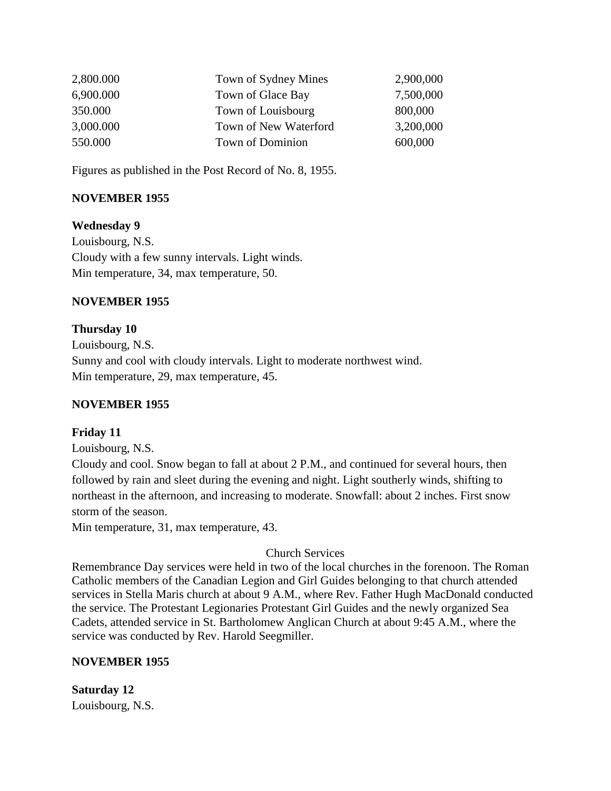| 2,800.000 | Town of Sydney Mines  | 2,900,000 |
|-----------|-----------------------|-----------|
| 6,900.000 | Town of Glace Bay     | 7,500,000 |
| 350.000   | Town of Louisbourg    | 800,000   |
| 3,000.000 | Town of New Waterford | 3,200,000 |
| 550.000   | Town of Dominion      | 600,000   |

Figures as published in the Post Record of No. 8, 1955.

### **NOVEMBER 1955**

#### **Wednesday 9**

Louisbourg, N.S. Cloudy with a few sunny intervals. Light winds. Min temperature, 34, max temperature, 50.

#### **NOVEMBER 1955**

#### **Thursday 10**

Louisbourg, N.S. Sunny and cool with cloudy intervals. Light to moderate northwest wind. Min temperature, 29, max temperature, 45.

#### **NOVEMBER 1955**

#### **Friday 11**

Louisbourg, N.S.

Cloudy and cool. Snow began to fall at about 2 P.M., and continued for several hours, then followed by rain and sleet during the evening and night. Light southerly winds, shifting to northeast in the afternoon, and increasing to moderate. Snowfall: about 2 inches. First snow storm of the season.

Min temperature, 31, max temperature, 43.

### Church Services

Remembrance Day services were held in two of the local churches in the forenoon. The Roman Catholic members of the Canadian Legion and Girl Guides belonging to that church attended services in Stella Maris church at about 9 A.M., where Rev. Father Hugh MacDonald conducted the service. The Protestant Legionaries Protestant Girl Guides and the newly organized Sea Cadets, attended service in St. Bartholomew Anglican Church at about 9:45 A.M., where the service was conducted by Rev. Harold Seegmiller.

### **NOVEMBER 1955**

**Saturday 12** Louisbourg, N.S.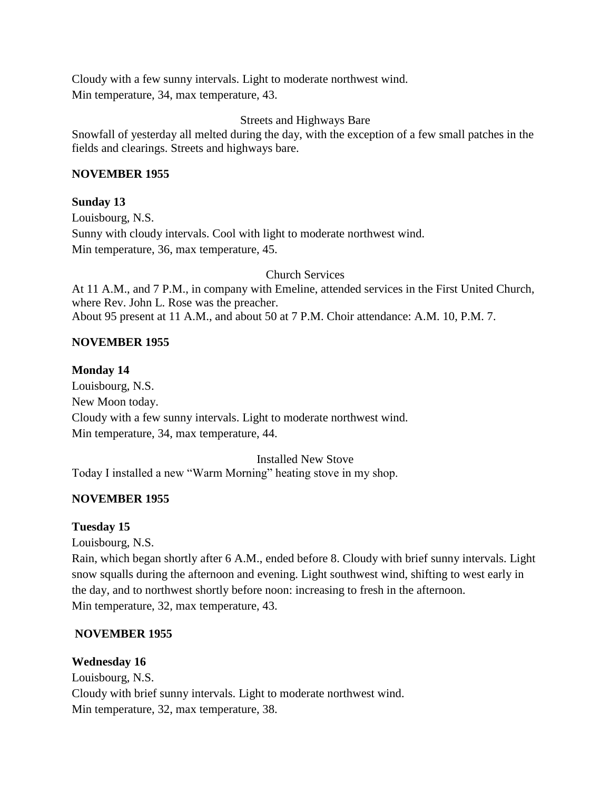Cloudy with a few sunny intervals. Light to moderate northwest wind. Min temperature, 34, max temperature, 43.

### Streets and Highways Bare

Snowfall of yesterday all melted during the day, with the exception of a few small patches in the fields and clearings. Streets and highways bare.

#### **NOVEMBER 1955**

### **Sunday 13**

Louisbourg, N.S. Sunny with cloudy intervals. Cool with light to moderate northwest wind. Min temperature, 36, max temperature, 45.

Church Services

At 11 A.M., and 7 P.M., in company with Emeline, attended services in the First United Church, where Rev. John L. Rose was the preacher. About 95 present at 11 A.M., and about 50 at 7 P.M. Choir attendance: A.M. 10, P.M. 7.

#### **NOVEMBER 1955**

#### **Monday 14**

Louisbourg, N.S. New Moon today. Cloudy with a few sunny intervals. Light to moderate northwest wind. Min temperature, 34, max temperature, 44.

Installed New Stove

Today I installed a new "Warm Morning" heating stove in my shop.

### **NOVEMBER 1955**

### **Tuesday 15**

Louisbourg, N.S.

Rain, which began shortly after 6 A.M., ended before 8. Cloudy with brief sunny intervals. Light snow squalls during the afternoon and evening. Light southwest wind, shifting to west early in the day, and to northwest shortly before noon: increasing to fresh in the afternoon. Min temperature, 32, max temperature, 43.

### **NOVEMBER 1955**

### **Wednesday 16**

Louisbourg, N.S. Cloudy with brief sunny intervals. Light to moderate northwest wind. Min temperature, 32, max temperature, 38.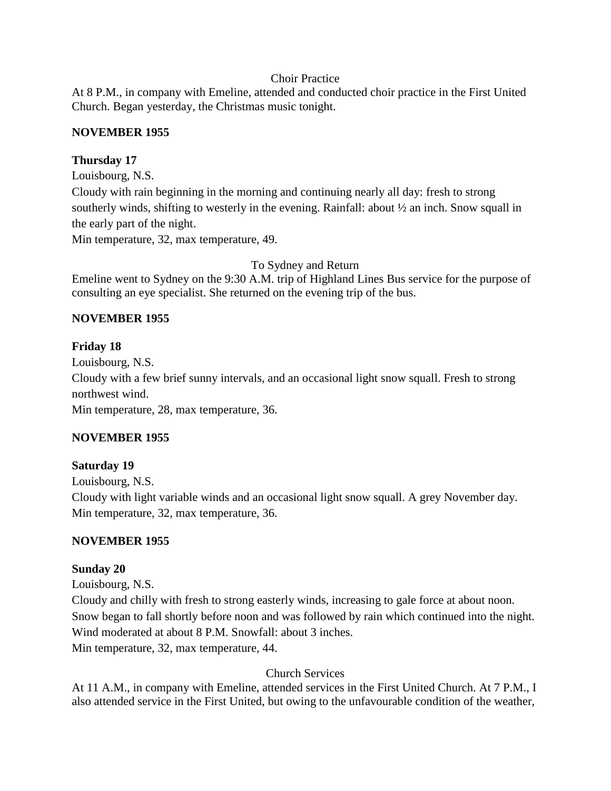### Choir Practice

At 8 P.M., in company with Emeline, attended and conducted choir practice in the First United Church. Began yesterday, the Christmas music tonight.

### **NOVEMBER 1955**

### **Thursday 17**

Louisbourg, N.S.

Cloudy with rain beginning in the morning and continuing nearly all day: fresh to strong southerly winds, shifting to westerly in the evening. Rainfall: about ½ an inch. Snow squall in the early part of the night.

Min temperature, 32, max temperature, 49.

### To Sydney and Return

Emeline went to Sydney on the 9:30 A.M. trip of Highland Lines Bus service for the purpose of consulting an eye specialist. She returned on the evening trip of the bus.

### **NOVEMBER 1955**

### **Friday 18**

Louisbourg, N.S. Cloudy with a few brief sunny intervals, and an occasional light snow squall. Fresh to strong northwest wind. Min temperature, 28, max temperature, 36.

### **NOVEMBER 1955**

### **Saturday 19**

Louisbourg, N.S. Cloudy with light variable winds and an occasional light snow squall. A grey November day. Min temperature, 32, max temperature, 36.

## **NOVEMBER 1955**

### **Sunday 20**

Louisbourg, N.S.

Cloudy and chilly with fresh to strong easterly winds, increasing to gale force at about noon. Snow began to fall shortly before noon and was followed by rain which continued into the night. Wind moderated at about 8 P.M. Snowfall: about 3 inches. Min temperature, 32, max temperature, 44.

Church Services

At 11 A.M., in company with Emeline, attended services in the First United Church. At 7 P.M., I also attended service in the First United, but owing to the unfavourable condition of the weather,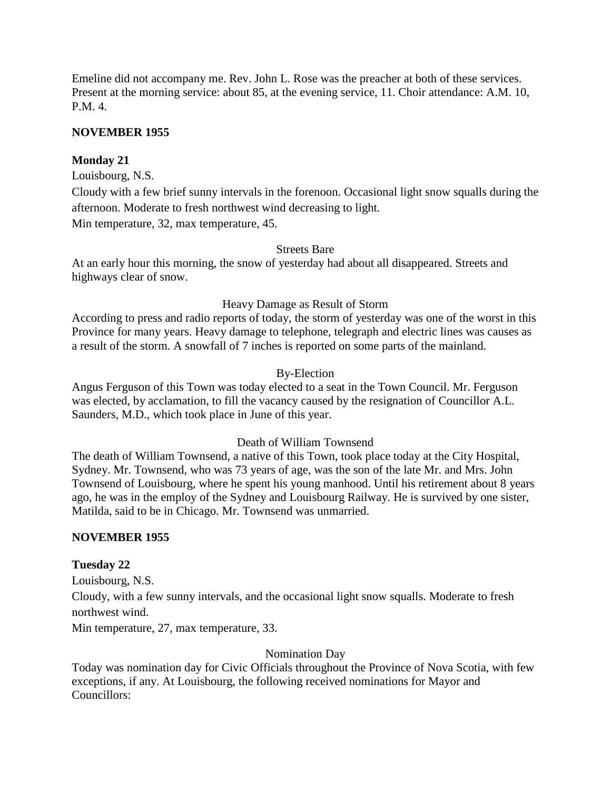Emeline did not accompany me. Rev. John L. Rose was the preacher at both of these services. Present at the morning service: about 85, at the evening service, 11. Choir attendance: A.M. 10, P.M. 4.

#### **NOVEMBER 1955**

#### **Monday 21**

Louisbourg, N.S.

Cloudy with a few brief sunny intervals in the forenoon. Occasional light snow squalls during the afternoon. Moderate to fresh northwest wind decreasing to light.

Min temperature, 32, max temperature, 45.

### Streets Bare

At an early hour this morning, the snow of yesterday had about all disappeared. Streets and highways clear of snow.

#### Heavy Damage as Result of Storm

According to press and radio reports of today, the storm of yesterday was one of the worst in this Province for many years. Heavy damage to telephone, telegraph and electric lines was causes as a result of the storm. A snowfall of 7 inches is reported on some parts of the mainland.

#### By-Election

Angus Ferguson of this Town was today elected to a seat in the Town Council. Mr. Ferguson was elected, by acclamation, to fill the vacancy caused by the resignation of Councillor A.L. Saunders, M.D., which took place in June of this year.

#### Death of William Townsend

The death of William Townsend, a native of this Town, took place today at the City Hospital, Sydney. Mr. Townsend, who was 73 years of age, was the son of the late Mr. and Mrs. John Townsend of Louisbourg, where he spent his young manhood. Until his retirement about 8 years ago, he was in the employ of the Sydney and Louisbourg Railway. He is survived by one sister, Matilda, said to be in Chicago. Mr. Townsend was unmarried.

#### **NOVEMBER 1955**

#### **Tuesday 22**

Louisbourg, N.S.

Cloudy, with a few sunny intervals, and the occasional light snow squalls. Moderate to fresh northwest wind.

Min temperature, 27, max temperature, 33.

Nomination Day

Today was nomination day for Civic Officials throughout the Province of Nova Scotia, with few exceptions, if any. At Louisbourg, the following received nominations for Mayor and Councillors: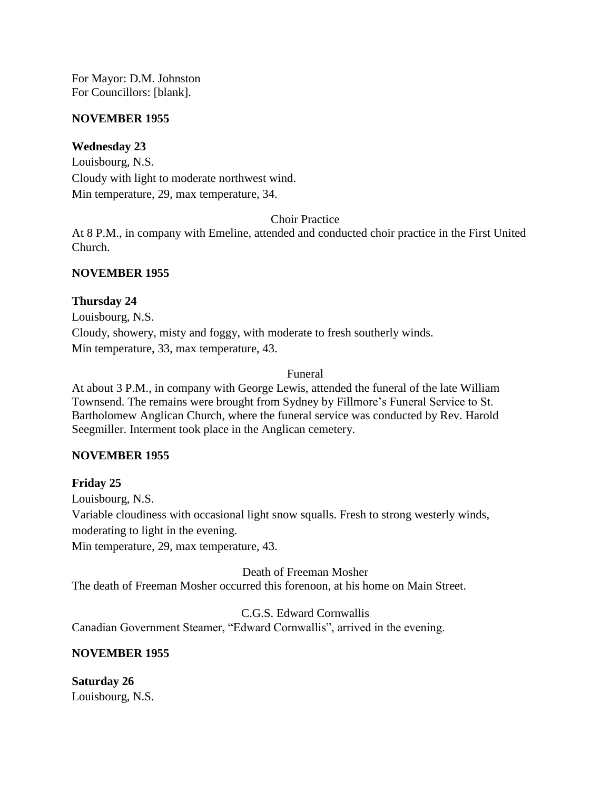For Mayor: D.M. Johnston For Councillors: [blank].

#### **NOVEMBER 1955**

### **Wednesday 23**

Louisbourg, N.S. Cloudy with light to moderate northwest wind. Min temperature, 29, max temperature, 34.

Choir Practice

At 8 P.M., in company with Emeline, attended and conducted choir practice in the First United Church.

#### **NOVEMBER 1955**

#### **Thursday 24**

Louisbourg, N.S. Cloudy, showery, misty and foggy, with moderate to fresh southerly winds. Min temperature, 33, max temperature, 43.

#### Funeral

At about 3 P.M., in company with George Lewis, attended the funeral of the late William Townsend. The remains were brought from Sydney by Fillmore's Funeral Service to St. Bartholomew Anglican Church, where the funeral service was conducted by Rev. Harold Seegmiller. Interment took place in the Anglican cemetery.

### **NOVEMBER 1955**

### **Friday 25**

Louisbourg, N.S.

Variable cloudiness with occasional light snow squalls. Fresh to strong westerly winds, moderating to light in the evening.

Min temperature, 29, max temperature, 43.

Death of Freeman Mosher The death of Freeman Mosher occurred this forenoon, at his home on Main Street.

C.G.S. Edward Cornwallis Canadian Government Steamer, "Edward Cornwallis", arrived in the evening.

### **NOVEMBER 1955**

**Saturday 26** Louisbourg, N.S.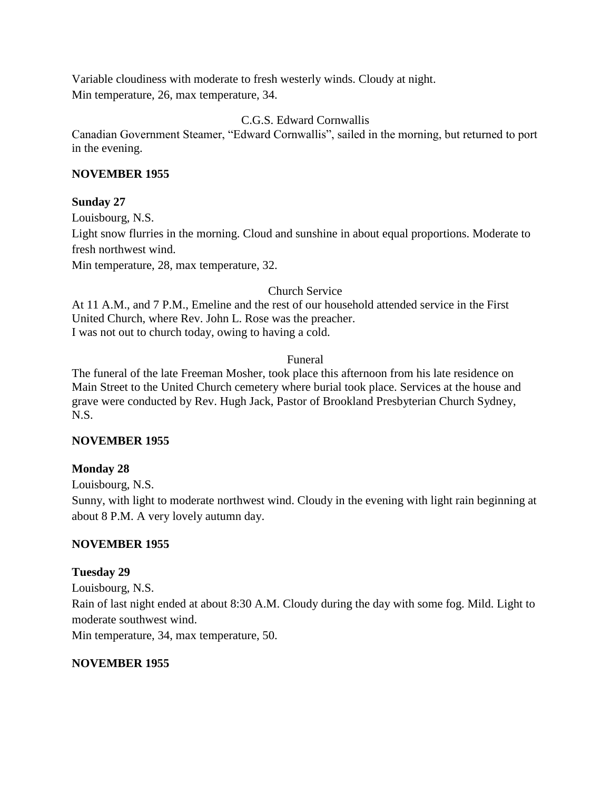Variable cloudiness with moderate to fresh westerly winds. Cloudy at night. Min temperature, 26, max temperature, 34.

### C.G.S. Edward Cornwallis

Canadian Government Steamer, "Edward Cornwallis", sailed in the morning, but returned to port in the evening.

### **NOVEMBER 1955**

### **Sunday 27**

Louisbourg, N.S. Light snow flurries in the morning. Cloud and sunshine in about equal proportions. Moderate to fresh northwest wind. Min temperature, 28, max temperature, 32.

### Church Service

At 11 A.M., and 7 P.M., Emeline and the rest of our household attended service in the First United Church, where Rev. John L. Rose was the preacher. I was not out to church today, owing to having a cold.

### Funeral

The funeral of the late Freeman Mosher, took place this afternoon from his late residence on Main Street to the United Church cemetery where burial took place. Services at the house and grave were conducted by Rev. Hugh Jack, Pastor of Brookland Presbyterian Church Sydney, N.S.

### **NOVEMBER 1955**

## **Monday 28**

Louisbourg, N.S.

Sunny, with light to moderate northwest wind. Cloudy in the evening with light rain beginning at about 8 P.M. A very lovely autumn day.

## **NOVEMBER 1955**

### **Tuesday 29**

Louisbourg, N.S. Rain of last night ended at about 8:30 A.M. Cloudy during the day with some fog. Mild. Light to moderate southwest wind. Min temperature, 34, max temperature, 50.

### **NOVEMBER 1955**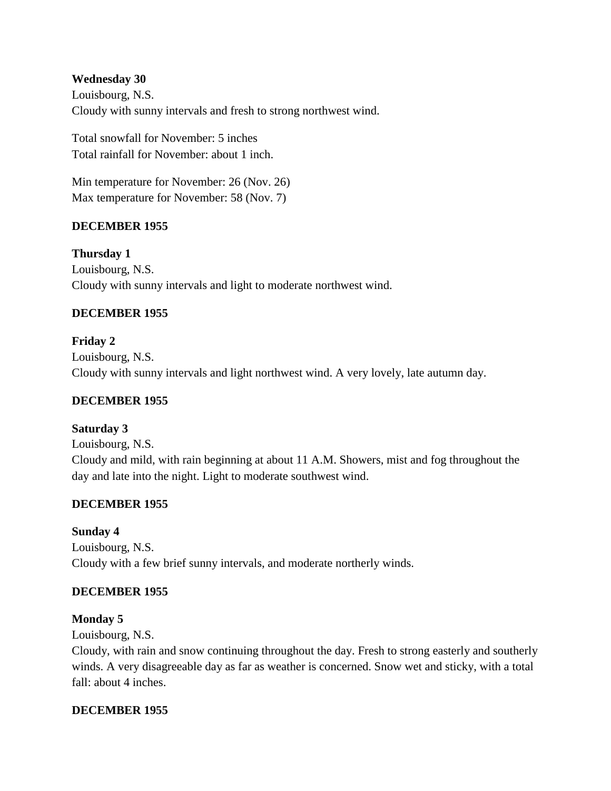### **Wednesday 30**

Louisbourg, N.S. Cloudy with sunny intervals and fresh to strong northwest wind.

Total snowfall for November: 5 inches Total rainfall for November: about 1 inch.

Min temperature for November: 26 (Nov. 26) Max temperature for November: 58 (Nov. 7)

### **DECEMBER 1955**

**Thursday 1** Louisbourg, N.S. Cloudy with sunny intervals and light to moderate northwest wind.

### **DECEMBER 1955**

**Friday 2** Louisbourg, N.S. Cloudy with sunny intervals and light northwest wind. A very lovely, late autumn day.

### **DECEMBER 1955**

### **Saturday 3**

Louisbourg, N.S. Cloudy and mild, with rain beginning at about 11 A.M. Showers, mist and fog throughout the day and late into the night. Light to moderate southwest wind.

### **DECEMBER 1955**

### **Sunday 4**

Louisbourg, N.S. Cloudy with a few brief sunny intervals, and moderate northerly winds.

### **DECEMBER 1955**

### **Monday 5**

Louisbourg, N.S.

Cloudy, with rain and snow continuing throughout the day. Fresh to strong easterly and southerly winds. A very disagreeable day as far as weather is concerned. Snow wet and sticky, with a total fall: about 4 inches.

### **DECEMBER 1955**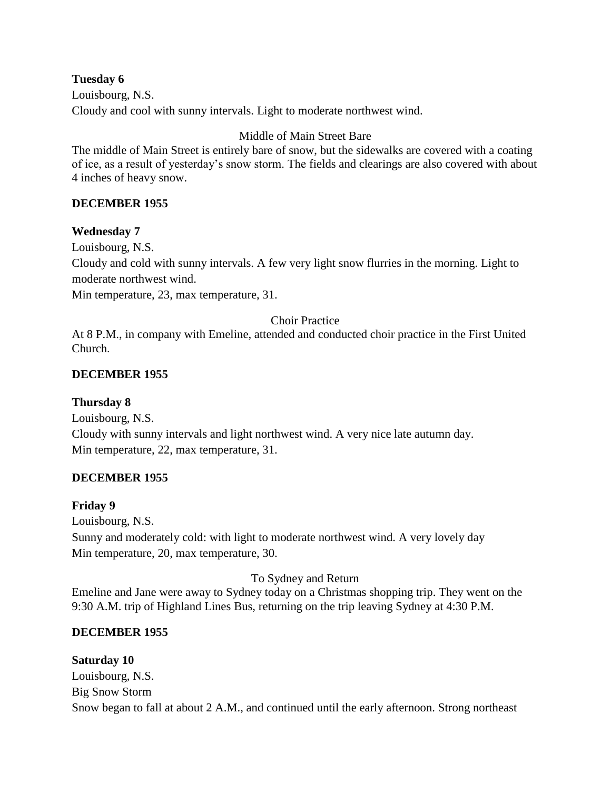**Tuesday 6** Louisbourg, N.S. Cloudy and cool with sunny intervals. Light to moderate northwest wind.

## Middle of Main Street Bare

The middle of Main Street is entirely bare of snow, but the sidewalks are covered with a coating of ice, as a result of yesterday's snow storm. The fields and clearings are also covered with about 4 inches of heavy snow.

### **DECEMBER 1955**

#### **Wednesday 7**

Louisbourg, N.S.

Cloudy and cold with sunny intervals. A few very light snow flurries in the morning. Light to moderate northwest wind.

Min temperature, 23, max temperature, 31.

#### Choir Practice

At 8 P.M., in company with Emeline, attended and conducted choir practice in the First United Church.

### **DECEMBER 1955**

#### **Thursday 8**

Louisbourg, N.S. Cloudy with sunny intervals and light northwest wind. A very nice late autumn day. Min temperature, 22, max temperature, 31.

### **DECEMBER 1955**

#### **Friday 9**

Louisbourg, N.S. Sunny and moderately cold: with light to moderate northwest wind. A very lovely day Min temperature, 20, max temperature, 30.

#### To Sydney and Return

Emeline and Jane were away to Sydney today on a Christmas shopping trip. They went on the 9:30 A.M. trip of Highland Lines Bus, returning on the trip leaving Sydney at 4:30 P.M.

### **DECEMBER 1955**

#### **Saturday 10**

Louisbourg, N.S. Big Snow Storm Snow began to fall at about 2 A.M., and continued until the early afternoon. Strong northeast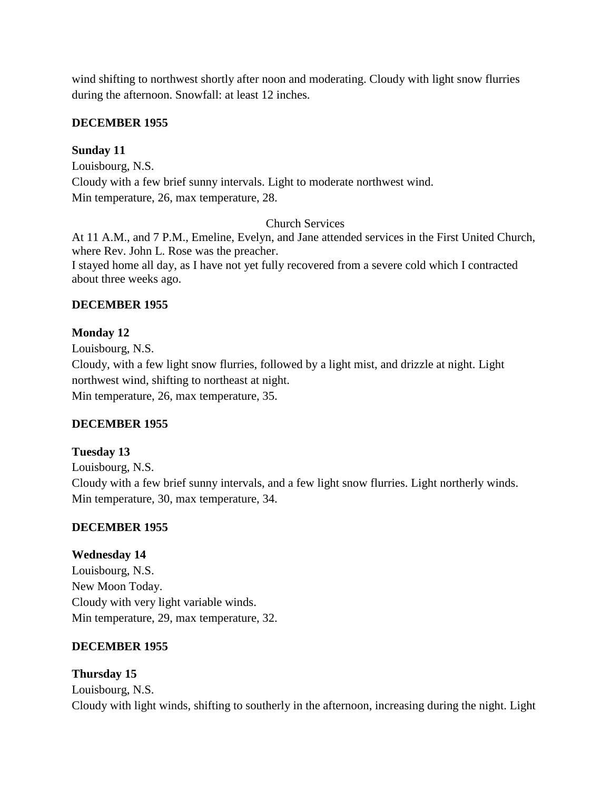wind shifting to northwest shortly after noon and moderating. Cloudy with light snow flurries during the afternoon. Snowfall: at least 12 inches.

### **DECEMBER 1955**

### **Sunday 11**

Louisbourg, N.S. Cloudy with a few brief sunny intervals. Light to moderate northwest wind. Min temperature, 26, max temperature, 28.

### Church Services

At 11 A.M., and 7 P.M., Emeline, Evelyn, and Jane attended services in the First United Church, where Rev. John L. Rose was the preacher. I stayed home all day, as I have not yet fully recovered from a severe cold which I contracted about three weeks ago.

### **DECEMBER 1955**

### **Monday 12**

Louisbourg, N.S. Cloudy, with a few light snow flurries, followed by a light mist, and drizzle at night. Light northwest wind, shifting to northeast at night. Min temperature, 26, max temperature, 35.

### **DECEMBER 1955**

### **Tuesday 13**

Louisbourg, N.S. Cloudy with a few brief sunny intervals, and a few light snow flurries. Light northerly winds. Min temperature, 30, max temperature, 34.

### **DECEMBER 1955**

### **Wednesday 14**

Louisbourg, N.S. New Moon Today. Cloudy with very light variable winds. Min temperature, 29, max temperature, 32.

### **DECEMBER 1955**

# **Thursday 15**

Louisbourg, N.S. Cloudy with light winds, shifting to southerly in the afternoon, increasing during the night. Light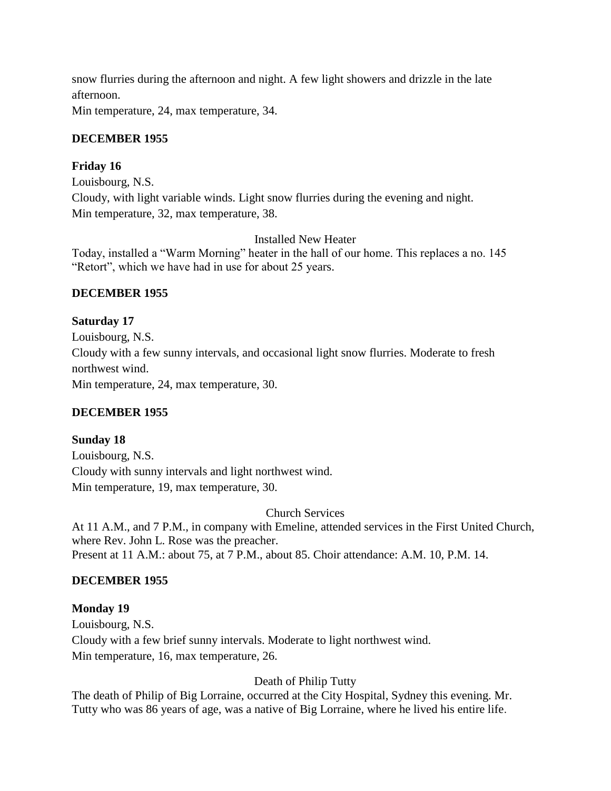snow flurries during the afternoon and night. A few light showers and drizzle in the late afternoon.

Min temperature, 24, max temperature, 34.

## **DECEMBER 1955**

### **Friday 16**

Louisbourg, N.S. Cloudy, with light variable winds. Light snow flurries during the evening and night. Min temperature, 32, max temperature, 38.

Installed New Heater

Today, installed a "Warm Morning" heater in the hall of our home. This replaces a no. 145 "Retort", which we have had in use for about 25 years.

### **DECEMBER 1955**

**Saturday 17** Louisbourg, N.S. Cloudy with a few sunny intervals, and occasional light snow flurries. Moderate to fresh northwest wind. Min temperature, 24, max temperature, 30.

### **DECEMBER 1955**

## **Sunday 18**

Louisbourg, N.S. Cloudy with sunny intervals and light northwest wind. Min temperature, 19, max temperature, 30.

Church Services

At 11 A.M., and 7 P.M., in company with Emeline, attended services in the First United Church, where Rev. John L. Rose was the preacher. Present at 11 A.M.: about 75, at 7 P.M., about 85. Choir attendance: A.M. 10, P.M. 14.

### **DECEMBER 1955**

### **Monday 19**

Louisbourg, N.S. Cloudy with a few brief sunny intervals. Moderate to light northwest wind. Min temperature, 16, max temperature, 26.

## Death of Philip Tutty

The death of Philip of Big Lorraine, occurred at the City Hospital, Sydney this evening. Mr. Tutty who was 86 years of age, was a native of Big Lorraine, where he lived his entire life.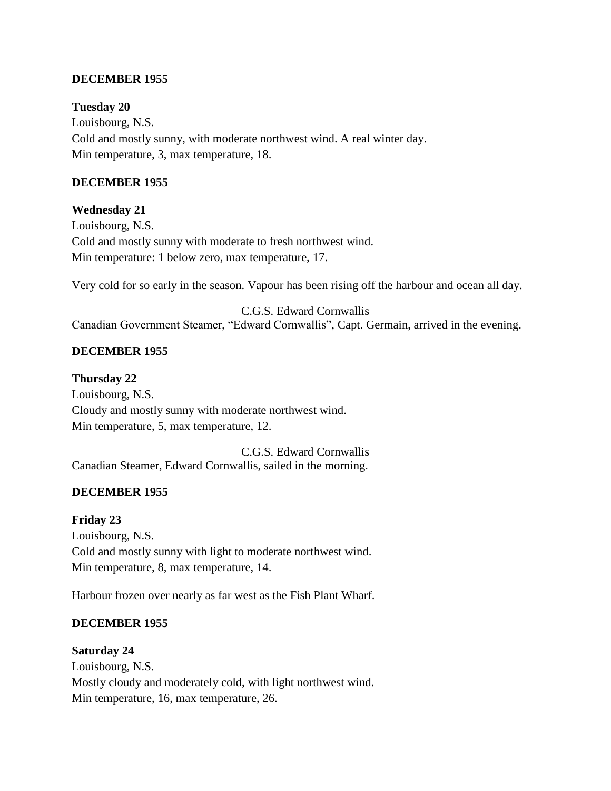#### **DECEMBER 1955**

**Tuesday 20** Louisbourg, N.S. Cold and mostly sunny, with moderate northwest wind. A real winter day. Min temperature, 3, max temperature, 18.

#### **DECEMBER 1955**

**Wednesday 21**

Louisbourg, N.S. Cold and mostly sunny with moderate to fresh northwest wind. Min temperature: 1 below zero, max temperature, 17.

Very cold for so early in the season. Vapour has been rising off the harbour and ocean all day.

C.G.S. Edward Cornwallis Canadian Government Steamer, "Edward Cornwallis", Capt. Germain, arrived in the evening.

### **DECEMBER 1955**

**Thursday 22**

Louisbourg, N.S. Cloudy and mostly sunny with moderate northwest wind. Min temperature, 5, max temperature, 12.

C.G.S. Edward Cornwallis Canadian Steamer, Edward Cornwallis, sailed in the morning.

#### **DECEMBER 1955**

**Friday 23** Louisbourg, N.S. Cold and mostly sunny with light to moderate northwest wind. Min temperature, 8, max temperature, 14.

Harbour frozen over nearly as far west as the Fish Plant Wharf.

#### **DECEMBER 1955**

#### **Saturday 24**

Louisbourg, N.S. Mostly cloudy and moderately cold, with light northwest wind. Min temperature, 16, max temperature, 26.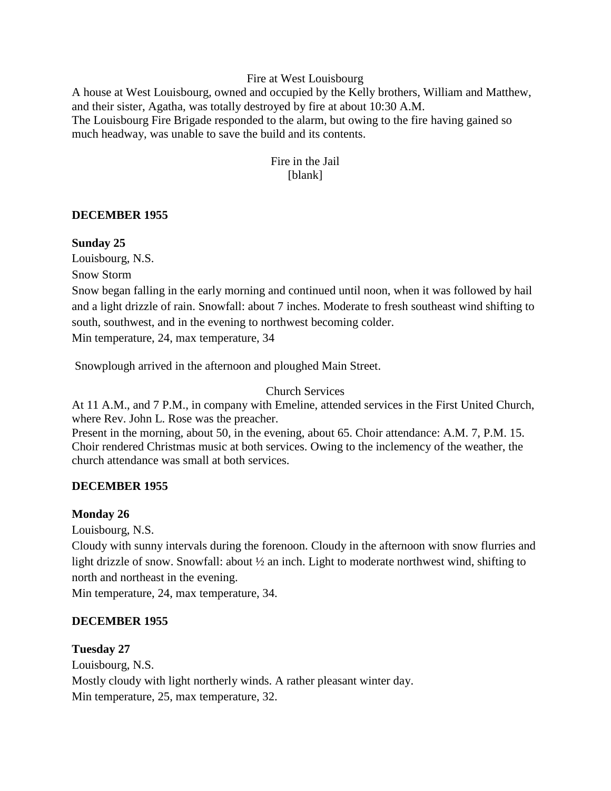#### Fire at West Louisbourg

A house at West Louisbourg, owned and occupied by the Kelly brothers, William and Matthew, and their sister, Agatha, was totally destroyed by fire at about 10:30 A.M. The Louisbourg Fire Brigade responded to the alarm, but owing to the fire having gained so much headway, was unable to save the build and its contents.

### Fire in the Jail [blank]

#### **DECEMBER 1955**

#### **Sunday 25**

Louisbourg, N.S.

Snow Storm

Snow began falling in the early morning and continued until noon, when it was followed by hail and a light drizzle of rain. Snowfall: about 7 inches. Moderate to fresh southeast wind shifting to south, southwest, and in the evening to northwest becoming colder.

Min temperature, 24, max temperature, 34

Snowplough arrived in the afternoon and ploughed Main Street.

#### Church Services

At 11 A.M., and 7 P.M., in company with Emeline, attended services in the First United Church, where Rev. John L. Rose was the preacher.

Present in the morning, about 50, in the evening, about 65. Choir attendance: A.M. 7, P.M. 15. Choir rendered Christmas music at both services. Owing to the inclemency of the weather, the church attendance was small at both services.

#### **DECEMBER 1955**

#### **Monday 26**

Louisbourg, N.S.

Cloudy with sunny intervals during the forenoon. Cloudy in the afternoon with snow flurries and light drizzle of snow. Snowfall: about  $\frac{1}{2}$  an inch. Light to moderate northwest wind, shifting to north and northeast in the evening.

Min temperature, 24, max temperature, 34.

#### **DECEMBER 1955**

#### **Tuesday 27**

Louisbourg, N.S. Mostly cloudy with light northerly winds. A rather pleasant winter day. Min temperature, 25, max temperature, 32.